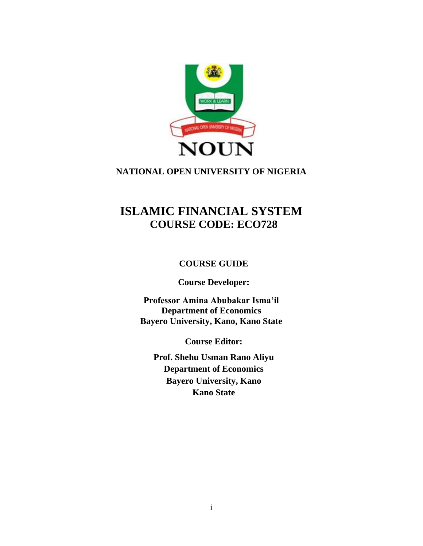

### **NATIONAL OPEN UNIVERSITY OF NIGERIA**

# **ISLAMIC FINANCIAL SYSTEM COURSE CODE: ECO728**

#### **COURSE GUIDE**

**Course Developer:**

**Professor Amina Abubakar Isma'il Department of Economics Bayero University, Kano, Kano State**

**Course Editor:**

**Prof. Shehu Usman Rano Aliyu Department of Economics Bayero University, Kano Kano State**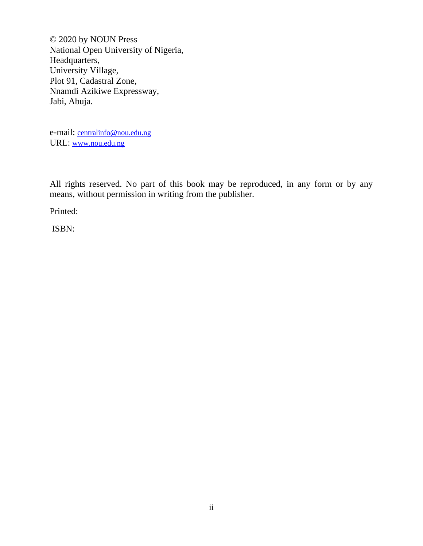© 2020 by NOUN Press National Open University of Nigeria, Headquarters, University Village, Plot 91, Cadastral Zone, Nnamdi Azikiwe Expressway, Jabi, Abuja.

e-mail: [centralinfo@nou.edu.ng](mailto:centralinfo@nou.edu.ng) URL: [www.nou.edu.ng](http://www.nou.edu.ng/)

All rights reserved. No part of this book may be reproduced, in any form or by any means, without permission in writing from the publisher.

Printed:

ISBN: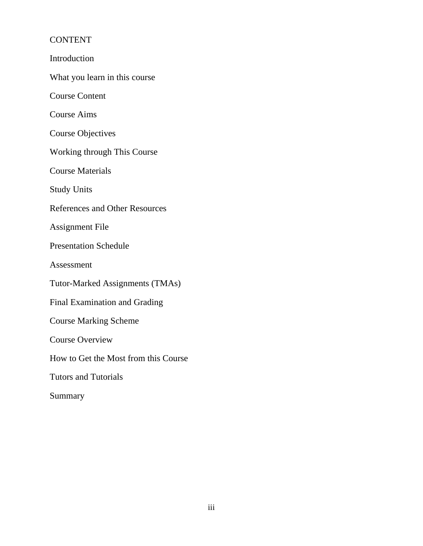#### **CONTENT**

Introduction What you learn in this course Course Content Course Aims Course Objectives Working through This Course Course Materials Study Units References and Other Resources Assignment File Presentation Schedule Assessment Tutor-Marked Assignments (TMAs) Final Examination and Grading Course Marking Scheme Course Overview How to Get the Most from this Course Tutors and Tutorials Summary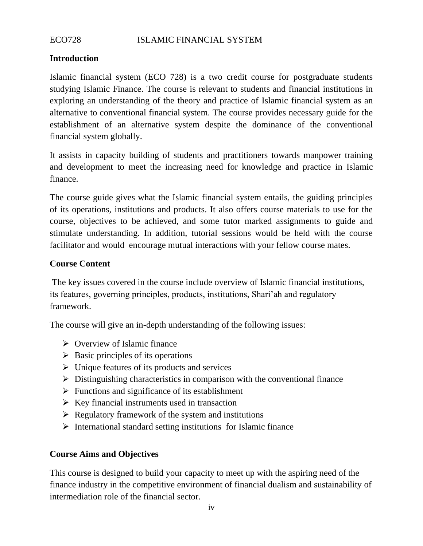ECO728 ISLAMIC FINANCIAL SYSTEM

### **Introduction**

Islamic financial system (ECO 728) is a two credit course for postgraduate students studying Islamic Finance. The course is relevant to students and financial institutions in exploring an understanding of the theory and practice of Islamic financial system as an alternative to conventional financial system. The course provides necessary guide for the establishment of an alternative system despite the dominance of the conventional financial system globally.

It assists in capacity building of students and practitioners towards manpower training and development to meet the increasing need for knowledge and practice in Islamic finance.

The course guide gives what the Islamic financial system entails, the guiding principles of its operations, institutions and products. It also offers course materials to use for the course, objectives to be achieved, and some tutor marked assignments to guide and stimulate understanding. In addition, tutorial sessions would be held with the course facilitator and would encourage mutual interactions with your fellow course mates.

### **Course Content**

The key issues covered in the course include overview of Islamic financial institutions, its features, governing principles, products, institutions, Shari'ah and regulatory framework.

The course will give an in-depth understanding of the following issues:

- $\triangleright$  Overview of Islamic finance
- $\triangleright$  Basic principles of its operations
- $\triangleright$  Unique features of its products and services
- $\triangleright$  Distinguishing characteristics in comparison with the conventional finance
- $\triangleright$  Functions and significance of its establishment
- $\triangleright$  Key financial instruments used in transaction
- $\triangleright$  Regulatory framework of the system and institutions
- ➢ International standard setting institutions for Islamic finance

### **Course Aims and Objectives**

This course is designed to build your capacity to meet up with the aspiring need of the finance industry in the competitive environment of financial dualism and sustainability of intermediation role of the financial sector.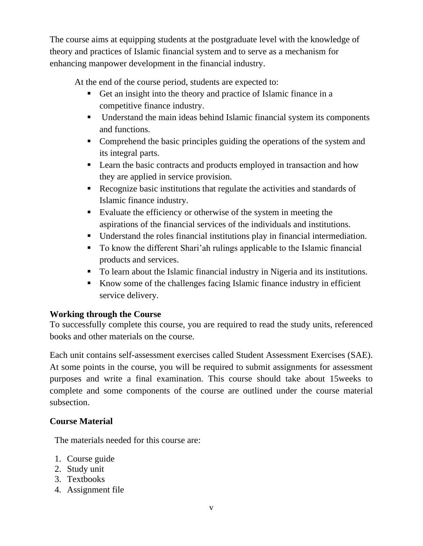The course aims at equipping students at the postgraduate level with the knowledge of theory and practices of Islamic financial system and to serve as a mechanism for enhancing manpower development in the financial industry.

At the end of the course period, students are expected to:

- Get an insight into the theory and practice of Islamic finance in a competitive finance industry.
- Understand the main ideas behind Islamic financial system its components and functions.
- Comprehend the basic principles guiding the operations of the system and its integral parts.
- Learn the basic contracts and products employed in transaction and how they are applied in service provision.
- Recognize basic institutions that regulate the activities and standards of Islamic finance industry.
- Evaluate the efficiency or otherwise of the system in meeting the aspirations of the financial services of the individuals and institutions.
- Understand the roles financial institutions play in financial intermediation.
- To know the different Shari'ah rulings applicable to the Islamic financial products and services.
- To learn about the Islamic financial industry in Nigeria and its institutions.
- Know some of the challenges facing Islamic finance industry in efficient service delivery.

### **Working through the Course**

To successfully complete this course, you are required to read the study units, referenced books and other materials on the course.

Each unit contains self-assessment exercises called Student Assessment Exercises (SAE). At some points in the course, you will be required to submit assignments for assessment purposes and write a final examination. This course should take about 15weeks to complete and some components of the course are outlined under the course material subsection.

### **Course Material**

The materials needed for this course are:

- 1. Course guide
- 2. Study unit
- 3. Textbooks
- 4. Assignment file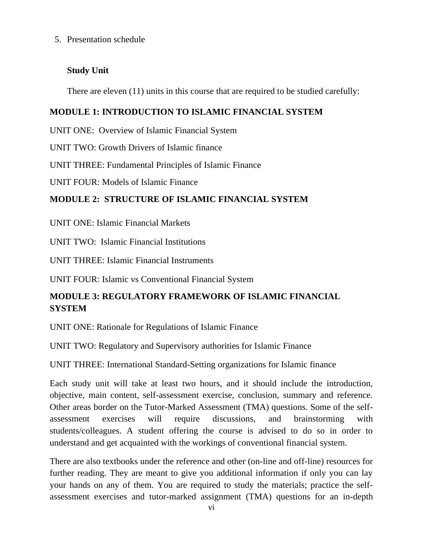5. Presentation schedule

### **Study Unit**

There are eleven (11) units in this course that are required to be studied carefully:

# **MODULE 1: INTRODUCTION TO ISLAMIC FINANCIAL SYSTEM**

UNIT ONE: Overview of Islamic Financial System

UNIT TWO: Growth Drivers of Islamic finance

UNIT THREE: Fundamental Principles of Islamic Finance

UNIT FOUR: Models of Islamic Finance

# **MODULE 2: STRUCTURE OF ISLAMIC FINANCIAL SYSTEM**

UNIT ONE: Islamic Financial Markets

UNIT TWO: Islamic Financial Institutions

UNIT THREE: Islamic Financial Instruments

UNIT FOUR: Islamic vs Conventional Financial System

# **MODULE 3: REGULATORY FRAMEWORK OF ISLAMIC FINANCIAL SYSTEM**

UNIT ONE: Rationale for Regulations of Islamic Finance

UNIT TWO: Regulatory and Supervisory authorities for Islamic Finance

UNIT THREE: International Standard-Setting organizations for Islamic finance

Each study unit will take at least two hours, and it should include the introduction, objective, main content, self-assessment exercise, conclusion, summary and reference. Other areas border on the Tutor-Marked Assessment (TMA) questions. Some of the selfassessment exercises will require discussions, and brainstorming with students/colleagues. A student offering the course is advised to do so in order to understand and get acquainted with the workings of conventional financial system.

There are also textbooks under the reference and other (on-line and off-line) resources for further reading. They are meant to give you additional information if only you can lay your hands on any of them. You are required to study the materials; practice the selfassessment exercises and tutor-marked assignment (TMA) questions for an in-depth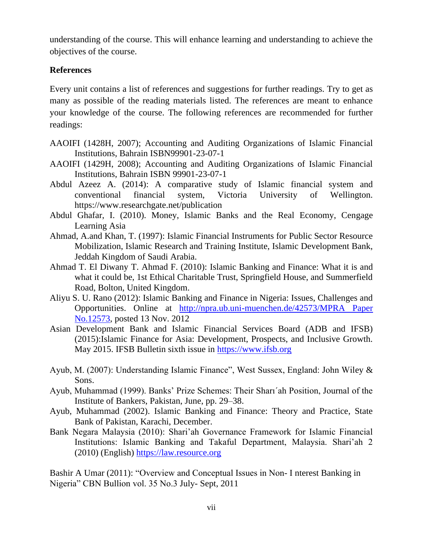understanding of the course. This will enhance learning and understanding to achieve the objectives of the course.

### **References**

Every unit contains a list of references and suggestions for further readings. Try to get as many as possible of the reading materials listed. The references are meant to enhance your knowledge of the course. The following references are recommended for further readings:

- AAOIFI (1428H, 2007); Accounting and Auditing Organizations of Islamic Financial Institutions, Bahrain ISBN99901-23-07-1
- AAOIFI (1429H, 2008); Accounting and Auditing Organizations of Islamic Financial Institutions, Bahrain ISBN 99901-23-07-1
- Abdul Azeez A. (2014): A comparative study of Islamic financial system and conventional financial system, Victoria University of Wellington. <https://www.researchgate.net/publication>
- Abdul Ghafar, I. (2010). Money, Islamic Banks and the Real Economy, Cengage Learning Asia
- Ahmad, A.and Khan, T. (1997): Islamic Financial Instruments for Public Sector Resource Mobilization, Islamic Research and Training Institute, Islamic Development Bank, Jeddah Kingdom of Saudi Arabia.
- Ahmad T. El Diwany T. Ahmad F. (2010): Islamic Banking and Finance: What it is and what it could be, 1st Ethical Charitable Trust, Springfield House, and Summerfield Road, Bolton, United Kingdom.
- Aliyu S. U. Rano (2012): Islamic Banking and Finance in Nigeria: Issues, Challenges and Opportunities. Online at [http://npra.ub.uni-muenchen.de/42573/MPRA Paper](http://npra.ub.uni-muenchen.de/42573/MPRA%20Paper%20No.12573)  [No.12573,](http://npra.ub.uni-muenchen.de/42573/MPRA%20Paper%20No.12573) posted 13 Nov. 2012
- Asian Development Bank and Islamic Financial Services Board (ADB and IFSB) (2015):Islamic Finance for Asia: Development, Prospects, and Inclusive Growth. May 2015. IFSB Bulletin sixth issue in [https://www.ifsb.org](https://www.ifsb.org/)
- Ayub, M. (2007): Understanding Islamic Finance", West Sussex, England: John Wiley & Sons.
- Ayub, Muhammad (1999). Banks' Prize Schemes: Their Sharı´ah Position, Journal of the Institute of Bankers, Pakistan, June, pp. 29–38.
- Ayub, Muhammad (2002). Islamic Banking and Finance: Theory and Practice, State Bank of Pakistan, Karachi, December.
- Bank Negara Malaysia (2010): Shari'ah Governance Framework for Islamic Financial Institutions: Islamic Banking and Takaful Department, Malaysia. Shari'ah 2 (2010) (English) [https://law.resource.org](https://law.resource.org/)

Bashir A Umar (2011): "Overview and Conceptual Issues in Non- I nterest Banking in Nigeria" CBN Bullion vol. 35 No.3 July- Sept, 2011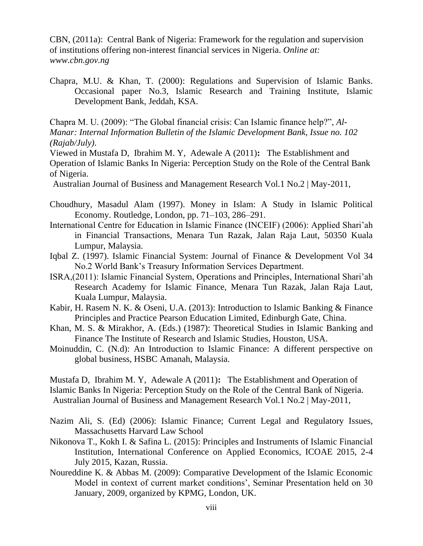CBN, (2011a): Central Bank of Nigeria: Framework for the regulation and supervision of institutions offering non-interest financial services in Nigeria. *Online at: www.cbn.gov.ng* 

Chapra, M.U. & Khan, T. (2000): Regulations and Supervision of Islamic Banks. Occasional paper No.3, Islamic Research and Training Institute, Islamic Development Bank, Jeddah, KSA.

Chapra M. U. (2009): "The Global financial crisis: Can Islamic finance help?", *Al-Manar: Internal Information Bulletin of the Islamic Development Bank, Issue no. 102 (Rajab/July).* 

Viewed in Mustafa D, Ibrahim M. Y, Adewale A (2011)**:** The Establishment and Operation of Islamic Banks In Nigeria: Perception Study on the Role of the Central Bank of Nigeria.

Australian Journal of Business and Management Research Vol.1 No.2 | May-2011,

- Choudhury, Masadul Alam (1997). Money in Islam: A Study in Islamic Political Economy. Routledge, London, pp. 71–103, 286–291.
- International Centre for Education in Islamic Finance (INCEIF) (2006): Applied Shari'ah in Financial Transactions, Menara Tun Razak, Jalan Raja Laut, 50350 Kuala Lumpur, Malaysia.
- Iqbal Z. (1997). Islamic Financial System: Journal of Finance & Development Vol 34 No.2 World Bank's Treasury Information Services Department.
- ISRA,(2011): Islamic Financial System, Operations and Principles, International Shari'ah Research Academy for Islamic Finance, Menara Tun Razak, Jalan Raja Laut, Kuala Lumpur, Malaysia.
- Kabir, H. Rasem N. K. & Oseni, U.A. (2013): Introduction to Islamic Banking & Finance Principles and Practice Pearson Education Limited, Edinburgh Gate, China.
- Khan, M. S. & Mirakhor, A. (Eds.) (1987): Theoretical Studies in Islamic Banking and Finance The Institute of Research and Islamic Studies, Houston, USA.
- Moinuddin, C. (N.d): An Introduction to Islamic Finance: A different perspective on global business, HSBC Amanah, Malaysia.

Mustafa D, Ibrahim M. Y, Adewale A (2011)**:** The Establishment and Operation of Islamic Banks In Nigeria: Perception Study on the Role of the Central Bank of Nigeria. Australian Journal of Business and Management Research Vol.1 No.2 | May-2011,

- Nazim Ali, S. (Ed) (2006): Islamic Finance; Current Legal and Regulatory Issues, Massachusetts Harvard Law School
- Nikonova T., Kokh I. & Safina L. (2015): Principles and Instruments of Islamic Financial Institution, International Conference on Applied Economics, ICOAE 2015, 2-4 July 2015, Kazan, Russia.
- Noureddine K. & Abbas M. (2009): Comparative Development of the Islamic Economic Model in context of current market conditions', Seminar Presentation held on 30 January, 2009, organized by KPMG, London, UK.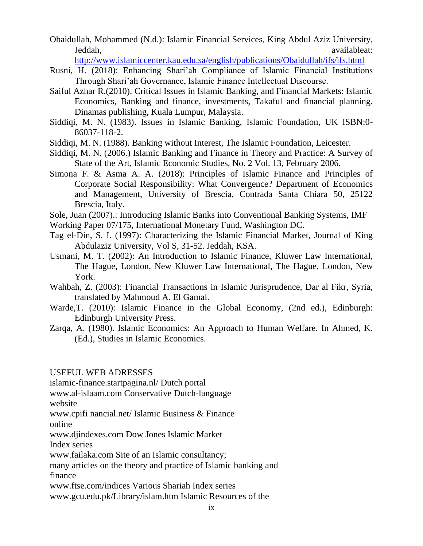Obaidullah, Mohammed (N.d.): Islamic Financial Services, King Abdul Aziz University, Jeddah, availableat:

<http://www.islamiccenter.kau.edu.sa/english/publications/Obaidullah/ifs/ifs.html>

- Rusni, H. (2018): Enhancing Shari'ah Compliance of Islamic Financial Institutions Through Shari'ah Governance, Islamic Finance Intellectual Discourse.
- Saiful Azhar R.(2010). Critical Issues in Islamic Banking, and Financial Markets: Islamic Economics, Banking and finance, investments, Takaful and financial planning. Dinamas publishing, Kuala Lumpur, Malaysia.
- Siddiqi, M. N. (1983). Issues in Islamic Banking, Islamic Foundation, UK ISBN:0- 86037-118-2.
- Siddiqi, M. N. (1988). Banking without Interest, The Islamic Foundation, Leicester.
- Siddiqi, M. N. (2006.) Islamic Banking and Finance in Theory and Practice: A Survey of State of the Art, Islamic Economic Studies, No. 2 Vol. 13, February 2006.
- Simona F. & Asma A. A. (2018): Principles of Islamic Finance and Principles of Corporate Social Responsibility: What Convergence? Department of Economics and Management, University of Brescia, Contrada Santa Chiara 50, 25122 Brescia, Italy.

Sole, Juan (2007).: Introducing Islamic Banks into Conventional Banking Systems, IMF

- Working Paper 07/175, International Monetary Fund, Washington DC.
- Tag el-Din, S. I. (1997): Characterizing the Islamic Financial Market, Journal of King Abdulaziz University, Vol S, 31-52. Jeddah, KSA.
- Usmani, M. T. (2002): An Introduction to Islamic Finance, Kluwer Law International, The Hague, London, New Kluwer Law International, The Hague, London, New York.
- Wahbah, Z. (2003): Financial Transactions in Islamic Jurisprudence, Dar al Fikr, Syria, translated by Mahmoud A. El Gamal.
- Warde,T. (2010): Islamic Finance in the Global Economy, (2nd ed.), Edinburgh: Edinburgh University Press.
- Zarqa, A. (1980). Islamic Economics: An Approach to Human Welfare. In Ahmed, K. (Ed.), Studies in Islamic Economics.

### USEFUL WEB ADRESSES

islamic-finance.startpagina.nl/ Dutch portal

www.al-islaam.com Conservative Dutch-language

website

www.cpifi nancial.net/ Islamic Business & Finance

online

www.djindexes.com Dow Jones Islamic Market

Index series

www.failaka.com Site of an Islamic consultancy;

many articles on the theory and practice of Islamic banking and finance

www.ftse.com/indices Various Shariah Index series

www.gcu.edu.pk/Library/islam.htm Islamic Resources of the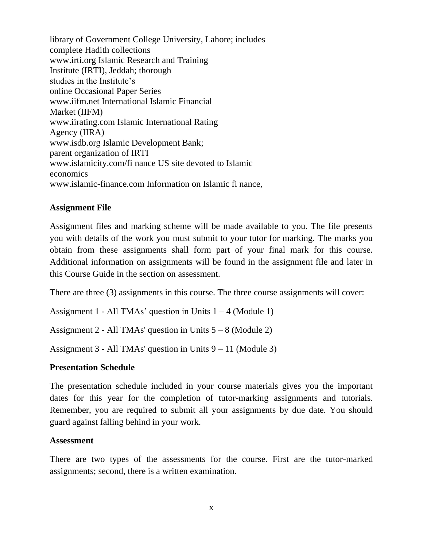library of Government College University, Lahore; includes complete Hadith collections www.irti.org Islamic Research and Training Institute (IRTI), Jeddah; thorough studies in the Institute's online Occasional Paper Series www.iifm.net International Islamic Financial Market (IIFM) www.iirating.com Islamic International Rating Agency (IIRA) www.isdb.org Islamic Development Bank; parent organization of IRTI www.islamicity.com/fi nance US site devoted to Islamic economics www.islamic-finance.com Information on Islamic fi nance,

#### **Assignment File**

Assignment files and marking scheme will be made available to you. The file presents you with details of the work you must submit to your tutor for marking. The marks you obtain from these assignments shall form part of your final mark for this course. Additional information on assignments will be found in the assignment file and later in this Course Guide in the section on assessment.

There are three (3) assignments in this course. The three course assignments will cover:

Assignment 1 - All TMAs' question in Units  $1 - 4$  (Module 1)

Assignment 2 - All TMAs' question in Units  $5 - 8$  (Module 2)

Assignment 3 - All TMAs' question in Units 9 – 11 (Module 3)

#### **Presentation Schedule**

The presentation schedule included in your course materials gives you the important dates for this year for the completion of tutor-marking assignments and tutorials. Remember, you are required to submit all your assignments by due date. You should guard against falling behind in your work.

#### **Assessment**

There are two types of the assessments for the course. First are the tutor-marked assignments; second, there is a written examination.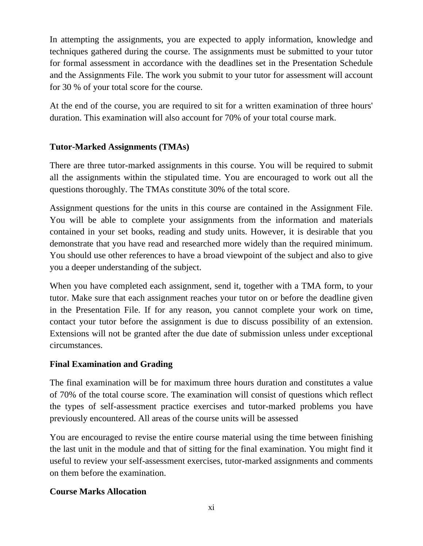In attempting the assignments, you are expected to apply information, knowledge and techniques gathered during the course. The assignments must be submitted to your tutor for formal assessment in accordance with the deadlines set in the Presentation Schedule and the Assignments File. The work you submit to your tutor for assessment will account for 30 % of your total score for the course.

At the end of the course, you are required to sit for a written examination of three hours' duration. This examination will also account for 70% of your total course mark.

### **Tutor-Marked Assignments (TMAs)**

There are three tutor-marked assignments in this course. You will be required to submit all the assignments within the stipulated time. You are encouraged to work out all the questions thoroughly. The TMAs constitute 30% of the total score.

Assignment questions for the units in this course are contained in the Assignment File. You will be able to complete your assignments from the information and materials contained in your set books, reading and study units. However, it is desirable that you demonstrate that you have read and researched more widely than the required minimum. You should use other references to have a broad viewpoint of the subject and also to give you a deeper understanding of the subject.

When you have completed each assignment, send it, together with a TMA form, to your tutor. Make sure that each assignment reaches your tutor on or before the deadline given in the Presentation File. If for any reason, you cannot complete your work on time, contact your tutor before the assignment is due to discuss possibility of an extension. Extensions will not be granted after the due date of submission unless under exceptional circumstances.

### **Final Examination and Grading**

The final examination will be for maximum three hours duration and constitutes a value of 70% of the total course score. The examination will consist of questions which reflect the types of self-assessment practice exercises and tutor-marked problems you have previously encountered. All areas of the course units will be assessed

You are encouraged to revise the entire course material using the time between finishing the last unit in the module and that of sitting for the final examination. You might find it useful to review your self-assessment exercises, tutor-marked assignments and comments on them before the examination.

### **Course Marks Allocation**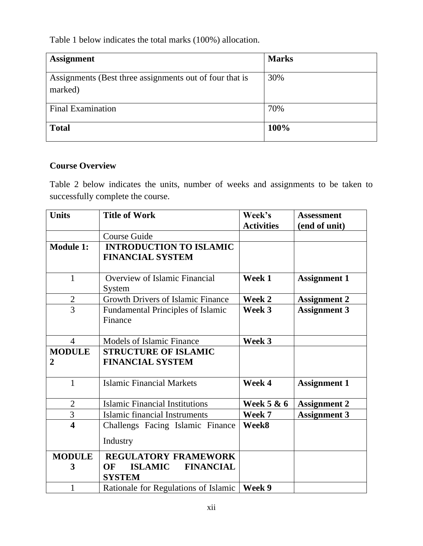Table 1 below indicates the total marks (100%) allocation.

| <b>Assignment</b>                                                  | <b>Marks</b> |
|--------------------------------------------------------------------|--------------|
| Assignments (Best three assignments out of four that is<br>marked) | 30%          |
| <b>Final Examination</b>                                           | 70%          |
| <b>Total</b>                                                       | 100%         |

### **Course Overview**

Table 2 below indicates the units, number of weeks and assignments to be taken to successfully complete the course.

| <b>Units</b>            | <b>Title of Work</b>                     | Week's                | <b>Assessment</b>   |
|-------------------------|------------------------------------------|-----------------------|---------------------|
|                         |                                          | <b>Activities</b>     | (end of unit)       |
|                         | <b>Course Guide</b>                      |                       |                     |
| <b>Module 1:</b>        | <b>INTRODUCTION TO ISLAMIC</b>           |                       |                     |
|                         | <b>FINANCIAL SYSTEM</b>                  |                       |                     |
| $\mathbf{1}$            | Overview of Islamic Financial<br>System  | Week 1                | <b>Assignment 1</b> |
| $\overline{2}$          | <b>Growth Drivers of Islamic Finance</b> | Week 2                | <b>Assignment 2</b> |
| $\overline{3}$          | <b>Fundamental Principles of Islamic</b> | Week 3                | <b>Assignment 3</b> |
|                         | Finance                                  |                       |                     |
|                         |                                          |                       |                     |
| $\overline{4}$          | <b>Models of Islamic Finance</b>         | Week 3                |                     |
| <b>MODULE</b>           | <b>STRUCTURE OF ISLAMIC</b>              |                       |                     |
| $\overline{2}$          | <b>FINANCIAL SYSTEM</b>                  |                       |                     |
|                         |                                          |                       |                     |
| $\mathbf{1}$            | <b>Islamic Financial Markets</b>         | Week 4                | <b>Assignment 1</b> |
|                         |                                          |                       |                     |
| $\overline{2}$          | <b>Islamic Financial Institutions</b>    | <b>Week 5 &amp; 6</b> | <b>Assignment 2</b> |
| 3                       | Islamic financial Instruments            | Week 7                | <b>Assignment 3</b> |
| $\overline{\mathbf{4}}$ | Challengs Facing Islamic Finance         | Week8                 |                     |
|                         | Industry                                 |                       |                     |
|                         |                                          |                       |                     |
| <b>MODULE</b>           | <b>REGULATORY FRAMEWORK</b>              |                       |                     |
| 3                       | <b>ISLAMIC</b><br>OF<br><b>FINANCIAL</b> |                       |                     |
|                         | <b>SYSTEM</b>                            |                       |                     |
| 1                       | Rationale for Regulations of Islamic     | Week 9                |                     |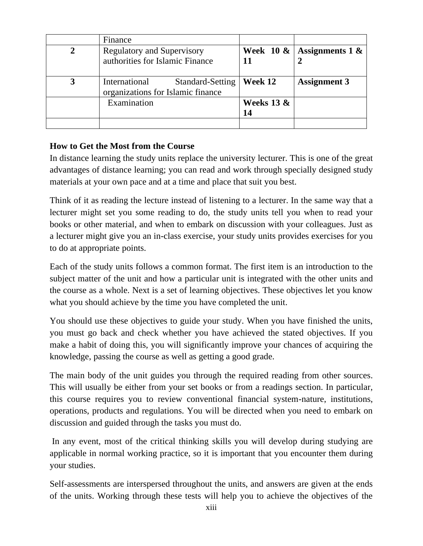| Finance                                                                |                     |                     |
|------------------------------------------------------------------------|---------------------|---------------------|
| <b>Regulatory and Supervisory</b><br>authorities for Islamic Finance   | Week $10 \&$        | Assignments 1 $\&$  |
| Standard-Setting<br>International<br>organizations for Islamic finance | Week 12             | <b>Assignment 3</b> |
| Examination                                                            | Weeks $13 \&$<br>14 |                     |
|                                                                        |                     |                     |

### **How to Get the Most from the Course**

In distance learning the study units replace the university lecturer. This is one of the great advantages of distance learning; you can read and work through specially designed study materials at your own pace and at a time and place that suit you best.

Think of it as reading the lecture instead of listening to a lecturer. In the same way that a lecturer might set you some reading to do, the study units tell you when to read your books or other material, and when to embark on discussion with your colleagues. Just as a lecturer might give you an in-class exercise, your study units provides exercises for you to do at appropriate points.

Each of the study units follows a common format. The first item is an introduction to the subject matter of the unit and how a particular unit is integrated with the other units and the course as a whole. Next is a set of learning objectives. These objectives let you know what you should achieve by the time you have completed the unit.

You should use these objectives to guide your study. When you have finished the units, you must go back and check whether you have achieved the stated objectives. If you make a habit of doing this, you will significantly improve your chances of acquiring the knowledge, passing the course as well as getting a good grade.

The main body of the unit guides you through the required reading from other sources. This will usually be either from your set books or from a readings section. In particular, this course requires you to review conventional financial system-nature, institutions, operations, products and regulations. You will be directed when you need to embark on discussion and guided through the tasks you must do.

In any event, most of the critical thinking skills you will develop during studying are applicable in normal working practice, so it is important that you encounter them during your studies.

Self-assessments are interspersed throughout the units, and answers are given at the ends of the units. Working through these tests will help you to achieve the objectives of the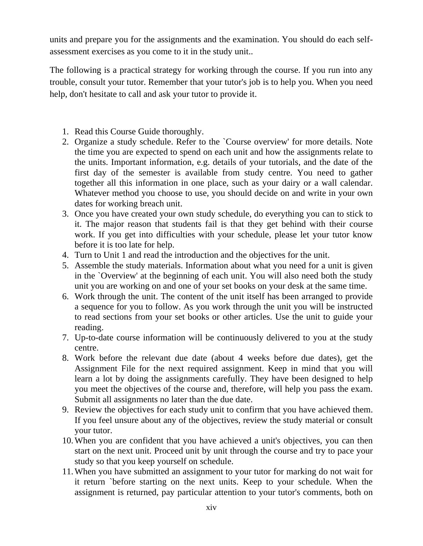units and prepare you for the assignments and the examination. You should do each selfassessment exercises as you come to it in the study unit..

The following is a practical strategy for working through the course. If you run into any trouble, consult your tutor. Remember that your tutor's job is to help you. When you need help, don't hesitate to call and ask your tutor to provide it.

- 1. Read this Course Guide thoroughly.
- 2. Organize a study schedule. Refer to the `Course overview' for more details. Note the time you are expected to spend on each unit and how the assignments relate to the units. Important information, e.g. details of your tutorials, and the date of the first day of the semester is available from study centre. You need to gather together all this information in one place, such as your dairy or a wall calendar. Whatever method you choose to use, you should decide on and write in your own dates for working breach unit.
- 3. Once you have created your own study schedule, do everything you can to stick to it. The major reason that students fail is that they get behind with their course work. If you get into difficulties with your schedule, please let your tutor know before it is too late for help.
- 4. Turn to Unit 1 and read the introduction and the objectives for the unit.
- 5. Assemble the study materials. Information about what you need for a unit is given in the `Overview' at the beginning of each unit. You will also need both the study unit you are working on and one of your set books on your desk at the same time.
- 6. Work through the unit. The content of the unit itself has been arranged to provide a sequence for you to follow. As you work through the unit you will be instructed to read sections from your set books or other articles. Use the unit to guide your reading.
- 7. Up-to-date course information will be continuously delivered to you at the study centre.
- 8. Work before the relevant due date (about 4 weeks before due dates), get the Assignment File for the next required assignment. Keep in mind that you will learn a lot by doing the assignments carefully. They have been designed to help you meet the objectives of the course and, therefore, will help you pass the exam. Submit all assignments no later than the due date.
- 9. Review the objectives for each study unit to confirm that you have achieved them. If you feel unsure about any of the objectives, review the study material or consult your tutor.
- 10.When you are confident that you have achieved a unit's objectives, you can then start on the next unit. Proceed unit by unit through the course and try to pace your study so that you keep yourself on schedule.
- 11.When you have submitted an assignment to your tutor for marking do not wait for it return `before starting on the next units. Keep to your schedule. When the assignment is returned, pay particular attention to your tutor's comments, both on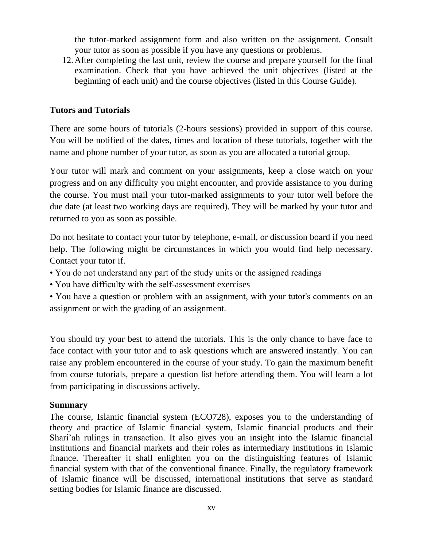the tutor-marked assignment form and also written on the assignment. Consult your tutor as soon as possible if you have any questions or problems.

12.After completing the last unit, review the course and prepare yourself for the final examination. Check that you have achieved the unit objectives (listed at the beginning of each unit) and the course objectives (listed in this Course Guide).

### **Tutors and Tutorials**

There are some hours of tutorials (2-hours sessions) provided in support of this course. You will be notified of the dates, times and location of these tutorials, together with the name and phone number of your tutor, as soon as you are allocated a tutorial group.

Your tutor will mark and comment on your assignments, keep a close watch on your progress and on any difficulty you might encounter, and provide assistance to you during the course. You must mail your tutor-marked assignments to your tutor well before the due date (at least two working days are required). They will be marked by your tutor and returned to you as soon as possible.

Do not hesitate to contact your tutor by telephone, e-mail, or discussion board if you need help. The following might be circumstances in which you would find help necessary. Contact your tutor if.

- You do not understand any part of the study units or the assigned readings
- You have difficulty with the self-assessment exercises
- You have a question or problem with an assignment, with your tutor's comments on an assignment or with the grading of an assignment.

You should try your best to attend the tutorials. This is the only chance to have face to face contact with your tutor and to ask questions which are answered instantly. You can raise any problem encountered in the course of your study. To gain the maximum benefit from course tutorials, prepare a question list before attending them. You will learn a lot from participating in discussions actively.

#### **Summary**

The course, Islamic financial system (ECO728), exposes you to the understanding of theory and practice of Islamic financial system, Islamic financial products and their Shari'ah rulings in transaction. It also gives you an insight into the Islamic financial institutions and financial markets and their roles as intermediary institutions in Islamic finance. Thereafter it shall enlighten you on the distinguishing features of Islamic financial system with that of the conventional finance. Finally, the regulatory framework of Islamic finance will be discussed, international institutions that serve as standard setting bodies for Islamic finance are discussed.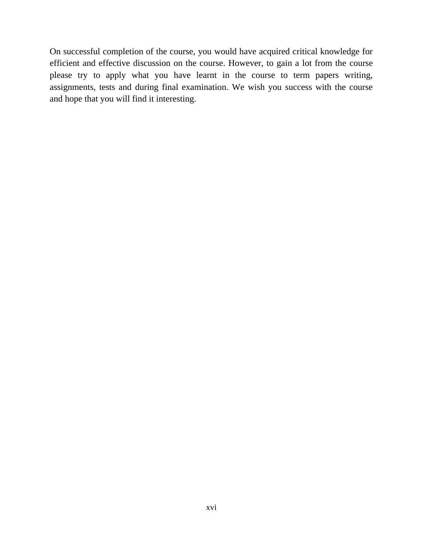On successful completion of the course, you would have acquired critical knowledge for efficient and effective discussion on the course. However, to gain a lot from the course please try to apply what you have learnt in the course to term papers writing, assignments, tests and during final examination. We wish you success with the course and hope that you will find it interesting.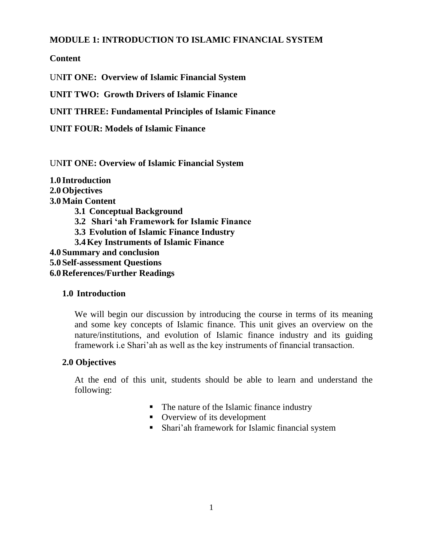#### **MODULE 1: INTRODUCTION TO ISLAMIC FINANCIAL SYSTEM**

**Content**

UN**IT ONE: Overview of Islamic Financial System**

**UNIT TWO: Growth Drivers of Islamic Finance**

**UNIT THREE: Fundamental Principles of Islamic Finance**

**UNIT FOUR: Models of Islamic Finance**

UN**IT ONE: Overview of Islamic Financial System**

**1.0 Introduction 2.0Objectives 3.0Main Content 3.1 Conceptual Background 3.2 Shari 'ah Framework for Islamic Finance 3.3 Evolution of Islamic Finance Industry 3.4Key Instruments of Islamic Finance 4.0Summary and conclusion 5.0Self-assessment Questions**

**6.0References/Further Readings**

### **1.0 Introduction**

We will begin our discussion by introducing the course in terms of its meaning and some key concepts of Islamic finance. This unit gives an overview on the nature/institutions, and evolution of Islamic finance industry and its guiding framework i.e Shari'ah as well as the key instruments of financial transaction.

### **2.0 Objectives**

At the end of this unit, students should be able to learn and understand the following:

- The nature of the Islamic finance industry
- Overview of its development
- **Exercise 1** Shari'ah framework for Islamic financial system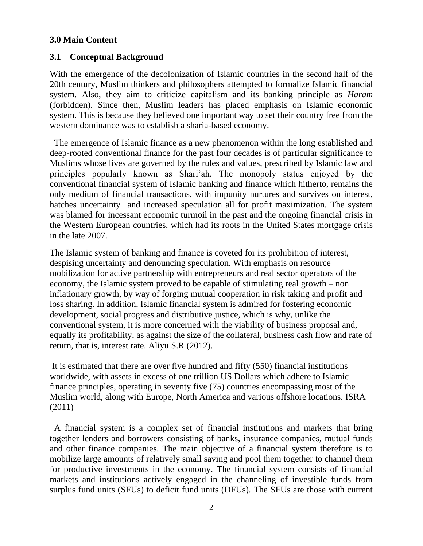#### **3.0 Main Content**

#### **3.1 Conceptual Background**

With the emergence of the decolonization of Islamic countries in the second half of the 20th century, Muslim thinkers and philosophers attempted to formalize Islamic financial system. Also, they aim to criticize capitalism and its banking principle as *Haram*  (forbidden). Since then, Muslim leaders has placed emphasis on Islamic economic system. This is because they believed one important way to set their country free from the western dominance was to establish a sharia-based economy.

The emergence of Islamic finance as a new phenomenon within the long established and deep-rooted conventional finance for the past four decades is of particular significance to Muslims whose lives are governed by the rules and values, prescribed by Islamic law and principles popularly known as Shari'ah. The monopoly status enjoyed by the conventional financial system of Islamic banking and finance which hitherto, remains the only medium of financial transactions, with impunity nurtures and survives on interest, hatches uncertainty and increased speculation all for profit maximization. The system was blamed for incessant economic turmoil in the past and the ongoing financial crisis in the Western European countries, which had its roots in the United States mortgage crisis in the late 2007.

The Islamic system of banking and finance is coveted for its prohibition of interest, despising uncertainty and denouncing speculation. With emphasis on resource mobilization for active partnership with entrepreneurs and real sector operators of the economy, the Islamic system proved to be capable of stimulating real growth – non inflationary growth, by way of forging mutual cooperation in risk taking and profit and loss sharing. In addition, Islamic financial system is admired for fostering economic development, social progress and distributive justice, which is why, unlike the conventional system, it is more concerned with the viability of business proposal and, equally its profitability, as against the size of the collateral, business cash flow and rate of return, that is, interest rate. Aliyu S.R (2012).

It is estimated that there are over five hundred and fifty (550) financial institutions worldwide, with assets in excess of one trillion US Dollars which adhere to Islamic finance principles, operating in seventy five (75) countries encompassing most of the Muslim world, along with Europe, North America and various offshore locations. ISRA (2011)

 A financial system is a complex set of financial institutions and markets that bring together lenders and borrowers consisting of banks, insurance companies, mutual funds and other finance companies. The main objective of a financial system therefore is to mobilize large amounts of relatively small saving and pool them together to channel them for productive investments in the economy. The financial system consists of financial markets and institutions actively engaged in the channeling of investible funds from surplus fund units (SFUs) to deficit fund units (DFUs). The SFUs are those with current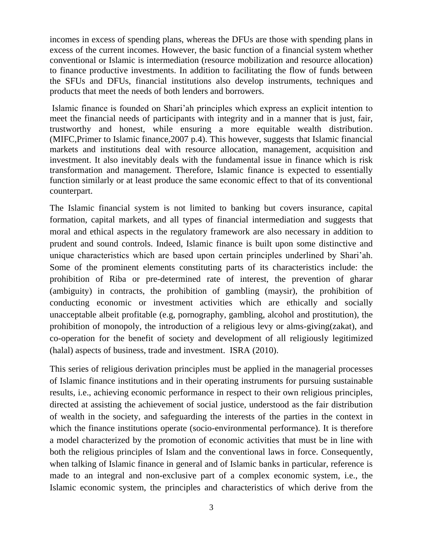incomes in excess of spending plans, whereas the DFUs are those with spending plans in excess of the current incomes. However, the basic function of a financial system whether conventional or Islamic is intermediation (resource mobilization and resource allocation) to finance productive investments. In addition to facilitating the flow of funds between the SFUs and DFUs, financial institutions also develop instruments, techniques and products that meet the needs of both lenders and borrowers.

Islamic finance is founded on Shari'ah principles which express an explicit intention to meet the financial needs of participants with integrity and in a manner that is just, fair, trustworthy and honest, while ensuring a more equitable wealth distribution. (MIFC,Primer to Islamic finance,2007 p.4). This however, suggests that Islamic financial markets and institutions deal with resource allocation, management, acquisition and investment. It also inevitably deals with the fundamental issue in finance which is risk transformation and management. Therefore, Islamic finance is expected to essentially function similarly or at least produce the same economic effect to that of its conventional counterpart.

The Islamic financial system is not limited to banking but covers insurance, capital formation, capital markets, and all types of financial intermediation and suggests that moral and ethical aspects in the regulatory framework are also necessary in addition to prudent and sound controls. Indeed, Islamic finance is built upon some distinctive and unique characteristics which are based upon certain principles underlined by Shari'ah. Some of the prominent elements constituting parts of its characteristics include: the prohibition of Riba or pre-determined rate of interest, the prevention of gharar (ambiguity) in contracts, the prohibition of gambling (maysir), the prohibition of conducting economic or investment activities which are ethically and socially unacceptable albeit profitable (e.g, pornography, gambling, alcohol and prostitution), the prohibition of monopoly, the introduction of a religious levy or alms-giving(zakat), and co-operation for the benefit of society and development of all religiously legitimized (halal) aspects of business, trade and investment. ISRA (2010).

This series of religious derivation principles must be applied in the managerial processes of Islamic finance institutions and in their operating instruments for pursuing sustainable results, i.e., achieving economic performance in respect to their own religious principles, directed at assisting the achievement of social justice, understood as the fair distribution of wealth in the society, and safeguarding the interests of the parties in the context in which the finance institutions operate (socio-environmental performance). It is therefore a model characterized by the promotion of economic activities that must be in line with both the religious principles of Islam and the conventional laws in force. Consequently, when talking of Islamic finance in general and of Islamic banks in particular, reference is made to an integral and non-exclusive part of a complex economic system, i.e., the Islamic economic system, the principles and characteristics of which derive from the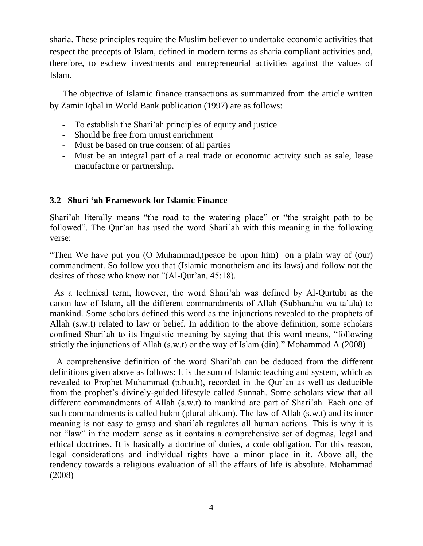sharia. These principles require the Muslim believer to undertake economic activities that respect the precepts of Islam, defined in modern terms as sharia compliant activities and, therefore, to eschew investments and entrepreneurial activities against the values of Islam.

 The objective of Islamic finance transactions as summarized from the article written by Zamir Iqbal in World Bank publication (1997) are as follows:

- To establish the Shari'ah principles of equity and justice
- Should be free from unjust enrichment
- Must be based on true consent of all parties
- Must be an integral part of a real trade or economic activity such as sale, lease manufacture or partnership.

### **3.2 Shari 'ah Framework for Islamic Finance**

Shari'ah literally means "the road to the watering place" or "the straight path to be followed". The Qur'an has used the word Shari'ah with this meaning in the following verse:

"Then We have put you (O Muhammad,(peace be upon him) on a plain way of (our) commandment. So follow you that (Islamic monotheism and its laws) and follow not the desires of those who know not."(Al-Qur'an, 45:18).

 As a technical term, however, the word Shari'ah was defined by Al-Qurtubi as the canon law of Islam, all the different commandments of Allah (Subhanahu wa ta'ala) to mankind. Some scholars defined this word as the injunctions revealed to the prophets of Allah (s.w.t) related to law or belief. In addition to the above definition, some scholars confined Shari'ah to its linguistic meaning by saying that this word means, "following strictly the injunctions of Allah (s.w.t) or the way of Islam (din)." Mohammad A (2008)

 A comprehensive definition of the word Shari'ah can be deduced from the different definitions given above as follows: It is the sum of Islamic teaching and system, which as revealed to Prophet Muhammad (p.b.u.h), recorded in the Qur'an as well as deducible from the prophet's divinely-guided lifestyle called Sunnah. Some scholars view that all different commandments of Allah (s.w.t) to mankind are part of Shari'ah. Each one of such commandments is called hukm (plural ahkam). The law of Allah (s.w.t) and its inner meaning is not easy to grasp and shari'ah regulates all human actions. This is why it is not "law" in the modern sense as it contains a comprehensive set of dogmas, legal and ethical doctrines. It is basically a doctrine of duties, a code obligation. For this reason, legal considerations and individual rights have a minor place in it. Above all, the tendency towards a religious evaluation of all the affairs of life is absolute. Mohammad (2008)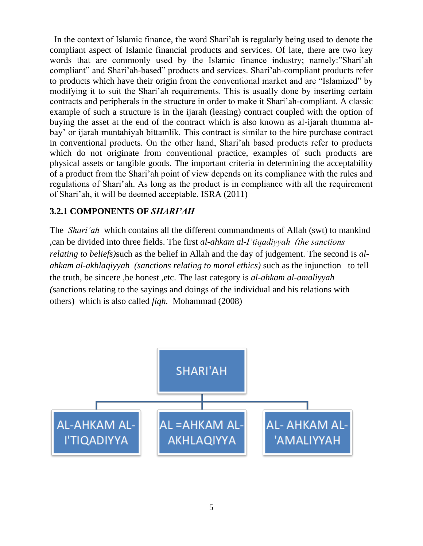In the context of Islamic finance, the word Shari'ah is regularly being used to denote the compliant aspect of Islamic financial products and services. Of late, there are two key words that are commonly used by the Islamic finance industry; namely:"Shari'ah compliant" and Shari'ah-based" products and services. Shari'ah-compliant products refer to products which have their origin from the conventional market and are "Islamized" by modifying it to suit the Shari'ah requirements. This is usually done by inserting certain contracts and peripherals in the structure in order to make it Shari'ah-compliant. A classic example of such a structure is in the ijarah (leasing) contract coupled with the option of buying the asset at the end of the contract which is also known as al-ijarah thumma albay' or ijarah muntahiyah bittamlik. This contract is similar to the hire purchase contract in conventional products. On the other hand, Shari'ah based products refer to products which do not originate from conventional practice, examples of such products are physical assets or tangible goods. The important criteria in determining the acceptability of a product from the Shari'ah point of view depends on its compliance with the rules and regulations of Shari'ah. As long as the product is in compliance with all the requirement of Shari'ah, it will be deemed acceptable. ISRA (2011)

### **3.2.1 COMPONENTS OF** *SHARI'AH*

The *Shari'ah* which contains all the different commandments of Allah (swt) to mankind ,can be divided into three fields. The first *al-ahkam al-I'tiqadiyyah (the sanctions relating to beliefs)*such as the belief in Allah and the day of judgement. The second is *alahkam al-akhlaqiyyah (sanctions relating to moral ethics)* such as the injunction to tell the truth, be sincere ,be honest ,etc. The last category is *al-ahkam al-amaliyyah (*sanctions relating to the sayings and doings of the individual and his relations with others) which is also called *fiqh.*Mohammad (2008)

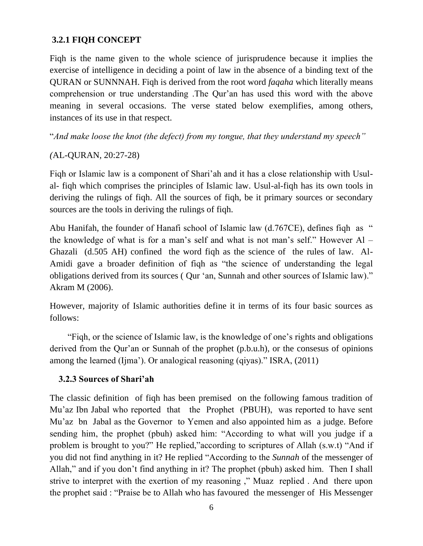### **3.2.1 FIQH CONCEPT**

Fiqh is the name given to the whole science of jurisprudence because it implies the exercise of intelligence in deciding a point of law in the absence of a binding text of the QURAN or SUNNNAH. Fiqh is derived from the root word *faqaha* which literally means comprehension or true understanding .The Qur'an has used this word with the above meaning in several occasions. The verse stated below exemplifies, among others, instances of its use in that respect.

"*And make loose the knot (the defect) from my tongue, that they understand my speech"*

### *(*AL-QURAN, 20:27-28)

Fiqh or Islamic law is a component of Shari'ah and it has a close relationship with Usulal- fiqh which comprises the principles of Islamic law. Usul-al-fiqh has its own tools in deriving the rulings of fiqh. All the sources of fiqh, be it primary sources or secondary sources are the tools in deriving the rulings of fiqh.

Abu Hanifah, the founder of Hanafi school of Islamic law (d.767CE), defines figh as " the knowledge of what is for a man's self and what is not man's self." However Al – Ghazali (d.505 AH) confined the word fiqh as the science of the rules of law. Al-Amidi gave a broader definition of fiqh as "the science of understanding the legal obligations derived from its sources ( Qur 'an, Sunnah and other sources of Islamic law)." Akram M (2006).

However, majority of Islamic authorities define it in terms of its four basic sources as follows:

 "Fiqh, or the science of Islamic law, is the knowledge of one's rights and obligations derived from the Qur'an or Sunnah of the prophet (p.b.u.h), or the consesus of opinions among the learned (Ijma'). Or analogical reasoning (qiyas)." ISRA, (2011)

### **3.2.3 Sources of Shari'ah**

The classic definition of fiqh has been premised on the following famous tradition of Mu'az Ibn Jabal who reported that the Prophet (PBUH), was reported to have sent Mu'az bn Jabal as the Governor to Yemen and also appointed him as a judge. Before sending him, the prophet (pbuh) asked him: "According to what will you judge if a problem is brought to you?" He replied,"according to scriptures of Allah (s.w.t) "And if you did not find anything in it? He replied "According to the *Sunnah* of the messenger of Allah," and if you don't find anything in it? The prophet (pbuh) asked him. Then I shall strive to interpret with the exertion of my reasoning ," Muaz replied . And there upon the prophet said : "Praise be to Allah who has favoured the messenger of His Messenger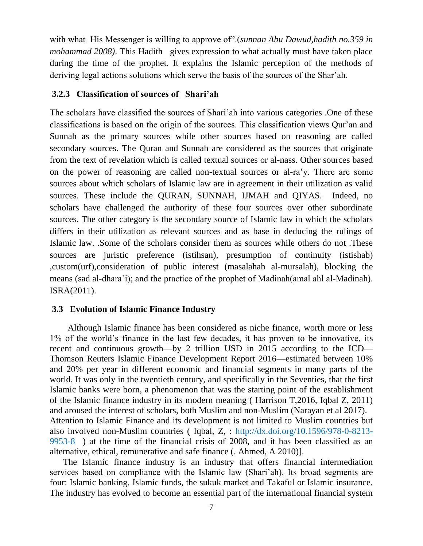with what His Messenger is willing to approve of".(*sunnan Abu Dawud,hadith no.359 in mohammad 2008*). This Hadith gives expression to what actually must have taken place during the time of the prophet. It explains the Islamic perception of the methods of deriving legal actions solutions which serve the basis of the sources of the Shar'ah.

#### **3.2.3 Classification of sources of Shari'ah**

The scholars have classified the sources of Shari'ah into various categories .One of these classifications is based on the origin of the sources. This classification views Qur'an and Sunnah as the primary sources while other sources based on reasoning are called secondary sources. The Quran and Sunnah are considered as the sources that originate from the text of revelation which is called textual sources or al-nass. Other sources based on the power of reasoning are called non-textual sources or al-ra'y. There are some sources about which scholars of Islamic law are in agreement in their utilization as valid sources. These include the QURAN, SUNNAH, IJMAH and QIYAS. Indeed, no scholars have challenged the authority of these four sources over other subordinate sources. The other category is the secondary source of Islamic law in which the scholars differs in their utilization as relevant sources and as base in deducing the rulings of Islamic law. .Some of the scholars consider them as sources while others do not .These sources are juristic preference (istihsan), presumption of continuity (istishab) ,custom(urf),consideration of public interest (masalahah al-mursalah), blocking the means (sad al-dhara'i); and the practice of the prophet of Madinah(amal ahl al-Madinah). ISRA(2011).

#### **3.3 Evolution of Islamic Finance Industry**

 Although Islamic finance has been considered as niche finance, worth more or less 1% of the world's finance in the last few decades, it has proven to be innovative, its recent and continuous growth—by 2 trillion USD in 2015 according to the ICD— Thomson Reuters Islamic Finance Development Report 2016—estimated between 10% and 20% per year in different economic and financial segments in many parts of the world. It was only in the twentieth century, and specifically in the Seventies, that the first Islamic banks were born, a phenomenon that was the starting point of the establishment of the Islamic finance industry in its modern meaning ( Harrison T,2016, Iqbal Z, 2011) and aroused the interest of scholars, both Muslim and non-Muslim (Narayan et al 2017). Attention to Islamic Finance and its development is not limited to Muslim countries but also involved non-Muslim countries ( Iqbal, Z, : http://dx.doi.org/10.1596/978-0-8213- 9953-8 ) at the time of the financial crisis of 2008, and it has been classified as an alternative, ethical, remunerative and safe finance (. Ahmed, A 2010)].

 The Islamic finance industry is an industry that offers financial intermediation services based on compliance with the Islamic law (Shari'ah). Its broad segments are four: Islamic banking, Islamic funds, the sukuk market and Takaful or Islamic insurance. The industry has evolved to become an essential part of the international financial system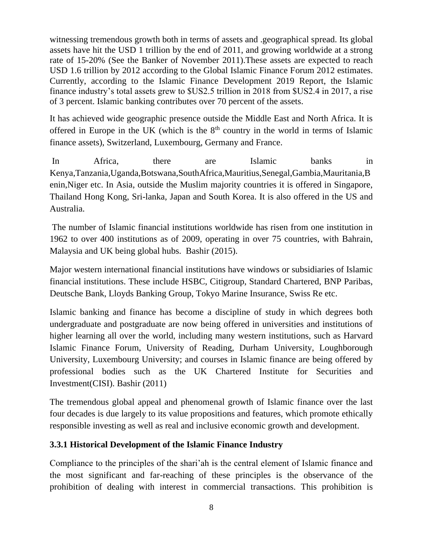witnessing tremendous growth both in terms of assets and .geographical spread. Its global assets have hit the USD 1 trillion by the end of 2011, and growing worldwide at a strong rate of 15-20% (See the Banker of November 2011).These assets are expected to reach USD 1.6 trillion by 2012 according to the Global Islamic Finance Forum 2012 estimates. Currently, according to the Islamic Finance Development 2019 Report, the Islamic finance industry's total assets grew to \$US2.5 trillion in 2018 from \$US2.4 in 2017, a rise of 3 percent. Islamic banking contributes over 70 percent of the assets.

It has achieved wide geographic presence outside the Middle East and North Africa. It is offered in Europe in the UK (which is the  $8<sup>th</sup>$  country in the world in terms of Islamic finance assets), Switzerland, Luxembourg, Germany and France.

In Africa, there are Islamic banks in Kenya,Tanzania,Uganda,Botswana,SouthAfrica,Mauritius,Senegal,Gambia,Mauritania,B enin,Niger etc. In Asia, outside the Muslim majority countries it is offered in Singapore, Thailand Hong Kong, Sri-lanka, Japan and South Korea. It is also offered in the US and Australia.

The number of Islamic financial institutions worldwide has risen from one institution in 1962 to over 400 institutions as of 2009, operating in over 75 countries, with Bahrain, Malaysia and UK being global hubs. Bashir (2015).

Major western international financial institutions have windows or subsidiaries of Islamic financial institutions. These include HSBC, Citigroup, Standard Chartered, BNP Paribas, Deutsche Bank, Lloyds Banking Group, Tokyo Marine Insurance, Swiss Re etc.

Islamic banking and finance has become a discipline of study in which degrees both undergraduate and postgraduate are now being offered in universities and institutions of higher learning all over the world, including many western institutions, such as Harvard Islamic Finance Forum, University of Reading, Durham University, Loughborough University, Luxembourg University; and courses in Islamic finance are being offered by professional bodies such as the UK Chartered Institute for Securities and Investment(CISI). Bashir (2011)

The tremendous global appeal and phenomenal growth of Islamic finance over the last four decades is due largely to its value propositions and features, which promote ethically responsible investing as well as real and inclusive economic growth and development.

### **3.3.1 Historical Development of the Islamic Finance Industry**

Compliance to the principles of the shari'ah is the central element of Islamic finance and the most significant and far-reaching of these principles is the observance of the prohibition of dealing with interest in commercial transactions. This prohibition is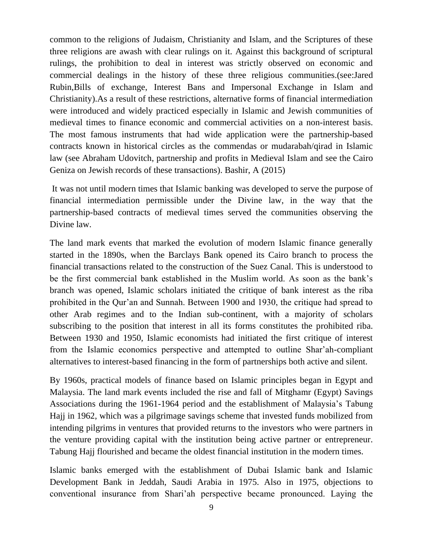common to the religions of Judaism, Christianity and Islam, and the Scriptures of these three religions are awash with clear rulings on it. Against this background of scriptural rulings, the prohibition to deal in interest was strictly observed on economic and commercial dealings in the history of these three religious communities.(see:Jared Rubin,Bills of exchange, Interest Bans and Impersonal Exchange in Islam and Christianity).As a result of these restrictions, alternative forms of financial intermediation were introduced and widely practiced especially in Islamic and Jewish communities of medieval times to finance economic and commercial activities on a non-interest basis. The most famous instruments that had wide application were the partnership-based contracts known in historical circles as the commendas or mudarabah/qirad in Islamic law (see Abraham Udovitch, partnership and profits in Medieval Islam and see the Cairo Geniza on Jewish records of these transactions). Bashir, A (2015)

It was not until modern times that Islamic banking was developed to serve the purpose of financial intermediation permissible under the Divine law, in the way that the partnership-based contracts of medieval times served the communities observing the Divine law.

The land mark events that marked the evolution of modern Islamic finance generally started in the 1890s, when the Barclays Bank opened its Cairo branch to process the financial transactions related to the construction of the Suez Canal. This is understood to be the first commercial bank established in the Muslim world. As soon as the bank's branch was opened, Islamic scholars initiated the critique of bank interest as the riba prohibited in the Qur'an and Sunnah. Between 1900 and 1930, the critique had spread to other Arab regimes and to the Indian sub-continent, with a majority of scholars subscribing to the position that interest in all its forms constitutes the prohibited riba. Between 1930 and 1950, Islamic economists had initiated the first critique of interest from the Islamic economics perspective and attempted to outline Shar'ah-compliant alternatives to interest-based financing in the form of partnerships both active and silent.

By 1960s, practical models of finance based on Islamic principles began in Egypt and Malaysia. The land mark events included the rise and fall of Mitghamr (Egypt) Savings Associations during the 1961-1964 period and the establishment of Malaysia's Tabung Hajj in 1962, which was a pilgrimage savings scheme that invested funds mobilized from intending pilgrims in ventures that provided returns to the investors who were partners in the venture providing capital with the institution being active partner or entrepreneur. Tabung Hajj flourished and became the oldest financial institution in the modern times.

Islamic banks emerged with the establishment of Dubai Islamic bank and Islamic Development Bank in Jeddah, Saudi Arabia in 1975. Also in 1975, objections to conventional insurance from Shari'ah perspective became pronounced. Laying the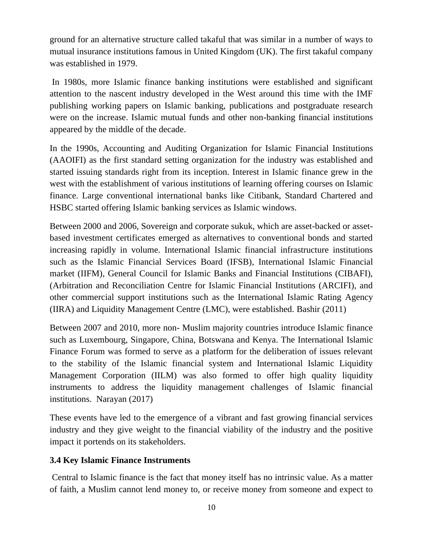ground for an alternative structure called takaful that was similar in a number of ways to mutual insurance institutions famous in United Kingdom (UK). The first takaful company was established in 1979.

In 1980s, more Islamic finance banking institutions were established and significant attention to the nascent industry developed in the West around this time with the IMF publishing working papers on Islamic banking, publications and postgraduate research were on the increase. Islamic mutual funds and other non-banking financial institutions appeared by the middle of the decade.

In the 1990s, Accounting and Auditing Organization for Islamic Financial Institutions (AAOIFI) as the first standard setting organization for the industry was established and started issuing standards right from its inception. Interest in Islamic finance grew in the west with the establishment of various institutions of learning offering courses on Islamic finance. Large conventional international banks like Citibank, Standard Chartered and HSBC started offering Islamic banking services as Islamic windows.

Between 2000 and 2006, Sovereign and corporate sukuk, which are asset-backed or assetbased investment certificates emerged as alternatives to conventional bonds and started increasing rapidly in volume. International Islamic financial infrastructure institutions such as the Islamic Financial Services Board (IFSB), International Islamic Financial market (IIFM), General Council for Islamic Banks and Financial Institutions (CIBAFI), (Arbitration and Reconciliation Centre for Islamic Financial Institutions (ARCIFI), and other commercial support institutions such as the International Islamic Rating Agency (IIRA) and Liquidity Management Centre (LMC), were established. Bashir (2011)

Between 2007 and 2010, more non- Muslim majority countries introduce Islamic finance such as Luxembourg, Singapore, China, Botswana and Kenya. The International Islamic Finance Forum was formed to serve as a platform for the deliberation of issues relevant to the stability of the Islamic financial system and International Islamic Liquidity Management Corporation (IILM) was also formed to offer high quality liquidity instruments to address the liquidity management challenges of Islamic financial institutions. Narayan (2017)

These events have led to the emergence of a vibrant and fast growing financial services industry and they give weight to the financial viability of the industry and the positive impact it portends on its stakeholders.

### **3.4 Key Islamic Finance Instruments**

Central to Islamic finance is the fact that money itself has no intrinsic value. As a matter of faith, a Muslim cannot lend money to, or receive money from someone and expect to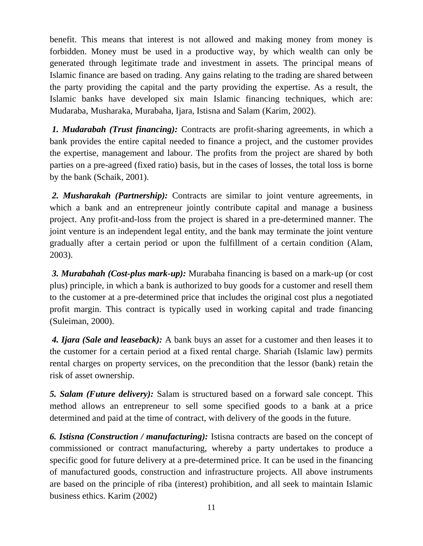benefit. This means that interest is not allowed and making money from money is forbidden. Money must be used in a productive way, by which wealth can only be generated through legitimate trade and investment in assets. The principal means of Islamic finance are based on trading. Any gains relating to the trading are shared between the party providing the capital and the party providing the expertise. As a result, the Islamic banks have developed six main Islamic financing techniques, which are: Mudaraba, Musharaka, Murabaha, Ijara, Istisna and Salam (Karim, 2002).

*1. Mudarabah (Trust financing):* Contracts are profit-sharing agreements, in which a bank provides the entire capital needed to finance a project, and the customer provides the expertise, management and labour. The profits from the project are shared by both parties on a pre-agreed (fixed ratio) basis, but in the cases of losses, the total loss is borne by the bank (Schaik, 2001).

*2. Musharakah (Partnership):* Contracts are similar to joint venture agreements, in which a bank and an entrepreneur jointly contribute capital and manage a business project. Any profit-and-loss from the project is shared in a pre-determined manner. The joint venture is an independent legal entity, and the bank may terminate the joint venture gradually after a certain period or upon the fulfillment of a certain condition (Alam, 2003).

*3. Murabahah (Cost-plus mark-up):* Murabaha financing is based on a mark-up (or cost plus) principle, in which a bank is authorized to buy goods for a customer and resell them to the customer at a pre-determined price that includes the original cost plus a negotiated profit margin. This contract is typically used in working capital and trade financing (Suleiman, 2000).

*4. Ijara (Sale and leaseback):* A bank buys an asset for a customer and then leases it to the customer for a certain period at a fixed rental charge. Shariah (Islamic law) permits rental charges on property services, on the precondition that the lessor (bank) retain the risk of asset ownership.

*5. Salam (Future delivery):* Salam is structured based on a forward sale concept. This method allows an entrepreneur to sell some specified goods to a bank at a price determined and paid at the time of contract, with delivery of the goods in the future.

*6. Istisna (Construction / manufacturing):* Istisna contracts are based on the concept of commissioned or contract manufacturing, whereby a party undertakes to produce a specific good for future delivery at a pre-determined price. It can be used in the financing of manufactured goods, construction and infrastructure projects. All above instruments are based on the principle of riba (interest) prohibition, and all seek to maintain Islamic business ethics. Karim (2002)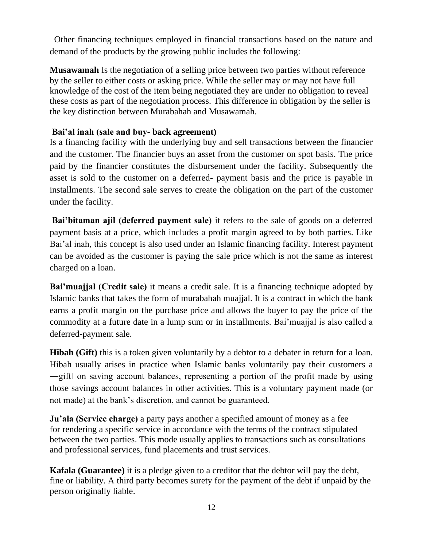Other financing techniques employed in financial transactions based on the nature and demand of the products by the growing public includes the following:

**Musawamah** Is the negotiation of a selling price between two parties without reference by the seller to either costs or asking price. While the seller may or may not have full knowledge of the cost of the item being negotiated they are under no obligation to reveal these costs as part of the negotiation process. This difference in obligation by the seller is the key distinction between Murabahah and Musawamah.

### **Bai'al inah (sale and buy- back agreement)**

Is a financing facility with the underlying buy and sell transactions between the financier and the customer. The financier buys an asset from the customer on spot basis. The price paid by the financier constitutes the disbursement under the facility. Subsequently the asset is sold to the customer on a deferred- payment basis and the price is payable in installments. The second sale serves to create the obligation on the part of the customer under the facility.

**Bai'bitaman ajil (deferred payment sale)** it refers to the sale of goods on a deferred payment basis at a price, which includes a profit margin agreed to by both parties. Like Bai'al inah, this concept is also used under an Islamic financing facility. Interest payment can be avoided as the customer is paying the sale price which is not the same as interest charged on a loan.

**Bai'muajjal (Credit sale)** it means a credit sale. It is a financing technique adopted by Islamic banks that takes the form of murabahah muajjal. It is a contract in which the bank earns a profit margin on the purchase price and allows the buyer to pay the price of the commodity at a future date in a lump sum or in installments. Bai'muajjal is also called a deferred-payment sale.

**Hibah (Gift)** this is a token given voluntarily by a debtor to a debater in return for a loan. Hibah usually arises in practice when Islamic banks voluntarily pay their customers a ―gift‖ on saving account balances, representing a portion of the profit made by using those savings account balances in other activities. This is a voluntary payment made (or not made) at the bank's discretion, and cannot be guaranteed.

**Ju'ala (Service charge)** a party pays another a specified amount of money as a fee for rendering a specific service in accordance with the terms of the contract stipulated between the two parties. This mode usually applies to transactions such as consultations and professional services, fund placements and trust services.

**Kafala (Guarantee)** it is a pledge given to a creditor that the debtor will pay the debt, fine or liability. A third party becomes surety for the payment of the debt if unpaid by the person originally liable.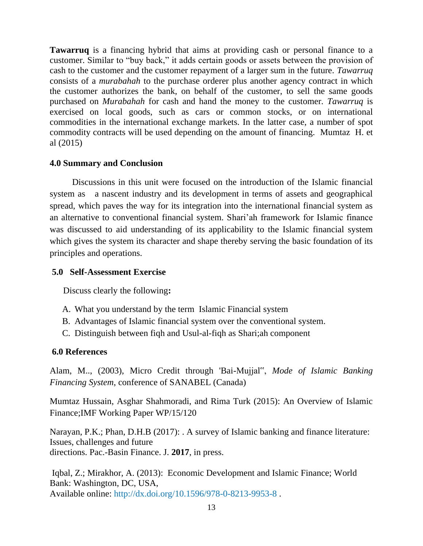**Tawarruq** is a financing hybrid that aims at providing cash or personal finance to a customer. Similar to "buy back," it adds certain goods or assets between the provision of cash to the customer and the customer repayment of a larger sum in the future. *Tawarruq*  consists of a *murabahah* to the purchase orderer plus another agency contract in which the customer authorizes the bank, on behalf of the customer, to sell the same goods purchased on *Murabahah* for cash and hand the money to the customer. *Tawarruq* is exercised on local goods, such as cars or common stocks, or on international commodities in the international exchange markets. In the latter case, a number of spot commodity contracts will be used depending on the amount of financing. Mumtaz H. et al (2015)

#### **4.0 Summary and Conclusion**

Discussions in this unit were focused on the introduction of the Islamic financial system as a nascent industry and its development in terms of assets and geographical spread, which paves the way for its integration into the international financial system as an alternative to conventional financial system. Shari'ah framework for Islamic finance was discussed to aid understanding of its applicability to the Islamic financial system which gives the system its character and shape thereby serving the basic foundation of its principles and operations.

#### **5.0 Self-Assessment Exercise**

Discuss clearly the following**:**

- A. What you understand by the term Islamic Financial system
- B. Advantages of Islamic financial system over the conventional system.
- C. Distinguish between fiqh and Usul-al-fiqh as Shari;ah component

### **6.0 References**

Alam, M.., (2003), Micro Credit through 'Bai-Mujjal", *Mode of Islamic Banking Financing System*, conference of SANABEL (Canada)

Mumtaz Hussain, Asghar Shahmoradi, and Rima Turk (2015): An Overview of Islamic Finance;IMF Working Paper WP/15/120

Narayan, P.K.; Phan, D.H.B (2017): . A survey of Islamic banking and finance literature: Issues, challenges and future directions. Pac.-Basin Finance. J. **2017**, in press.

Iqbal, Z.; Mirakhor, A. (2013): Economic Development and Islamic Finance; World Bank: Washington, DC, USA, Available online: http://dx.doi.org/10.1596/978-0-8213-9953-8 .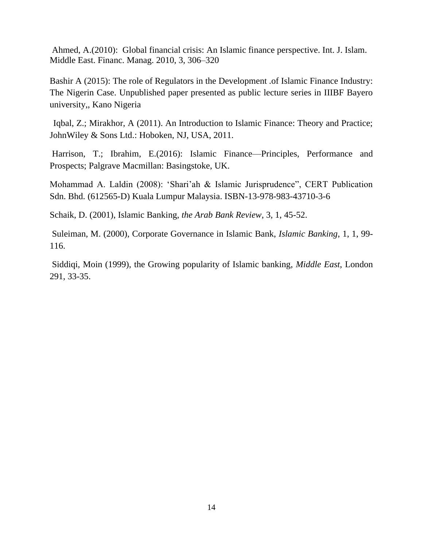Ahmed, A.(2010): Global financial crisis: An Islamic finance perspective. Int. J. Islam. Middle East. Financ. Manag. 2010, 3, 306–320

Bashir A (2015): The role of Regulators in the Development .of Islamic Finance Industry: The Nigerin Case. Unpublished paper presented as public lecture series in IIIBF Bayero university,, Kano Nigeria

Iqbal, Z.; Mirakhor, A (2011). An Introduction to Islamic Finance: Theory and Practice; JohnWiley & Sons Ltd.: Hoboken, NJ, USA, 2011.

Harrison, T.; Ibrahim, E.(2016): Islamic Finance—Principles, Performance and Prospects; Palgrave Macmillan: Basingstoke, UK.

Mohammad A. Laldin (2008): 'Shari'ah & Islamic Jurisprudence", CERT Publication Sdn. Bhd. (612565-D) Kuala Lumpur Malaysia. ISBN-13-978-983-43710-3-6

Schaik, D. (2001), Islamic Banking, *the Arab Bank Review*, 3, 1, 45-52.

Suleiman, M. (2000), Corporate Governance in Islamic Bank, *Islamic Banking*, 1, 1, 99- 116.

Siddiqi, Moin (1999), the Growing popularity of Islamic banking, *Middle East*, London 291, 33-35.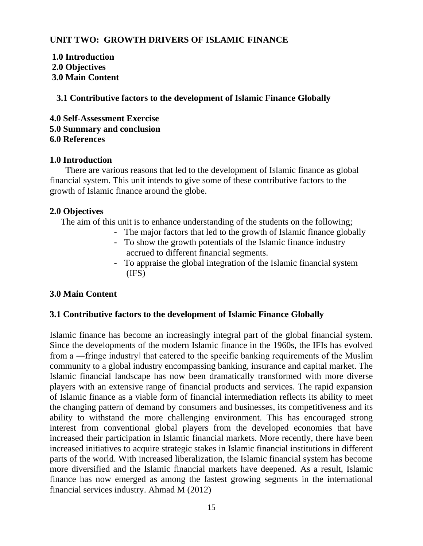### **UNIT TWO: GROWTH DRIVERS OF ISLAMIC FINANCE**

**1.0 Introduction 2.0 Objectives 3.0 Main Content**

 **3.1 Contributive factors to the development of Islamic Finance Globally**

**4.0 Self-Assessment Exercise 5.0 Summary and conclusion 6.0 References**

#### **1.0 Introduction**

There are various reasons that led to the development of Islamic finance as global financial system. This unit intends to give some of these contributive factors to the growth of Islamic finance around the globe.

### **2.0 Objectives**

The aim of this unit is to enhance understanding of the students on the following;

- The major factors that led to the growth of Islamic finance globally
- To show the growth potentials of the Islamic finance industry accrued to different financial segments.
- To appraise the global integration of the Islamic financial system (IFS)

### **3.0 Main Content**

### **3.1 Contributive factors to the development of Islamic Finance Globally**

Islamic finance has become an increasingly integral part of the global financial system. Since the developments of the modern Islamic finance in the 1960s, the IFIs has evolved from a —fringe industryl that catered to the specific banking requirements of the Muslim community to a global industry encompassing banking, insurance and capital market. The Islamic financial landscape has now been dramatically transformed with more diverse players with an extensive range of financial products and services. The rapid expansion of Islamic finance as a viable form of financial intermediation reflects its ability to meet the changing pattern of demand by consumers and businesses, its competitiveness and its ability to withstand the more challenging environment. This has encouraged strong interest from conventional global players from the developed economies that have increased their participation in Islamic financial markets. More recently, there have been increased initiatives to acquire strategic stakes in Islamic financial institutions in different parts of the world. With increased liberalization, the Islamic financial system has become more diversified and the Islamic financial markets have deepened. As a result, Islamic finance has now emerged as among the fastest growing segments in the international financial services industry. Ahmad M (2012)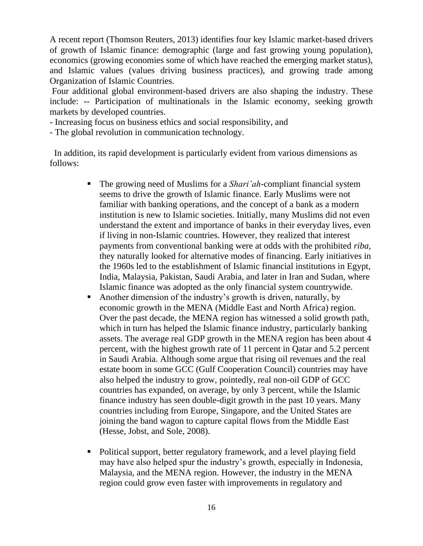A recent report (Thomson Reuters, 2013) identifies four key Islamic market-based drivers of growth of Islamic finance: demographic (large and fast growing young population), economics (growing economies some of which have reached the emerging market status), and Islamic values (values driving business practices), and growing trade among Organization of Islamic Countries.

Four additional global environment-based drivers are also shaping the industry. These include: -- Participation of multinationals in the Islamic economy, seeking growth markets by developed countries.

- Increasing focus on business ethics and social responsibility, and

- The global revolution in communication technology.

 In addition, its rapid development is particularly evident from various dimensions as follows:

- The growing need of Muslims for a *Shari'ah*-compliant financial system seems to drive the growth of Islamic finance. Early Muslims were not familiar with banking operations, and the concept of a bank as a modern institution is new to Islamic societies. Initially, many Muslims did not even understand the extent and importance of banks in their everyday lives, even if living in non-Islamic countries. However, they realized that interest payments from conventional banking were at odds with the prohibited *riba*, they naturally looked for alternative modes of financing. Early initiatives in the 1960s led to the establishment of Islamic financial institutions in Egypt, India, Malaysia, Pakistan, Saudi Arabia, and later in Iran and Sudan, where Islamic finance was adopted as the only financial system countrywide.
- Another dimension of the industry's growth is driven, naturally, by economic growth in the MENA (Middle East and North Africa) region. Over the past decade, the MENA region has witnessed a solid growth path, which in turn has helped the Islamic finance industry, particularly banking assets. The average real GDP growth in the MENA region has been about 4 percent, with the highest growth rate of 11 percent in Qatar and 5.2 percent in Saudi Arabia. Although some argue that rising oil revenues and the real estate boom in some GCC (Gulf Cooperation Council) countries may have also helped the industry to grow, pointedly, real non-oil GDP of GCC countries has expanded, on average, by only 3 percent, while the Islamic finance industry has seen double-digit growth in the past 10 years. Many countries including from Europe, Singapore, and the United States are joining the band wagon to capture capital flows from the Middle East (Hesse, Jobst, and Sole, 2008).
- Political support, better regulatory framework, and a level playing field may have also helped spur the industry's growth, especially in Indonesia, Malaysia, and the MENA region. However, the industry in the MENA region could grow even faster with improvements in regulatory and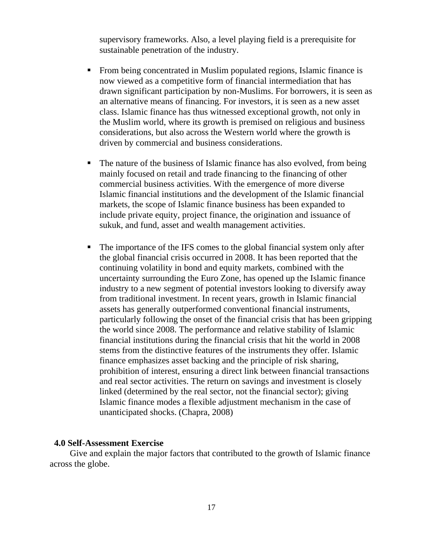supervisory frameworks. Also, a level playing field is a prerequisite for sustainable penetration of the industry.

- From being concentrated in Muslim populated regions, Islamic finance is now viewed as a competitive form of financial intermediation that has drawn significant participation by non-Muslims. For borrowers, it is seen as an alternative means of financing. For investors, it is seen as a new asset class. Islamic finance has thus witnessed exceptional growth, not only in the Muslim world, where its growth is premised on religious and business considerations, but also across the Western world where the growth is driven by commercial and business considerations.
- The nature of the business of Islamic finance has also evolved, from being mainly focused on retail and trade financing to the financing of other commercial business activities. With the emergence of more diverse Islamic financial institutions and the development of the Islamic financial markets, the scope of Islamic finance business has been expanded to include private equity, project finance, the origination and issuance of sukuk, and fund, asset and wealth management activities.
- The importance of the IFS comes to the global financial system only after the global financial crisis occurred in 2008. It has been reported that the continuing volatility in bond and equity markets, combined with the uncertainty surrounding the Euro Zone, has opened up the Islamic finance industry to a new segment of potential investors looking to diversify away from traditional investment. In recent years, growth in Islamic financial assets has generally outperformed conventional financial instruments, particularly following the onset of the financial crisis that has been gripping the world since 2008. The performance and relative stability of Islamic financial institutions during the financial crisis that hit the world in 2008 stems from the distinctive features of the instruments they offer. Islamic finance emphasizes asset backing and the principle of risk sharing, prohibition of interest, ensuring a direct link between financial transactions and real sector activities. The return on savings and investment is closely linked (determined by the real sector, not the financial sector); giving Islamic finance modes a flexible adjustment mechanism in the case of unanticipated shocks. (Chapra, 2008)

#### **4.0 Self-Assessment Exercise**

Give and explain the major factors that contributed to the growth of Islamic finance across the globe.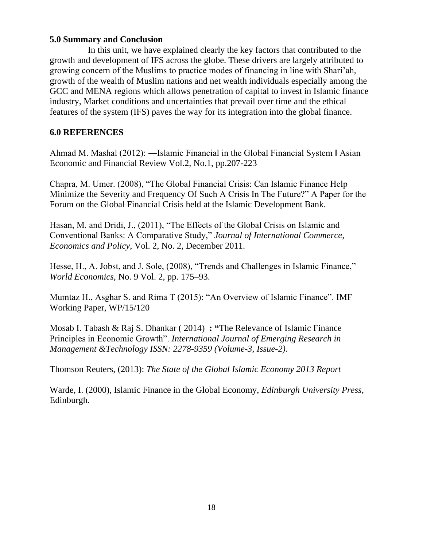#### **5.0 Summary and Conclusion**

In this unit, we have explained clearly the key factors that contributed to the growth and development of IFS across the globe. These drivers are largely attributed to growing concern of the Muslims to practice modes of financing in line with Shari'ah, growth of the wealth of Muslim nations and net wealth individuals especially among the GCC and MENA regions which allows penetration of capital to invest in Islamic finance industry, Market conditions and uncertainties that prevail over time and the ethical features of the system (IFS) paves the way for its integration into the global finance.

#### **6.0 REFERENCES**

Ahmad M. Mashal (2012): ―Islamic Financial in the Global Financial System ‖ Asian Economic and Financial Review Vol.2, No.1, pp.207-223

Chapra, M. Umer. (2008), "The Global Financial Crisis: Can Islamic Finance Help Minimize the Severity and Frequency Of Such A Crisis In The Future?" A Paper for the Forum on the Global Financial Crisis held at the Islamic Development Bank.

Hasan, M. and Dridi, J., (2011), "The Effects of the Global Crisis on Islamic and Conventional Banks: A Comparative Study," *Journal of International Commerce, Economics and Policy*, Vol. 2, No. 2, December 2011.

Hesse, H., A. Jobst, and J. Sole, (2008), "Trends and Challenges in Islamic Finance," *World Economics*, No. 9 Vol. 2, pp. 175–93.

Mumtaz H., Asghar S. and Rima T (2015): "An Overview of Islamic Finance". IMF Working Paper, WP/15/120

Mosab I. Tabash & Raj S. Dhankar ( 2014) **: "**The Relevance of Islamic Finance Principles in Economic Growth". *International Journal of Emerging Research in Management &Technology ISSN: 2278-9359 (Volume-3, Issue-2)*.

Thomson Reuters, (2013): *The State of the Global Islamic Economy 2013 Report*

Warde, I. (2000), Islamic Finance in the Global Economy, *Edinburgh University Press*, Edinburgh.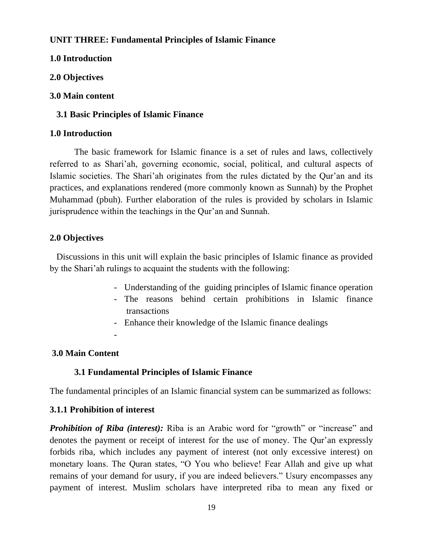### **UNIT THREE: Fundamental Principles of Islamic Finance**

### **1.0 Introduction**

### **2.0 Objectives**

### **3.0 Main content**

# **3.1 Basic Principles of Islamic Finance**

### **1.0 Introduction**

The basic framework for Islamic finance is a set of rules and laws, collectively referred to as Shari'ah, governing economic, social, political, and cultural aspects of Islamic societies. The Shari'ah originates from the rules dictated by the Qur'an and its practices, and explanations rendered (more commonly known as Sunnah) by the Prophet Muhammad (pbuh). Further elaboration of the rules is provided by scholars in Islamic jurisprudence within the teachings in the Qur'an and Sunnah.

### **2.0 Objectives**

Discussions in this unit will explain the basic principles of Islamic finance as provided by the Shari'ah rulings to acquaint the students with the following:

- Understanding of the guiding principles of Islamic finance operation
- The reasons behind certain prohibitions in Islamic finance transactions
- Enhance their knowledge of the Islamic finance dealings
- 

-

# **3.0 Main Content**

### **3.1 Fundamental Principles of Islamic Finance**

The fundamental principles of an Islamic financial system can be summarized as follows:

# **3.1.1 Prohibition of interest**

*Prohibition of Riba (interest):* Riba is an Arabic word for "growth" or "increase" and denotes the payment or receipt of interest for the use of money. The Qur'an expressly forbids riba, which includes any payment of interest (not only excessive interest) on monetary loans. The Quran states, "O You who believe! Fear Allah and give up what remains of your demand for usury, if you are indeed believers." Usury encompasses any payment of interest. Muslim scholars have interpreted riba to mean any fixed or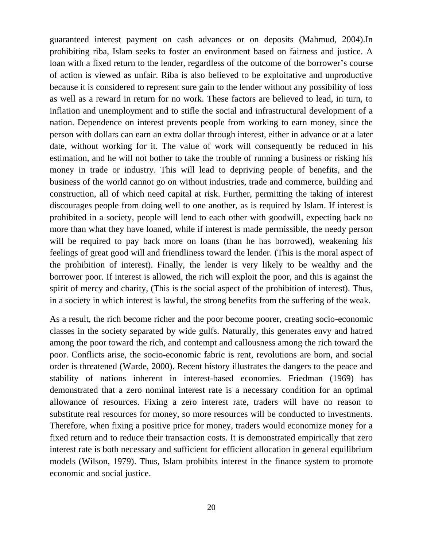guaranteed interest payment on cash advances or on deposits (Mahmud, 2004).In prohibiting riba, Islam seeks to foster an environment based on fairness and justice. A loan with a fixed return to the lender, regardless of the outcome of the borrower's course of action is viewed as unfair. Riba is also believed to be exploitative and unproductive because it is considered to represent sure gain to the lender without any possibility of loss as well as a reward in return for no work. These factors are believed to lead, in turn, to inflation and unemployment and to stifle the social and infrastructural development of a nation. Dependence on interest prevents people from working to earn money, since the person with dollars can earn an extra dollar through interest, either in advance or at a later date, without working for it. The value of work will consequently be reduced in his estimation, and he will not bother to take the trouble of running a business or risking his money in trade or industry. This will lead to depriving people of benefits, and the business of the world cannot go on without industries, trade and commerce, building and construction, all of which need capital at risk. Further, permitting the taking of interest discourages people from doing well to one another, as is required by Islam. If interest is prohibited in a society, people will lend to each other with goodwill, expecting back no more than what they have loaned, while if interest is made permissible, the needy person will be required to pay back more on loans (than he has borrowed), weakening his feelings of great good will and friendliness toward the lender. (This is the moral aspect of the prohibition of interest). Finally, the lender is very likely to be wealthy and the borrower poor. If interest is allowed, the rich will exploit the poor, and this is against the spirit of mercy and charity, (This is the social aspect of the prohibition of interest). Thus, in a society in which interest is lawful, the strong benefits from the suffering of the weak.

As a result, the rich become richer and the poor become poorer, creating socio-economic classes in the society separated by wide gulfs. Naturally, this generates envy and hatred among the poor toward the rich, and contempt and callousness among the rich toward the poor. Conflicts arise, the socio-economic fabric is rent, revolutions are born, and social order is threatened (Warde, 2000). Recent history illustrates the dangers to the peace and stability of nations inherent in interest-based economies. Friedman (1969) has demonstrated that a zero nominal interest rate is a necessary condition for an optimal allowance of resources. Fixing a zero interest rate, traders will have no reason to substitute real resources for money, so more resources will be conducted to investments. Therefore, when fixing a positive price for money, traders would economize money for a fixed return and to reduce their transaction costs. It is demonstrated empirically that zero interest rate is both necessary and sufficient for efficient allocation in general equilibrium models (Wilson, 1979). Thus, Islam prohibits interest in the finance system to promote economic and social justice.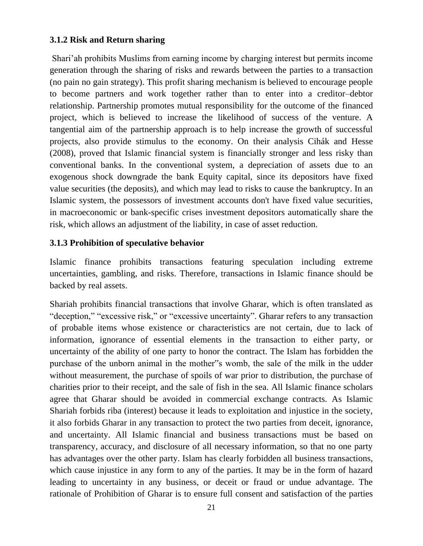## **3.1.2 Risk and Return sharing**

Shari'ah prohibits Muslims from earning income by charging interest but permits income generation through the sharing of risks and rewards between the parties to a transaction (no pain no gain strategy). This profit sharing mechanism is believed to encourage people to become partners and work together rather than to enter into a creditor–debtor relationship. Partnership promotes mutual responsibility for the outcome of the financed project, which is believed to increase the likelihood of success of the venture. A tangential aim of the partnership approach is to help increase the growth of successful projects, also provide stimulus to the economy. On their analysis Cihák and Hesse (2008), proved that Islamic financial system is financially stronger and less risky than conventional banks. In the conventional system, a depreciation of assets due to an exogenous shock downgrade the bank Equity capital, since its depositors have fixed value securities (the deposits), and which may lead to risks to cause the bankruptcy. In an Islamic system, the possessors of investment accounts don't have fixed value securities, in macroeconomic or bank-specific crises investment depositors automatically share the risk, which allows an adjustment of the liability, in case of asset reduction.

# **3.1.3 Prohibition of speculative behavior**

Islamic finance prohibits transactions featuring speculation including extreme uncertainties, gambling, and risks. Therefore, transactions in Islamic finance should be backed by real assets.

Shariah prohibits financial transactions that involve Gharar, which is often translated as "deception," "excessive risk," or "excessive uncertainty". Gharar refers to any transaction of probable items whose existence or characteristics are not certain, due to lack of information, ignorance of essential elements in the transaction to either party, or uncertainty of the ability of one party to honor the contract. The Islam has forbidden the purchase of the unborn animal in the mother"s womb, the sale of the milk in the udder without measurement, the purchase of spoils of war prior to distribution, the purchase of charities prior to their receipt, and the sale of fish in the sea. All Islamic finance scholars agree that Gharar should be avoided in commercial exchange contracts. As Islamic Shariah forbids riba (interest) because it leads to exploitation and injustice in the society, it also forbids Gharar in any transaction to protect the two parties from deceit, ignorance, and uncertainty. All Islamic financial and business transactions must be based on transparency, accuracy, and disclosure of all necessary information, so that no one party has advantages over the other party. Islam has clearly forbidden all business transactions, which cause injustice in any form to any of the parties. It may be in the form of hazard leading to uncertainty in any business, or deceit or fraud or undue advantage. The rationale of Prohibition of Gharar is to ensure full consent and satisfaction of the parties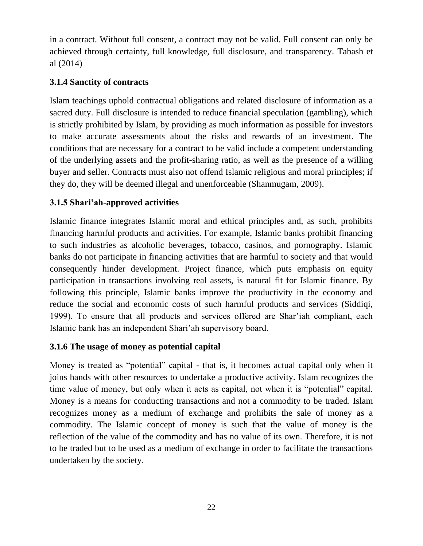in a contract. Without full consent, a contract may not be valid. Full consent can only be achieved through certainty, full knowledge, full disclosure, and transparency. Tabash et al (2014)

# **3.1.4 Sanctity of contracts**

Islam teachings uphold contractual obligations and related disclosure of information as a sacred duty. Full disclosure is intended to reduce financial speculation (gambling), which is strictly prohibited by Islam, by providing as much information as possible for investors to make accurate assessments about the risks and rewards of an investment. The conditions that are necessary for a contract to be valid include a competent understanding of the underlying assets and the profit-sharing ratio, as well as the presence of a willing buyer and seller. Contracts must also not offend Islamic religious and moral principles; if they do, they will be deemed illegal and unenforceable (Shanmugam, 2009).

# **3.1.5 Shari'ah-approved activities**

Islamic finance integrates Islamic moral and ethical principles and, as such, prohibits financing harmful products and activities. For example, Islamic banks prohibit financing to such industries as alcoholic beverages, tobacco, casinos, and pornography. Islamic banks do not participate in financing activities that are harmful to society and that would consequently hinder development. Project finance, which puts emphasis on equity participation in transactions involving real assets, is natural fit for Islamic finance. By following this principle, Islamic banks improve the productivity in the economy and reduce the social and economic costs of such harmful products and services (Siddiqi, 1999). To ensure that all products and services offered are Shar'iah compliant, each Islamic bank has an independent Shari'ah supervisory board.

# **3.1.6 The usage of money as potential capital**

Money is treated as "potential" capital - that is, it becomes actual capital only when it joins hands with other resources to undertake a productive activity. Islam recognizes the time value of money, but only when it acts as capital, not when it is "potential" capital. Money is a means for conducting transactions and not a commodity to be traded. Islam recognizes money as a medium of exchange and prohibits the sale of money as a commodity. The Islamic concept of money is such that the value of money is the reflection of the value of the commodity and has no value of its own. Therefore, it is not to be traded but to be used as a medium of exchange in order to facilitate the transactions undertaken by the society.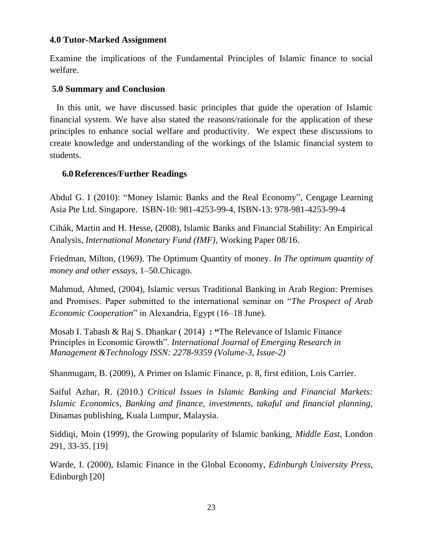### **4.0 Tutor-Marked Assignment**

Examine the implications of the Fundamental Principles of Islamic finance to social welfare.

### **5.0 Summary and Conclusion**

In this unit, we have discussed basic principles that guide the operation of Islamic financial system. We have also stated the reasons/rationale for the application of these principles to enhance social welfare and productivity. We expect these discussions to create knowledge and understanding of the workings of the Islamic financial system to students.

### **6.0References/Further Readings**

Abdul G. I (2010): "Money Islamic Banks and the Real Economy", Cengage Learning Asia Pte Ltd. Singapore. ISBN-10: 981-4253-99-4, ISBN-13: 978-981-4253-99-4

Cihák, Martin and H. Hesse, (2008), Islamic Banks and Financial Stability: An Empirical Analysis, *International Monetary Fund (IMF),* Working Paper 08/16.

Friedman, Milton, (1969). The Optimum Quantity of money. *In The optimum quantity of money and other essays,* 1–50.Chicago.

Mahmud, Ahmed, (2004), Islamic versus Traditional Banking in Arab Region: Premises and Promises. Paper submitted to the international seminar on "*The Prospect of Arab Economic Cooperation*" in Alexandria, Egypt (16–18 June).

Mosab I. Tabash & Raj S. Dhankar ( 2014) **: "**The Relevance of Islamic Finance Principles in Economic Growth". *International Journal of Emerging Research in Management &Technology ISSN: 2278-9359 (Volume-3, Issue-2)*

Shanmugam, B. (2009), A Primer on Islamic Finance, p. 8, first edition, Lois Carrier.

Saiful Azhar, R. (2010.) *Critical Issues in Islamic Banking and Financial Markets: Islamic Economics, Banking and finance, investments, takaful and financial planning,* Dinamas publishing, Kuala Lumpur, Malaysia.

Siddiqi, Moin (1999), the Growing popularity of Islamic banking, *Middle East*, London 291, 33-35. [19]

Warde, I. (2000), Islamic Finance in the Global Economy, *Edinburgh University Press*, Edinburgh [20]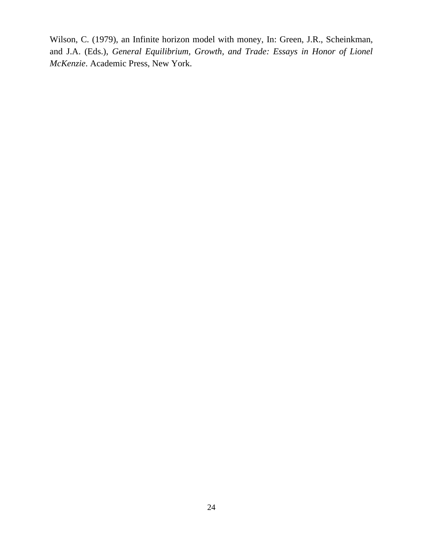Wilson, C. (1979), an Infinite horizon model with money, In: Green, J.R., Scheinkman, and J.A. (Eds.), *General Equilibrium, Growth, and Trade: Essays in Honor of Lionel McKenzie*. Academic Press, New York.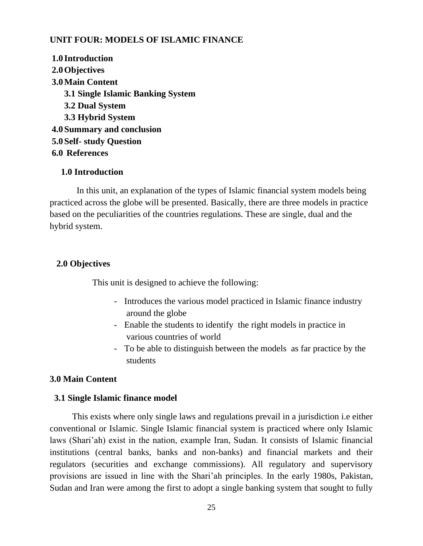### **UNIT FOUR: MODELS OF ISLAMIC FINANCE**

**1.0 Introduction 2.0Objectives 3.0Main Content 3.1 Single Islamic Banking System 3.2 Dual System 3.3 Hybrid System 4.0Summary and conclusion 5.0Self- study Question 6.0 References** 

#### **1.0 Introduction**

In this unit, an explanation of the types of Islamic financial system models being practiced across the globe will be presented. Basically, there are three models in practice based on the peculiarities of the countries regulations. These are single, dual and the hybrid system.

### **2.0 Objectives**

This unit is designed to achieve the following:

- Introduces the various model practiced in Islamic finance industry around the globe
- Enable the students to identify the right models in practice in various countries of world
- To be able to distinguish between the models as far practice by the students

## **3.0 Main Content**

#### **3.1 Single Islamic finance model**

This exists where only single laws and regulations prevail in a jurisdiction i.e either conventional or Islamic. Single Islamic financial system is practiced where only Islamic laws (Shari'ah) exist in the nation, example Iran, Sudan. It consists of Islamic financial institutions (central banks, banks and non-banks) and financial markets and their regulators (securities and exchange commissions). All regulatory and supervisory provisions are issued in line with the Shari'ah principles. In the early 1980s, Pakistan, Sudan and Iran were among the first to adopt a single banking system that sought to fully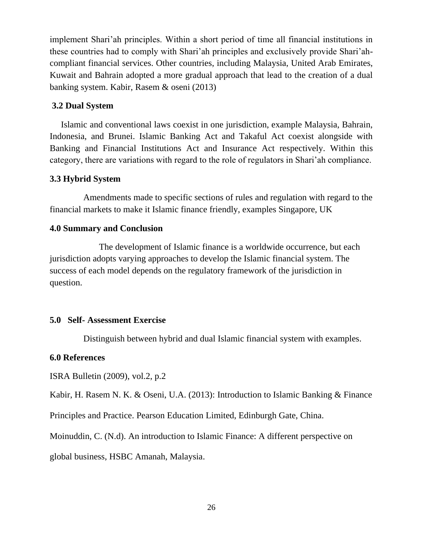implement Shari'ah principles. Within a short period of time all financial institutions in these countries had to comply with Shari'ah principles and exclusively provide Shari'ahcompliant financial services. Other countries, including Malaysia, United Arab Emirates, Kuwait and Bahrain adopted a more gradual approach that lead to the creation of a dual banking system. Kabir, Rasem & oseni (2013)

### **3.2 Dual System**

Islamic and conventional laws coexist in one jurisdiction, example Malaysia, Bahrain, Indonesia, and Brunei. Islamic Banking Act and Takaful Act coexist alongside with Banking and Financial Institutions Act and Insurance Act respectively. Within this category, there are variations with regard to the role of regulators in Shari'ah compliance.

### **3.3 Hybrid System**

Amendments made to specific sections of rules and regulation with regard to the financial markets to make it Islamic finance friendly, examples Singapore, UK

### **4.0 Summary and Conclusion**

The development of Islamic finance is a worldwide occurrence, but each jurisdiction adopts varying approaches to develop the Islamic financial system. The success of each model depends on the regulatory framework of the jurisdiction in question.

#### **5.0 Self- Assessment Exercise**

Distinguish between hybrid and dual Islamic financial system with examples.

#### **6.0 References**

ISRA Bulletin (2009), vol.2, p.2

Kabir, H. Rasem N. K. & Oseni, U.A. (2013): Introduction to Islamic Banking & Finance

Principles and Practice. Pearson Education Limited, Edinburgh Gate, China.

Moinuddin, C. (N.d). An introduction to Islamic Finance: A different perspective on

global business, HSBC Amanah, Malaysia.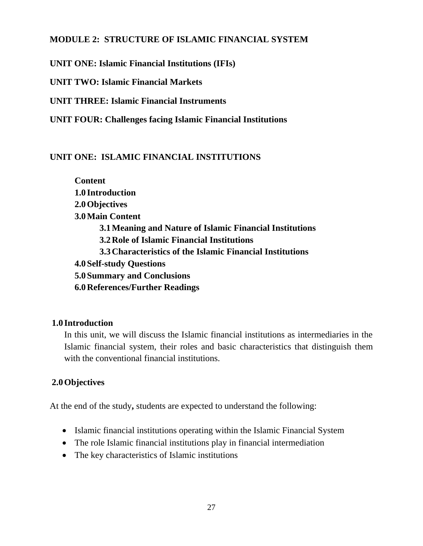# **MODULE 2: STRUCTURE OF ISLAMIC FINANCIAL SYSTEM**

**UNIT ONE: Islamic Financial Institutions (IFIs)**

**UNIT TWO: Islamic Financial Markets**

**UNIT THREE: Islamic Financial Instruments**

**UNIT FOUR: Challenges facing Islamic Financial Institutions** 

# **UNIT ONE: ISLAMIC FINANCIAL INSTITUTIONS**

| <b>Content</b>                                            |
|-----------------------------------------------------------|
| 1.0 Introduction                                          |
| 2.0 Objectives                                            |
| <b>3.0 Main Content</b>                                   |
| 3.1 Meaning and Nature of Islamic Financial Institutions  |
| <b>3.2 Role of Islamic Financial Institutions</b>         |
| 3.3 Characteristics of the Islamic Financial Institutions |
| <b>4.0 Self-study Questions</b>                           |
| <b>5.0 Summary and Conclusions</b>                        |
| <b>6.0 References/Further Readings</b>                    |

# **1.0 Introduction**

In this unit, we will discuss the Islamic financial institutions as intermediaries in the Islamic financial system, their roles and basic characteristics that distinguish them with the conventional financial institutions.

# **2.0Objectives**

At the end of the study**,** students are expected to understand the following:

- Islamic financial institutions operating within the Islamic Financial System
- The role Islamic financial institutions play in financial intermediation
- The key characteristics of Islamic institutions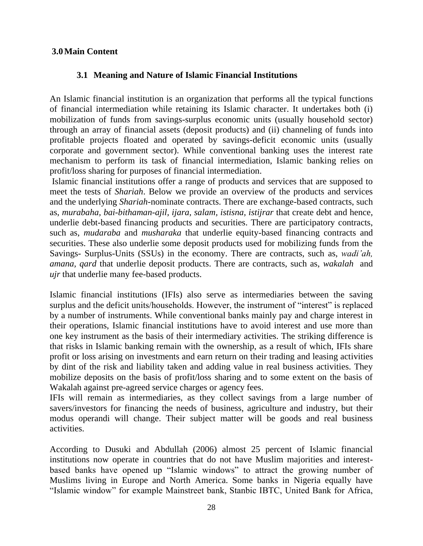### **3.0Main Content**

### **3.1 Meaning and Nature of Islamic Financial Institutions**

An Islamic financial institution is an organization that performs all the typical functions of financial intermediation while retaining its Islamic character. It undertakes both (i) mobilization of funds from savings-surplus economic units (usually household sector) through an array of financial assets (deposit products) and (ii) channeling of funds into profitable projects floated and operated by savings-deficit economic units (usually corporate and government sector). While conventional banking uses the interest rate mechanism to perform its task of financial intermediation, Islamic banking relies on profit/loss sharing for purposes of financial intermediation.

Islamic financial institutions offer a range of products and services that are supposed to meet the tests of *Shariah*. Below we provide an overview of the products and services and the underlying *Shariah*-nominate contracts. There are exchange-based contracts, such as, *murabaha, bai-bithaman-ajil, ijara, salam, istisna, istijrar* that create debt and hence, underlie debt-based financing products and securities. There are participatory contracts, such as, *mudaraba* and *musharaka* that underlie equity-based financing contracts and securities. These also underlie some deposit products used for mobilizing funds from the Savings- Surplus-Units (SSUs) in the economy. There are contracts, such as, *wadi'ah, amana, qard* that underlie deposit products. There are contracts, such as, *wakalah* and *ujr* that underlie many fee-based products.

Islamic financial institutions (IFIs) also serve as intermediaries between the saving surplus and the deficit units/households. However, the instrument of "interest" is replaced by a number of instruments. While conventional banks mainly pay and charge interest in their operations, Islamic financial institutions have to avoid interest and use more than one key instrument as the basis of their intermediary activities. The striking difference is that risks in Islamic banking remain with the ownership, as a result of which, IFIs share profit or loss arising on investments and earn return on their trading and leasing activities by dint of the risk and liability taken and adding value in real business activities. They mobilize deposits on the basis of profit/loss sharing and to some extent on the basis of Wakalah against pre-agreed service charges or agency fees.

IFIs will remain as intermediaries, as they collect savings from a large number of savers/investors for financing the needs of business, agriculture and industry, but their modus operandi will change. Their subject matter will be goods and real business activities.

According to Dusuki and Abdullah (2006) almost 25 percent of Islamic financial institutions now operate in countries that do not have Muslim majorities and interestbased banks have opened up "Islamic windows" to attract the growing number of Muslims living in Europe and North America. Some banks in Nigeria equally have "Islamic window" for example Mainstreet bank, Stanbic IBTC, United Bank for Africa,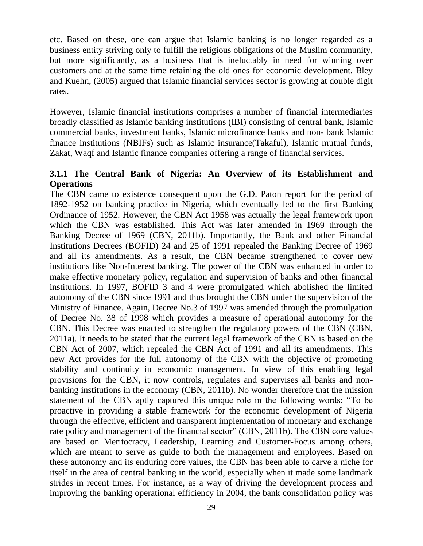etc. Based on these, one can argue that Islamic banking is no longer regarded as a business entity striving only to fulfill the religious obligations of the Muslim community, but more significantly, as a business that is ineluctably in need for winning over customers and at the same time retaining the old ones for economic development. Bley and Kuehn, (2005) argued that Islamic financial services sector is growing at double digit rates.

However, Islamic financial institutions comprises a number of financial intermediaries broadly classified as Islamic banking institutions (IBI) consisting of central bank, Islamic commercial banks, investment banks, Islamic microfinance banks and non- bank Islamic finance institutions (NBIFs) such as Islamic insurance(Takaful), Islamic mutual funds, Zakat, Waqf and Islamic finance companies offering a range of financial services.

### **3.1.1 The Central Bank of Nigeria: An Overview of its Establishment and Operations**

The CBN came to existence consequent upon the G.D. Paton report for the period of 1892-1952 on banking practice in Nigeria, which eventually led to the first Banking Ordinance of 1952. However, the CBN Act 1958 was actually the legal framework upon which the CBN was established. This Act was later amended in 1969 through the Banking Decree of 1969 (CBN, 2011b). Importantly, the Bank and other Financial Institutions Decrees (BOFID) 24 and 25 of 1991 repealed the Banking Decree of 1969 and all its amendments. As a result, the CBN became strengthened to cover new institutions like Non-Interest banking. The power of the CBN was enhanced in order to make effective monetary policy, regulation and supervision of banks and other financial institutions. In 1997, BOFID 3 and 4 were promulgated which abolished the limited autonomy of the CBN since 1991 and thus brought the CBN under the supervision of the Ministry of Finance. Again, Decree No.3 of 1997 was amended through the promulgation of Decree No. 38 of 1998 which provides a measure of operational autonomy for the CBN. This Decree was enacted to strengthen the regulatory powers of the CBN (CBN, 2011a). It needs to be stated that the current legal framework of the CBN is based on the CBN Act of 2007, which repealed the CBN Act of 1991 and all its amendments. This new Act provides for the full autonomy of the CBN with the objective of promoting stability and continuity in economic management. In view of this enabling legal provisions for the CBN, it now controls, regulates and supervises all banks and nonbanking institutions in the economy (CBN, 2011b). No wonder therefore that the mission statement of the CBN aptly captured this unique role in the following words: "To be proactive in providing a stable framework for the economic development of Nigeria through the effective, efficient and transparent implementation of monetary and exchange rate policy and management of the financial sector" (CBN, 2011b). The CBN core values are based on Meritocracy, Leadership, Learning and Customer-Focus among others, which are meant to serve as guide to both the management and employees. Based on these autonomy and its enduring core values, the CBN has been able to carve a niche for itself in the area of central banking in the world, especially when it made some landmark strides in recent times. For instance, as a way of driving the development process and improving the banking operational efficiency in 2004, the bank consolidation policy was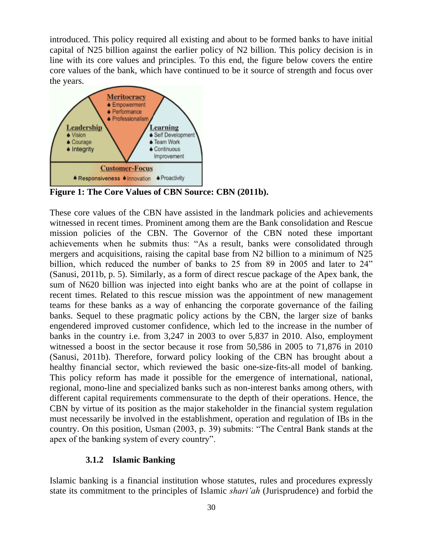introduced. This policy required all existing and about to be formed banks to have initial capital of N25 billion against the earlier policy of N2 billion. This policy decision is in line with its core values and principles. To this end, the figure below covers the entire core values of the bank, which have continued to be it source of strength and focus over the years.



**Figure 1: The Core Values of CBN Source: CBN (2011b).** 

These core values of the CBN have assisted in the landmark policies and achievements witnessed in recent times. Prominent among them are the Bank consolidation and Rescue mission policies of the CBN. The Governor of the CBN noted these important achievements when he submits thus: "As a result, banks were consolidated through mergers and acquisitions, raising the capital base from N2 billion to a minimum of N25 billion, which reduced the number of banks to 25 from 89 in 2005 and later to 24" (Sanusi, 2011b, p. 5). Similarly, as a form of direct rescue package of the Apex bank, the sum of N620 billion was injected into eight banks who are at the point of collapse in recent times. Related to this rescue mission was the appointment of new management teams for these banks as a way of enhancing the corporate governance of the failing banks. Sequel to these pragmatic policy actions by the CBN, the larger size of banks engendered improved customer confidence, which led to the increase in the number of banks in the country i.e. from 3,247 in 2003 to over 5,837 in 2010. Also, employment witnessed a boost in the sector because it rose from 50,586 in 2005 to 71,876 in 2010 (Sanusi, 2011b). Therefore, forward policy looking of the CBN has brought about a healthy financial sector, which reviewed the basic one-size-fits-all model of banking. This policy reform has made it possible for the emergence of international, national, regional, mono-line and specialized banks such as non-interest banks among others, with different capital requirements commensurate to the depth of their operations. Hence, the CBN by virtue of its position as the major stakeholder in the financial system regulation must necessarily be involved in the establishment, operation and regulation of IBs in the country. On this position, Usman (2003, p. 39) submits: "The Central Bank stands at the apex of the banking system of every country".

#### **3.1.2 Islamic Banking**

Islamic banking is a financial institution whose statutes, rules and procedures expressly state its commitment to the principles of Islamic *shari'ah* (Jurisprudence) and forbid the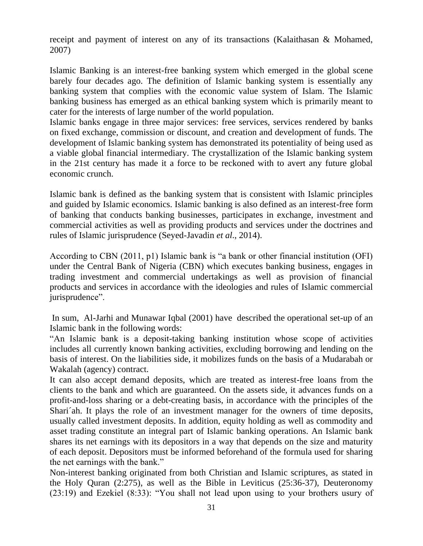receipt and payment of interest on any of its transactions (Kalaithasan & Mohamed, 2007)

Islamic Banking is an interest-free banking system which emerged in the global scene barely four decades ago. The definition of Islamic banking system is essentially any banking system that complies with the economic value system of Islam. The Islamic banking business has emerged as an ethical banking system which is primarily meant to cater for the interests of large number of the world population.

Islamic banks engage in three major services: free services, services rendered by banks on fixed exchange, commission or discount, and creation and development of funds. The development of Islamic banking system has demonstrated its potentiality of being used as a viable global financial intermediary. The crystallization of the Islamic banking system in the 21st century has made it a force to be reckoned with to avert any future global economic crunch.

Islamic bank is defined as the banking system that is consistent with Islamic principles and guided by Islamic economics. Islamic banking is also defined as an interest-free form of banking that conducts banking businesses, participates in exchange, investment and commercial activities as well as providing products and services under the doctrines and rules of Islamic jurisprudence (Seyed-Javadin *et al*., 2014).

According to CBN (2011, p1) Islamic bank is "a bank or other financial institution (OFI) under the Central Bank of Nigeria (CBN) which executes banking business, engages in trading investment and commercial undertakings as well as provision of financial products and services in accordance with the ideologies and rules of Islamic commercial jurisprudence".

In sum, Al-Jarhi and Munawar Iqbal (2001) have described the operational set-up of an Islamic bank in the following words:

"An Islamic bank is a deposit-taking banking institution whose scope of activities includes all currently known banking activities, excluding borrowing and lending on the basis of interest. On the liabilities side, it mobilizes funds on the basis of a Mudarabah or Wakalah (agency) contract.

It can also accept demand deposits, which are treated as interest-free loans from the clients to the bank and which are guaranteed. On the assets side, it advances funds on a profit-and-loss sharing or a debt-creating basis, in accordance with the principles of the Shari´ah. It plays the role of an investment manager for the owners of time deposits, usually called investment deposits. In addition, equity holding as well as commodity and asset trading constitute an integral part of Islamic banking operations. An Islamic bank shares its net earnings with its depositors in a way that depends on the size and maturity of each deposit. Depositors must be informed beforehand of the formula used for sharing the net earnings with the bank."

Non-interest banking originated from both Christian and Islamic scriptures, as stated in the Holy Quran (2:275), as well as the Bible in Leviticus (25:36-37), Deuteronomy (23:19) and Ezekiel (8:33): "You shall not lead upon using to your brothers usury of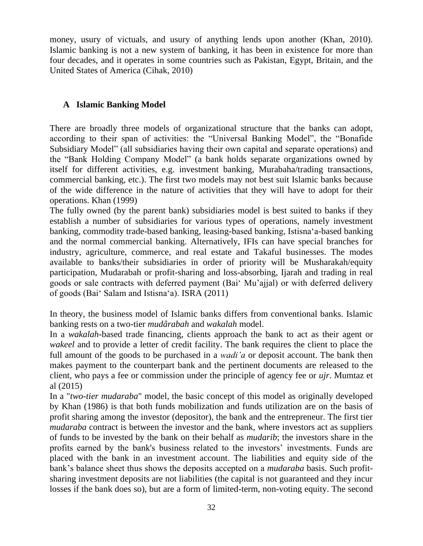money, usury of victuals, and usury of anything lends upon another (Khan, 2010). Islamic banking is not a new system of banking, it has been in existence for more than four decades, and it operates in some countries such as Pakistan, Egypt, Britain, and the United States of America (Cihak, 2010)

# **A Islamic Banking Model**

There are broadly three models of organizational structure that the banks can adopt, according to their span of activities: the "Universal Banking Model", the "Bonafide Subsidiary Model" (all subsidiaries having their own capital and separate operations) and the "Bank Holding Company Model" (a bank holds separate organizations owned by itself for different activities, e.g. investment banking, Murabaha/trading transactions, commercial banking, etc.). The first two models may not best suit Islamic banks because of the wide difference in the nature of activities that they will have to adopt for their operations. Khan (1999)

The fully owned (by the parent bank) subsidiaries model is best suited to banks if they establish a number of subsidiaries for various types of operations, namely investment banking, commodity trade-based banking, leasing-based banking, Istisna'a-based banking and the normal commercial banking. Alternatively, IFIs can have special branches for industry, agriculture, commerce, and real estate and Takaful businesses. The modes available to banks/their subsidiaries in order of priority will be Musharakah/equity participation, Mudarabah or profit-sharing and loss-absorbing, Ijarah and trading in real goods or sale contracts with deferred payment (Bai' Mu'ajjal) or with deferred delivery of goods (Bai' Salam and Istisna'a). ISRA (2011)

In theory, the business model of Islamic banks differs from conventional banks. Islamic banking rests on a two-tier *mudârabah* and *wakalah* model.

In a *wakalah*-based trade financing, clients approach the bank to act as their agent or *wakeel* and to provide a letter of credit facility. The bank requires the client to place the full amount of the goods to be purchased in a *wadi'a* or deposit account. The bank then makes payment to the counterpart bank and the pertinent documents are released to the client, who pays a fee or commission under the principle of agency fee or *ujr*. Mumtaz et al (2015)

In a "*two-tier mudaraba*" model, the basic concept of this model as originally developed by Khan (1986) is that both funds mobilization and funds utilization are on the basis of profit sharing among the investor (depositor), the bank and the entrepreneur. The first tier *mudaraba* contract is between the investor and the bank, where investors act as suppliers of funds to be invested by the bank on their behalf as *mudarib*; the investors share in the profits earned by the bank's business related to the investors' investments. Funds are placed with the bank in an investment account. The liabilities and equity side of the bank's balance sheet thus shows the deposits accepted on a *mudaraba* basis. Such profitsharing investment deposits are not liabilities (the capital is not guaranteed and they incur losses if the bank does so), but are a form of limited-term, non-voting equity. The second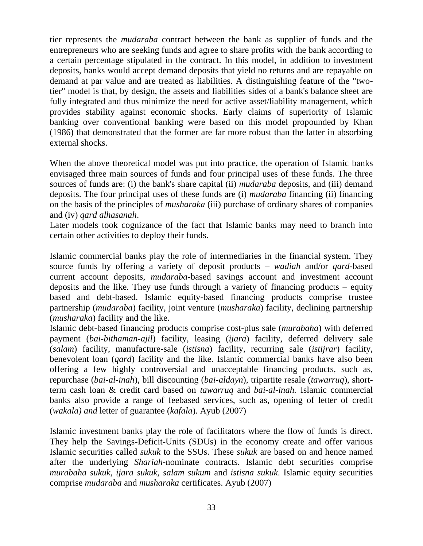tier represents the *mudaraba* contract between the bank as supplier of funds and the entrepreneurs who are seeking funds and agree to share profits with the bank according to a certain percentage stipulated in the contract. In this model, in addition to investment deposits, banks would accept demand deposits that yield no returns and are repayable on demand at par value and are treated as liabilities. A distinguishing feature of the "twotier" model is that, by design, the assets and liabilities sides of a bank's balance sheet are fully integrated and thus minimize the need for active asset/liability management, which provides stability against economic shocks. Early claims of superiority of Islamic banking over conventional banking were based on this model propounded by Khan (1986) that demonstrated that the former are far more robust than the latter in absorbing external shocks.

When the above theoretical model was put into practice, the operation of Islamic banks envisaged three main sources of funds and four principal uses of these funds. The three sources of funds are: (i) the bank's share capital (ii) *mudaraba* deposits, and (iii) demand deposits. The four principal uses of these funds are (i) *mudaraba* financing (ii) financing on the basis of the principles of *musharaka* (iii) purchase of ordinary shares of companies and (iv) *qard alhasanah*.

Later models took cognizance of the fact that Islamic banks may need to branch into certain other activities to deploy their funds.

Islamic commercial banks play the role of intermediaries in the financial system. They source funds by offering a variety of deposit products – *wadiah* and/or *qard*-based current account deposits, *mudaraba*-based savings account and investment account deposits and the like. They use funds through a variety of financing products – equity based and debt-based. Islamic equity-based financing products comprise trustee partnership (*mudaraba*) facility, joint venture (*musharaka*) facility, declining partnership (*musharaka*) facility and the like.

Islamic debt-based financing products comprise cost-plus sale (*murabaha*) with deferred payment (*bai*-*bithaman*-*ajil*) facility, leasing (*ijara*) facility, deferred delivery sale (*salam*) facility, manufacture-sale (*istisna*) facility, recurring sale (*istijrar*) facility, benevolent loan (*qard*) facility and the like. Islamic commercial banks have also been offering a few highly controversial and unacceptable financing products, such as, repurchase (*bai-al-inah*)*,* bill discounting (*bai-aldayn*), tripartite resale (*tawarruq*), shortterm cash loan & credit card based on *tawarruq* and *bai-al-inah.* Islamic commercial banks also provide a range of feebased services, such as, opening of letter of credit (*wakala) and* letter of guarantee (*kafala*). Ayub (2007)

Islamic investment banks play the role of facilitators where the flow of funds is direct. They help the Savings-Deficit-Units (SDUs) in the economy create and offer various Islamic securities called *sukuk* to the SSUs. These *sukuk* are based on and hence named after the underlying *Shariah*-nominate contracts. Islamic debt securities comprise *murabaha sukuk*, *ijara sukuk, salam sukum* and *istisna sukuk*. Islamic equity securities comprise *mudaraba* and *musharaka* certificates. Ayub (2007)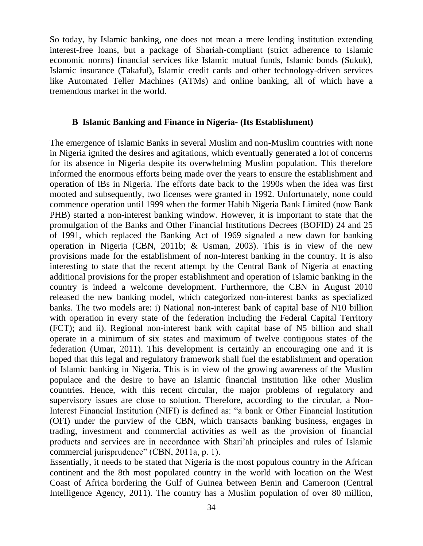So today, by Islamic banking, one does not mean a mere lending institution extending interest-free loans, but a package of Shariah-compliant (strict adherence to Islamic economic norms) financial services like Islamic mutual funds, Islamic bonds (Sukuk), Islamic insurance (Takaful), Islamic credit cards and other technology-driven services like Automated Teller Machines (ATMs) and online banking, all of which have a tremendous market in the world.

#### **B Islamic Banking and Finance in Nigeria- (Its Establishment)**

The emergence of Islamic Banks in several Muslim and non-Muslim countries with none in Nigeria ignited the desires and agitations, which eventually generated a lot of concerns for its absence in Nigeria despite its overwhelming Muslim population. This therefore informed the enormous efforts being made over the years to ensure the establishment and operation of IBs in Nigeria. The efforts date back to the 1990s when the idea was first mooted and subsequently, two licenses were granted in 1992. Unfortunately, none could commence operation until 1999 when the former Habib Nigeria Bank Limited (now Bank PHB) started a non-interest banking window. However, it is important to state that the promulgation of the Banks and Other Financial Institutions Decrees (BOFID) 24 and 25 of 1991, which replaced the Banking Act of 1969 signaled a new dawn for banking operation in Nigeria (CBN, 2011b; & Usman, 2003). This is in view of the new provisions made for the establishment of non-Interest banking in the country. It is also interesting to state that the recent attempt by the Central Bank of Nigeria at enacting additional provisions for the proper establishment and operation of Islamic banking in the country is indeed a welcome development. Furthermore, the CBN in August 2010 released the new banking model, which categorized non-interest banks as specialized banks. The two models are: i) National non-interest bank of capital base of N10 billion with operation in every state of the federation including the Federal Capital Territory (FCT); and ii). Regional non-interest bank with capital base of N5 billion and shall operate in a minimum of six states and maximum of twelve contiguous states of the federation (Umar, 2011). This development is certainly an encouraging one and it is hoped that this legal and regulatory framework shall fuel the establishment and operation of Islamic banking in Nigeria. This is in view of the growing awareness of the Muslim populace and the desire to have an Islamic financial institution like other Muslim countries. Hence, with this recent circular, the major problems of regulatory and supervisory issues are close to solution. Therefore, according to the circular, a Non-Interest Financial Institution (NIFI) is defined as: "a bank or Other Financial Institution (OFI) under the purview of the CBN, which transacts banking business, engages in trading, investment and commercial activities as well as the provision of financial products and services are in accordance with Shari'ah principles and rules of Islamic commercial jurisprudence" (CBN, 2011a, p. 1).

Essentially, it needs to be stated that Nigeria is the most populous country in the African continent and the 8th most populated country in the world with location on the West Coast of Africa bordering the Gulf of Guinea between Benin and Cameroon (Central Intelligence Agency, 2011). The country has a Muslim population of over 80 million,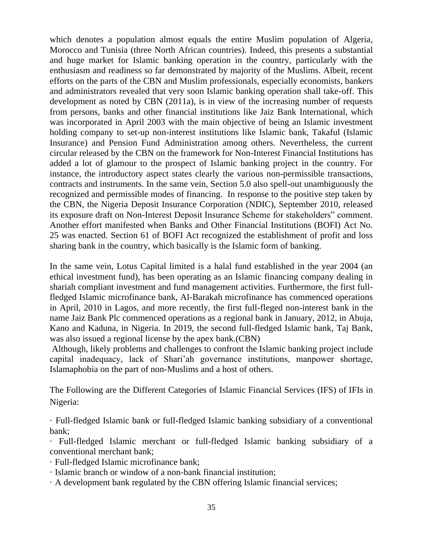which denotes a population almost equals the entire Muslim population of Algeria, Morocco and Tunisia (three North African countries). Indeed, this presents a substantial and huge market for Islamic banking operation in the country, particularly with the enthusiasm and readiness so far demonstrated by majority of the Muslims. Albeit, recent efforts on the parts of the CBN and Muslim professionals, especially economists, bankers and administrators revealed that very soon Islamic banking operation shall take-off. This development as noted by CBN (2011a), is in view of the increasing number of requests from persons, banks and other financial institutions like Jaiz Bank International, which was incorporated in April 2003 with the main objective of being an Islamic investment holding company to set-up non-interest institutions like Islamic bank, Takaful (Islamic Insurance) and Pension Fund Administration among others. Nevertheless, the current circular released by the CBN on the framework for Non-Interest Financial Institutions has added a lot of glamour to the prospect of Islamic banking project in the country. For instance, the introductory aspect states clearly the various non-permissible transactions, contracts and instruments. In the same vein, Section 5.0 also spell-out unambiguously the recognized and permissible modes of financing. In response to the positive step taken by the CBN, the Nigeria Deposit Insurance Corporation (NDIC), September 2010, released its exposure draft on Non-Interest Deposit Insurance Scheme for stakeholders" comment. Another effort manifested when Banks and Other Financial Institutions (BOFI) Act No. 25 was enacted. Section 61 of BOFI Act recognized the establishment of profit and loss sharing bank in the country, which basically is the Islamic form of banking.

In the same vein, Lotus Capital limited is a halal fund established in the year 2004 (an ethical investment fund), has been operating as an Islamic financing company dealing in shariah compliant investment and fund management activities. Furthermore, the first fullfledged Islamic microfinance bank, Al-Barakah microfinance has commenced operations in April, 2010 in Lagos, and more recently, the first full-fleged non-interest bank in the name Jaiz Bank Plc commenced operations as a regional bank in January, 2012, in Abuja, Kano and Kaduna, in Nigeria. In 2019, the second full-fledged Islamic bank, Taj Bank, was also issued a regional license by the apex bank.(CBN)

Although, likely problems and challenges to confront the Islamic banking project include capital inadequacy, lack of Shari'ah governance institutions, manpower shortage, Islamaphobia on the part of non-Muslims and a host of others.

The Following are the Different Categories of Islamic Financial Services (IFS) of IFIs in Nigeria:

· Full-fledged Islamic bank or full-fledged Islamic banking subsidiary of a conventional bank;

· Full-fledged Islamic merchant or full-fledged Islamic banking subsidiary of a conventional merchant bank;

- · Full-fledged Islamic microfinance bank;
- · Islamic branch or window of a non-bank financial institution;
- · A development bank regulated by the CBN offering Islamic financial services;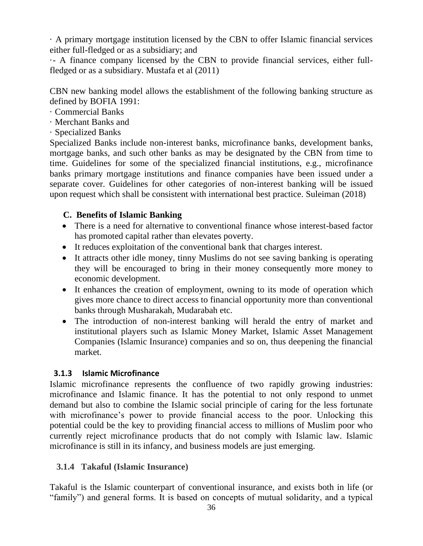· A primary mortgage institution licensed by the CBN to offer Islamic financial services either full-fledged or as a subsidiary; and

·- A finance company licensed by the CBN to provide financial services, either fullfledged or as a subsidiary. Mustafa et al (2011)

CBN new banking model allows the establishment of the following banking structure as defined by BOFIA 1991:

- · Commercial Banks
- · Merchant Banks and
- · Specialized Banks

Specialized Banks include non-interest banks, microfinance banks, development banks, mortgage banks, and such other banks as may be designated by the CBN from time to time. Guidelines for some of the specialized financial institutions, e.g., microfinance banks primary mortgage institutions and finance companies have been issued under a separate cover. Guidelines for other categories of non-interest banking will be issued upon request which shall be consistent with international best practice. Suleiman (2018)

# **C. Benefits of Islamic Banking**

- There is a need for alternative to conventional finance whose interest-based factor has promoted capital rather than elevates poverty.
- It reduces exploitation of the conventional bank that charges interest.
- It attracts other idle money, tinny Muslims do not see saving banking is operating they will be encouraged to bring in their money consequently more money to economic development.
- It enhances the creation of employment, owning to its mode of operation which gives more chance to direct access to financial opportunity more than conventional banks through Musharakah, Mudarabah etc.
- The introduction of non-interest banking will herald the entry of market and institutional players such as Islamic Money Market, Islamic Asset Management Companies (Islamic Insurance) companies and so on, thus deepening the financial market.

# **3.1.3 Islamic Microfinance**

Islamic microfinance represents the confluence of two rapidly growing industries: microfinance and Islamic finance. It has the potential to not only respond to unmet demand but also to combine the Islamic social principle of caring for the less fortunate with microfinance's power to provide financial access to the poor. Unlocking this potential could be the key to providing financial access to millions of Muslim poor who currently reject microfinance products that do not comply with Islamic law. Islamic microfinance is still in its infancy, and business models are just emerging.

## **3.1.4 Takaful (Islamic Insurance)**

Takaful is the Islamic counterpart of conventional insurance, and exists both in life (or "family") and general forms. It is based on concepts of mutual solidarity, and a typical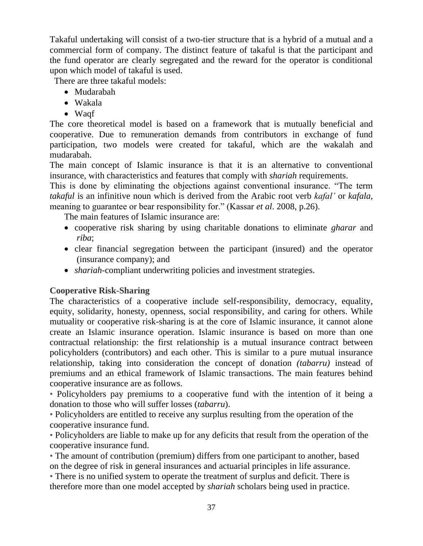Takaful undertaking will consist of a two-tier structure that is a hybrid of a mutual and a commercial form of company. The distinct feature of takaful is that the participant and the fund operator are clearly segregated and the reward for the operator is conditional upon which model of takaful is used.

There are three takaful models:

- Mudarabah
- Wakala
- Waqf

The core theoretical model is based on a framework that is mutually beneficial and cooperative. Due to remuneration demands from contributors in exchange of fund participation, two models were created for takaful, which are the wakalah and mudarabah.

The main concept of Islamic insurance is that it is an alternative to conventional insurance, with characteristics and features that comply with *shariah* requirements.

This is done by eliminating the objections against conventional insurance. "The term *takaful* is an infinitive noun which is derived from the Arabic root verb *kafal'* or *kafala,*  meaning to guarantee or bear responsibility for." (Kassar *et al*. 2008, p.26).

The main features of Islamic insurance are:

- cooperative risk sharing by using charitable donations to eliminate *gharar* and *riba*;
- clear financial segregation between the participant (insured) and the operator (insurance company); and
- *shariah*-compliant underwriting policies and investment strategies.

# **Cooperative Risk-Sharing**

The characteristics of a cooperative include self-responsibility, democracy, equality, equity, solidarity, honesty, openness, social responsibility, and caring for others. While mutuality or cooperative risk-sharing is at the core of Islamic insurance, it cannot alone create an Islamic insurance operation. Islamic insurance is based on more than one contractual relationship: the first relationship is a mutual insurance contract between policyholders (contributors) and each other. This is similar to a pure mutual insurance relationship, taking into consideration the concept of donation *(tabarru)* instead of premiums and an ethical framework of Islamic transactions. The main features behind cooperative insurance are as follows.

• Policyholders pay premiums to a cooperative fund with the intention of it being a donation to those who will suffer losses (*tabarru*).

• Policyholders are entitled to receive any surplus resulting from the operation of the cooperative insurance fund.

• Policyholders are liable to make up for any deficits that result from the operation of the cooperative insurance fund.

• The amount of contribution (premium) differs from one participant to another, based on the degree of risk in general insurances and actuarial principles in life assurance.

• There is no unified system to operate the treatment of surplus and deficit. There is therefore more than one model accepted by *shariah* scholars being used in practice.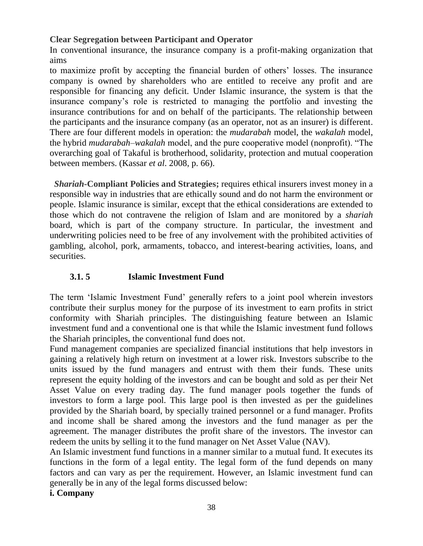# **Clear Segregation between Participant and Operator**

In conventional insurance, the insurance company is a profit-making organization that aims

to maximize profit by accepting the financial burden of others' losses. The insurance company is owned by shareholders who are entitled to receive any profit and are responsible for financing any deficit. Under Islamic insurance, the system is that the insurance company's role is restricted to managing the portfolio and investing the insurance contributions for and on behalf of the participants. The relationship between the participants and the insurance company (as an operator, not as an insurer) is different. There are four different models in operation: the *mudarabah* model, the *wakalah* model, the hybrid *mudarabah–wakalah* model, and the pure cooperative model (nonprofit). "The overarching goal of Takaful is brotherhood, solidarity, protection and mutual cooperation between members. (Kassar *et al*. 2008, p. 66).

*Shariah***-Compliant Policies and Strategies;** requires ethical insurers invest money in a responsible way in industries that are ethically sound and do not harm the environment or people. Islamic insurance is similar, except that the ethical considerations are extended to those which do not contravene the religion of Islam and are monitored by a *shariah*  board, which is part of the company structure. In particular, the investment and underwriting policies need to be free of any involvement with the prohibited activities of gambling, alcohol, pork, armaments, tobacco, and interest-bearing activities, loans, and securities.

# **3.1. 5 Islamic Investment Fund**

The term 'Islamic Investment Fund' generally refers to a joint pool wherein investors contribute their surplus money for the purpose of its investment to earn profits in strict conformity with Shariah principles. The distinguishing feature between an Islamic investment fund and a conventional one is that while the Islamic investment fund follows the Shariah principles, the conventional fund does not.

Fund management companies are specialized financial institutions that help investors in gaining a relatively high return on investment at a lower risk. Investors subscribe to the units issued by the fund managers and entrust with them their funds. These units represent the equity holding of the investors and can be bought and sold as per their Net Asset Value on every trading day. The fund manager pools together the funds of investors to form a large pool. This large pool is then invested as per the guidelines provided by the Shariah board, by specially trained personnel or a fund manager. Profits and income shall be shared among the investors and the fund manager as per the agreement. The manager distributes the profit share of the investors. The investor can redeem the units by selling it to the fund manager on Net Asset Value (NAV).

An Islamic investment fund functions in a manner similar to a mutual fund. It executes its functions in the form of a legal entity. The legal form of the fund depends on many factors and can vary as per the requirement. However, an Islamic investment fund can generally be in any of the legal forms discussed below:

## **i. Company**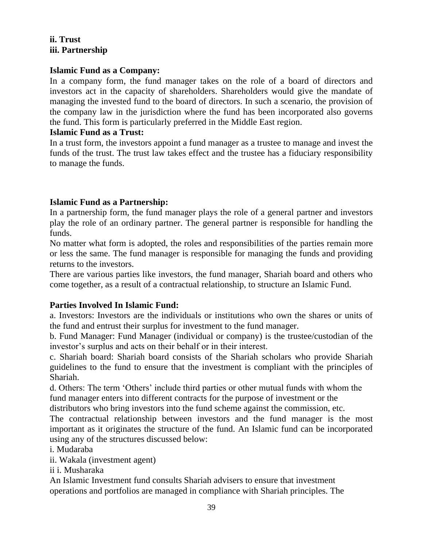# **ii. Trust iii. Partnership**

## **Islamic Fund as a Company:**

In a company form, the fund manager takes on the role of a board of directors and investors act in the capacity of shareholders. Shareholders would give the mandate of managing the invested fund to the board of directors. In such a scenario, the provision of the company law in the jurisdiction where the fund has been incorporated also governs the fund. This form is particularly preferred in the Middle East region.

#### **Islamic Fund as a Trust:**

In a trust form, the investors appoint a fund manager as a trustee to manage and invest the funds of the trust. The trust law takes effect and the trustee has a fiduciary responsibility to manage the funds.

## **Islamic Fund as a Partnership:**

In a partnership form, the fund manager plays the role of a general partner and investors play the role of an ordinary partner. The general partner is responsible for handling the funds.

No matter what form is adopted, the roles and responsibilities of the parties remain more or less the same. The fund manager is responsible for managing the funds and providing returns to the investors.

There are various parties like investors, the fund manager, Shariah board and others who come together, as a result of a contractual relationship, to structure an Islamic Fund.

## **Parties Involved In Islamic Fund:**

a. Investors: Investors are the individuals or institutions who own the shares or units of the fund and entrust their surplus for investment to the fund manager.

b. Fund Manager: Fund Manager (individual or company) is the trustee/custodian of the investor's surplus and acts on their behalf or in their interest.

c. Shariah board: Shariah board consists of the Shariah scholars who provide Shariah guidelines to the fund to ensure that the investment is compliant with the principles of Shariah.

d. Others: The term 'Others' include third parties or other mutual funds with whom the fund manager enters into different contracts for the purpose of investment or the

distributors who bring investors into the fund scheme against the commission, etc.

The contractual relationship between investors and the fund manager is the most important as it originates the structure of the fund. An Islamic fund can be incorporated using any of the structures discussed below:

i. Mudaraba

ii. Wakala (investment agent)

ii i. Musharaka

An Islamic Investment fund consults Shariah advisers to ensure that investment operations and portfolios are managed in compliance with Shariah principles. The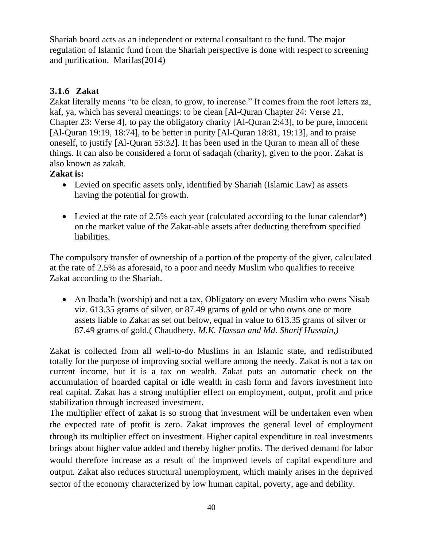Shariah board acts as an independent or external consultant to the fund. The major regulation of Islamic fund from the Shariah perspective is done with respect to screening and purification. Marifas(2014)

# **3.1.6 Zakat**

Zakat literally means "to be clean, to grow, to increase." It comes from the root letters za, kaf, ya, which has several meanings: to be clean [Al-Quran Chapter 24: Verse 21, Chapter 23: Verse 4], to pay the obligatory charity [Al-Quran 2:43], to be pure, innocent [Al-Quran 19:19, 18:74], to be better in purity [Al-Quran 18:81, 19:13], and to praise oneself, to justify [Al-Quran 53:32]. It has been used in the Quran to mean all of these things. It can also be considered a form of sadaqah (charity), given to the poor. Zakat is also known as zakah.

# **Zakat is:**

- Levied on specific assets only, identified by Shariah (Islamic Law) as assets having the potential for growth.
- Levied at the rate of 2.5% each year (calculated according to the lunar calendar<sup>\*</sup>) on the market value of the Zakat-able assets after deducting therefrom specified liabilities.

The compulsory transfer of ownership of a portion of the property of the giver, calculated at the rate of 2.5% as aforesaid, to a poor and needy Muslim who qualifies to receive Zakat according to the Shariah.

• An Ibada'h (worship) and not a tax, Obligatory on every Muslim who owns Nisab viz. 613.35 grams of silver, or 87.49 grams of gold or who owns one or more assets liable to Zakat as set out below, equal in value to 613.35 grams of silver or 87.49 grams of gold.( Chaudhery, *M.K. Hassan and Md. Sharif Hussain,)*

Zakat is collected from all well-to-do Muslims in an Islamic state, and redistributed totally for the purpose of improving social welfare among the needy. Zakat is not a tax on current income, but it is a tax on wealth. Zakat puts an automatic check on the accumulation of hoarded capital or idle wealth in cash form and favors investment into real capital. Zakat has a strong multiplier effect on employment, output, profit and price stabilization through increased investment.

The multiplier effect of zakat is so strong that investment will be undertaken even when the expected rate of profit is zero. Zakat improves the general level of employment through its multiplier effect on investment. Higher capital expenditure in real investments brings about higher value added and thereby higher profits. The derived demand for labor would therefore increase as a result of the improved levels of capital expenditure and output. Zakat also reduces structural unemployment, which mainly arises in the deprived sector of the economy characterized by low human capital, poverty, age and debility.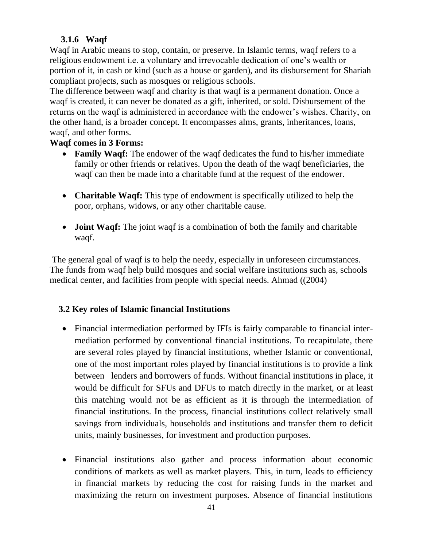# **3.1.6 Waqf**

Waqf in Arabic means to stop, contain, or preserve. In Islamic terms, waqf refers to a religious endowment i.e. a voluntary and irrevocable dedication of one's wealth or portion of it, in cash or kind (such as a house or garden), and its disbursement for Shariah compliant projects, such as mosques or religious schools.

The difference between waqf and charity is that waqf is a permanent donation. Once a waqf is created, it can never be donated as a gift, inherited, or sold. Disbursement of the returns on the waqf is administered in accordance with the endower's wishes. Charity, on the other hand, is a broader concept. It encompasses alms, grants, inheritances, loans, waqf, and other forms.

# **Waqf comes in 3 Forms:**

- **Family Waqf:** The endower of the waqf dedicates the fund to his/her immediate family or other friends or relatives. Upon the death of the waqf beneficiaries, the waqf can then be made into a charitable fund at the request of the endower.
- **Charitable Waqf:** This type of endowment is specifically utilized to help the poor, orphans, widows, or any other charitable cause.
- **Joint Waqf:** The joint waqf is a combination of both the family and charitable waqf.

The general goal of waqf is to help the needy, especially in unforeseen circumstances. The funds from waqf help build mosques and social welfare institutions such as, schools medical center, and facilities from people with special needs. Ahmad ((2004)

# **3.2 Key roles of Islamic financial Institutions**

- Financial intermediation performed by IFIs is fairly comparable to financial intermediation performed by conventional financial institutions. To recapitulate, there are several roles played by financial institutions, whether Islamic or conventional, one of the most important roles played by financial institutions is to provide a link between lenders and borrowers of funds. Without financial institutions in place, it would be difficult for SFUs and DFUs to match directly in the market, or at least this matching would not be as efficient as it is through the intermediation of financial institutions. In the process, financial institutions collect relatively small savings from individuals, households and institutions and transfer them to deficit units, mainly businesses, for investment and production purposes.
- Financial institutions also gather and process information about economic conditions of markets as well as market players. This, in turn, leads to efficiency in financial markets by reducing the cost for raising funds in the market and maximizing the return on investment purposes. Absence of financial institutions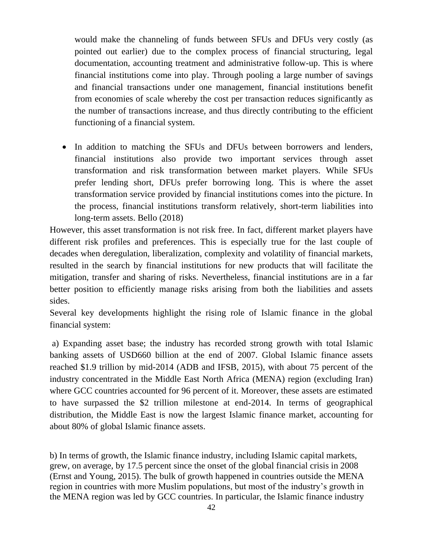would make the channeling of funds between SFUs and DFUs very costly (as pointed out earlier) due to the complex process of financial structuring, legal documentation, accounting treatment and administrative follow-up. This is where financial institutions come into play. Through pooling a large number of savings and financial transactions under one management, financial institutions benefit from economies of scale whereby the cost per transaction reduces significantly as the number of transactions increase, and thus directly contributing to the efficient functioning of a financial system.

• In addition to matching the SFUs and DFUs between borrowers and lenders, financial institutions also provide two important services through asset transformation and risk transformation between market players. While SFUs prefer lending short, DFUs prefer borrowing long. This is where the asset transformation service provided by financial institutions comes into the picture. In the process, financial institutions transform relatively, short-term liabilities into long-term assets. Bello (2018)

However, this asset transformation is not risk free. In fact, different market players have different risk profiles and preferences. This is especially true for the last couple of decades when deregulation, liberalization, complexity and volatility of financial markets, resulted in the search by financial institutions for new products that will facilitate the mitigation, transfer and sharing of risks. Nevertheless, financial institutions are in a far better position to efficiently manage risks arising from both the liabilities and assets sides.

Several key developments highlight the rising role of Islamic finance in the global financial system:

a) Expanding asset base; the industry has recorded strong growth with total Islamic banking assets of USD660 billion at the end of 2007. Global Islamic finance assets reached \$1.9 trillion by mid-2014 (ADB and IFSB, 2015), with about 75 percent of the industry concentrated in the Middle East North Africa (MENA) region (excluding Iran) where GCC countries accounted for 96 percent of it. Moreover, these assets are estimated to have surpassed the \$2 trillion milestone at end-2014. In terms of geographical distribution, the Middle East is now the largest Islamic finance market, accounting for about 80% of global Islamic finance assets.

b) In terms of growth, the Islamic finance industry, including Islamic capital markets, grew, on average, by 17.5 percent since the onset of the global financial crisis in 2008 (Ernst and Young, 2015). The bulk of growth happened in countries outside the MENA region in countries with more Muslim populations, but most of the industry's growth in the MENA region was led by GCC countries. In particular, the Islamic finance industry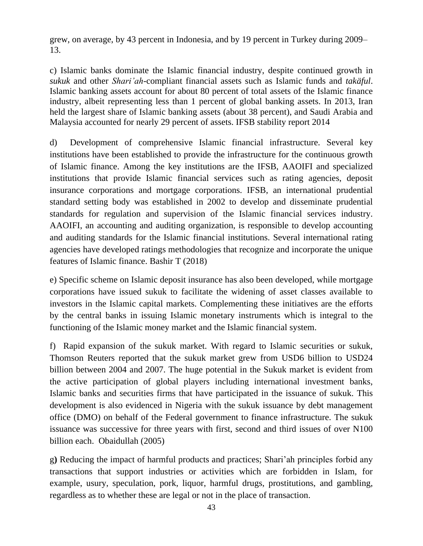grew, on average, by 43 percent in Indonesia, and by 19 percent in Turkey during 2009– 13.

c) Islamic banks dominate the Islamic financial industry, despite continued growth in *sukuk* and other *Shari'ah*-compliant financial assets such as Islamic funds and *takäful*. Islamic banking assets account for about 80 percent of total assets of the Islamic finance industry, albeit representing less than 1 percent of global banking assets. In 2013, Iran held the largest share of Islamic banking assets (about 38 percent), and Saudi Arabia and Malaysia accounted for nearly 29 percent of assets. IFSB stability report 2014

d) Development of comprehensive Islamic financial infrastructure. Several key institutions have been established to provide the infrastructure for the continuous growth of Islamic finance. Among the key institutions are the IFSB, AAOIFI and specialized institutions that provide Islamic financial services such as rating agencies, deposit insurance corporations and mortgage corporations. IFSB, an international prudential standard setting body was established in 2002 to develop and disseminate prudential standards for regulation and supervision of the Islamic financial services industry. AAOIFI, an accounting and auditing organization, is responsible to develop accounting and auditing standards for the Islamic financial institutions. Several international rating agencies have developed ratings methodologies that recognize and incorporate the unique features of Islamic finance. Bashir T (2018)

e) Specific scheme on Islamic deposit insurance has also been developed, while mortgage corporations have issued sukuk to facilitate the widening of asset classes available to investors in the Islamic capital markets. Complementing these initiatives are the efforts by the central banks in issuing Islamic monetary instruments which is integral to the functioning of the Islamic money market and the Islamic financial system.

f) Rapid expansion of the sukuk market. With regard to Islamic securities or sukuk, Thomson Reuters reported that the sukuk market grew from USD6 billion to USD24 billion between 2004 and 2007. The huge potential in the Sukuk market is evident from the active participation of global players including international investment banks, Islamic banks and securities firms that have participated in the issuance of sukuk. This development is also evidenced in Nigeria with the sukuk issuance by debt management office (DMO) on behalf of the Federal government to finance infrastructure. The sukuk issuance was successive for three years with first, second and third issues of over N100 billion each. Obaidullah (2005)

g**)** Reducing the impact of harmful products and practices; Shari'ah principles forbid any transactions that support industries or activities which are forbidden in Islam, for example, usury, speculation, pork, liquor, harmful drugs, prostitutions, and gambling, regardless as to whether these are legal or not in the place of transaction.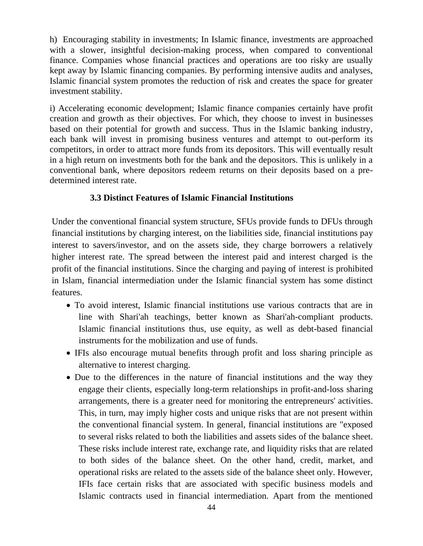h) Encouraging stability in investments; In Islamic finance, investments are approached with a slower, insightful decision-making process, when compared to conventional finance. Companies whose financial practices and operations are too risky are usually kept away by Islamic financing companies. By performing intensive audits and analyses, Islamic financial system promotes the reduction of risk and creates the space for greater investment stability.

i) Accelerating economic development; Islamic finance companies certainly have profit creation and growth as their objectives. For which, they choose to invest in businesses based on their potential for growth and success. Thus in the Islamic banking industry, each bank will invest in promising business ventures and attempt to out-perform its competitors, in order to attract more funds from its depositors. This will eventually result in a high return on investments both for the bank and the depositors. This is unlikely in a conventional bank, where depositors redeem returns on their deposits based on a predetermined interest rate.

## **3.3 Distinct Features of Islamic Financial Institutions**

Under the conventional financial system structure, SFUs provide funds to DFUs through financial institutions by charging interest, on the liabilities side, financial institutions pay interest to savers/investor, and on the assets side, they charge borrowers a relatively higher interest rate. The spread between the interest paid and interest charged is the profit of the financial institutions. Since the charging and paying of interest is prohibited in Islam, financial intermediation under the Islamic financial system has some distinct features.

- To avoid interest, Islamic financial institutions use various contracts that are in line with Shari'ah teachings, better known as Shari'ah-compliant products. Islamic financial institutions thus, use equity, as well as debt-based financial instruments for the mobilization and use of funds.
- IFIs also encourage mutual benefits through profit and loss sharing principle as alternative to interest charging.
- Due to the differences in the nature of financial institutions and the way they engage their clients, especially long-term relationships in profit-and-loss sharing arrangements, there is a greater need for monitoring the entrepreneurs' activities. This, in turn, may imply higher costs and unique risks that are not present within the conventional financial system. In general, financial institutions are "exposed to several risks related to both the liabilities and assets sides of the balance sheet. These risks include interest rate, exchange rate, and liquidity risks that are related to both sides of the balance sheet. On the other hand, credit, market, and operational risks are related to the assets side of the balance sheet only. However, IFIs face certain risks that are associated with specific business models and Islamic contracts used in financial intermediation. Apart from the mentioned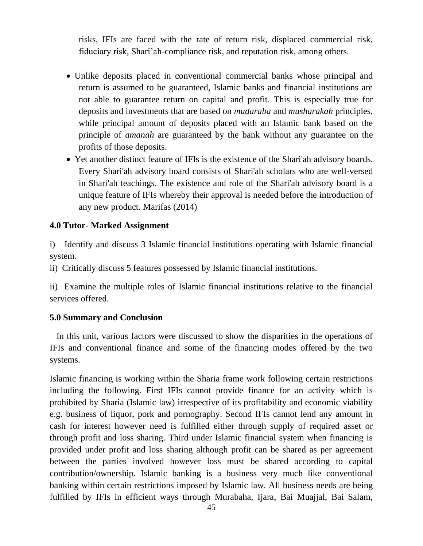risks, IFIs are faced with the rate of return risk, displaced commercial risk, fiduciary risk, Shari'ah-compliance risk, and reputation risk, among others.

- Unlike deposits placed in conventional commercial banks whose principal and return is assumed to be guaranteed, Islamic banks and financial institutions are not able to guarantee return on capital and profit. This is especially true for deposits and investments that are based on *mudaraba* and *musharakah* principles, while principal amount of deposits placed with an Islamic bank based on the principle of *amanah* are guaranteed by the bank without any guarantee on the profits of those deposits.
- Yet another distinct feature of IFIs is the existence of the Shari'ah advisory boards. Every Shari'ah advisory board consists of Shari'ah scholars who are well-versed in Shari'ah teachings. The existence and role of the Shari'ah advisory board is a unique feature of IFIs whereby their approval is needed before the introduction of any new product. Marifas (2014)

#### **4.0 Tutor- Marked Assignment**

i) Identify and discuss 3 Islamic financial institutions operating with Islamic financial system.

ii) Critically discuss 5 features possessed by Islamic financial institutions.

ii) Examine the multiple roles of Islamic financial institutions relative to the financial services offered.

## **5.0 Summary and Conclusion**

In this unit, various factors were discussed to show the disparities in the operations of IFIs and conventional finance and some of the financing modes offered by the two systems.

Islamic financing is working within the Sharia frame work following certain restrictions including the following. First IFIs cannot provide finance for an activity which is prohibited by Sharia (Islamic law) irrespective of its profitability and economic viability e.g. business of liquor, pork and pornography. Second IFIs cannot lend any amount in cash for interest however need is fulfilled either through supply of required asset or through profit and loss sharing. Third under Islamic financial system when financing is provided under profit and loss sharing although profit can be shared as per agreement between the parties involved however loss must be shared according to capital contribution/ownership. Islamic banking is a business very much like conventional banking within certain restrictions imposed by Islamic law. All business needs are being fulfilled by IFIs in efficient ways through Murabaha, Ijara, Bai Muajjal, Bai Salam,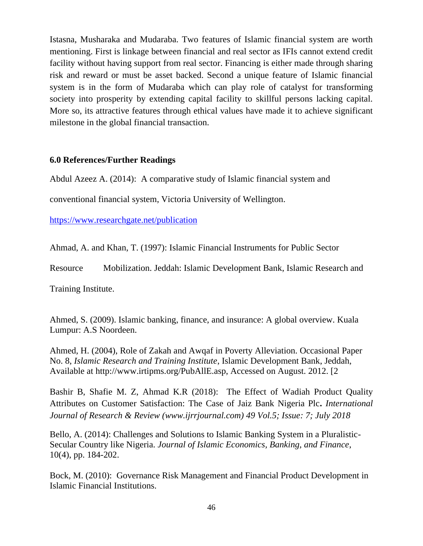Istasna, Musharaka and Mudaraba. Two features of Islamic financial system are worth mentioning. First is linkage between financial and real sector as IFIs cannot extend credit facility without having support from real sector. Financing is either made through sharing risk and reward or must be asset backed. Second a unique feature of Islamic financial system is in the form of Mudaraba which can play role of catalyst for transforming society into prosperity by extending capital facility to skillful persons lacking capital. More so, its attractive features through ethical values have made it to achieve significant milestone in the global financial transaction.

#### **6.0 References/Further Readings**

Abdul Azeez A. (2014): A comparative study of Islamic financial system and

conventional financial system, Victoria University of Wellington.

<https://www.researchgate.net/publication>

Ahmad, A. and Khan, T. (1997): Islamic Financial Instruments for Public Sector

Resource Mobilization. Jeddah: Islamic Development Bank, Islamic Research and

Training Institute.

Ahmed, S. (2009). Islamic banking, finance, and insurance: A global overview. Kuala Lumpur: A.S Noordeen.

Ahmed, H. (2004), Role of Zakah and Awqaf in Poverty Alleviation. Occasional Paper No. 8, *Islamic Research and Training Institute*, Islamic Development Bank, Jeddah, Available at http://www.irtipms.org/PubAllE.asp, Accessed on August. 2012. [2

Bashir B, Shafie M. Z, Ahmad K.R (2018): The Effect of Wadiah Product Quality Attributes on Customer Satisfaction: The Case of Jaiz Bank Nigeria Plc**.** *International Journal of Research & Review (www.ijrrjournal.com) 49 Vol.5; Issue: 7; July 2018*

Bello, A. (2014): Challenges and Solutions to Islamic Banking System in a Pluralistic-Secular Country like Nigeria. *Journal of Islamic Economics, Banking, and Finance*, 10(4), pp. 184-202.

Bock, M. (2010): Governance Risk Management and Financial Product Development in Islamic Financial Institutions.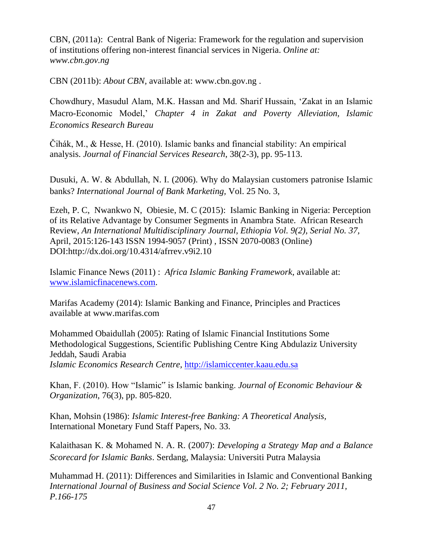CBN, (2011a): Central Bank of Nigeria: Framework for the regulation and supervision of institutions offering non-interest financial services in Nigeria. *Online at: www.cbn.gov.ng* 

CBN (2011b): *About CBN,* available at: www.cbn.gov.ng .

Chowdhury, Masudul Alam, M.K. Hassan and Md. Sharif Hussain, 'Zakat in an Islamic Macro-Economic Model,' *Chapter 4 in Zakat and Poverty Alleviation, Islamic Economics Research Bureau*

Čihák, M., & Hesse, H. (2010). Islamic banks and financial stability: An empirical analysis. *Journal of Financial Services Research*, 38(2-3), pp. 95-113.

Dusuki, A. W. & Abdullah, N. I. (2006). Why do Malaysian customers patronise Islamic banks? *International Journal of Bank Marketing,* Vol. 25 No. 3,

Ezeh, P. C, Nwankwo N, Obiesie, M. C (2015): Islamic Banking in Nigeria: Perception of its Relative Advantage by Consumer Segments in Anambra State. African Research Review, *An International Multidisciplinary Journal, Ethiopia Vol. 9(2), Serial No. 37,*  April, 2015:126-143 ISSN 1994-9057 (Print) , ISSN 2070-0083 (Online) DOI:http://dx.doi.org/10.4314/afrrev.v9i2.10

Islamic Finance News (2011) : *Africa Islamic Banking Framework*, available at: [www.islamicfinacenews.com.](http://www.islamicfinacenews.com/)

Marifas Academy (2014): Islamic Banking and Finance, Principles and Practices available at www.marifas.com

Mohammed Obaidullah (2005): Rating of Islamic Financial Institutions Some Methodological Suggestions, Scientific Publishing Centre King Abdulaziz University Jeddah, Saudi Arabia *Islamic Economics Research Centre,* [http://islamiccenter.kaau.edu.sa](http://islamiccenter.kaau.edu.sa/)

Khan, F. (2010). How "Islamic" is Islamic banking. *Journal of Economic Behaviour & Organization*, 76(3), pp. 805-820.

Khan, Mohsin (1986): *Islamic Interest-free Banking: A Theoretical Analysis,* International Monetary Fund Staff Papers, No. 33.

Kalaithasan K. & Mohamed N. A. R. (2007): *Developing a Strategy Map and a Balance Scorecard for Islamic Banks*. Serdang, Malaysia: Universiti Putra Malaysia

Muhammad H. (2011): Differences and Similarities in Islamic and Conventional Banking *International Journal of Business and Social Science Vol. 2 No. 2; February 2011, P.166-175*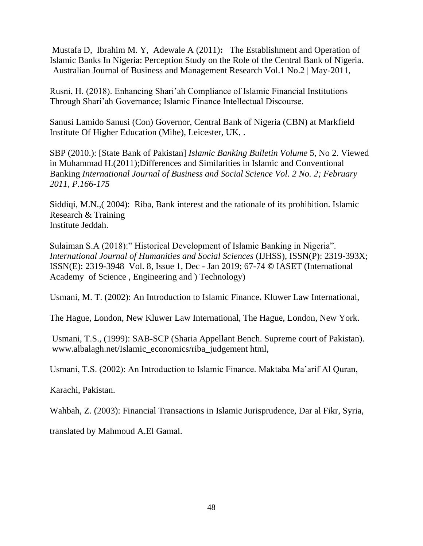Mustafa D, Ibrahim M. Y, Adewale A (2011)**:** The Establishment and Operation of Islamic Banks In Nigeria: Perception Study on the Role of the Central Bank of Nigeria. Australian Journal of Business and Management Research Vol.1 No.2 | May-2011,

Rusni, H. (2018). Enhancing Shari'ah Compliance of Islamic Financial Institutions Through Shari'ah Governance; Islamic Finance Intellectual Discourse.

Sanusi Lamido Sanusi (Con) Governor, Central Bank of Nigeria (CBN) at Markfield Institute Of Higher Education (Mihe), Leicester, UK, .

SBP (2010.): [State Bank of Pakistan] *Islamic Banking Bulletin Volume* 5, No 2. Viewed in Muhammad H.(2011);Differences and Similarities in Islamic and Conventional Banking *International Journal of Business and Social Science Vol. 2 No. 2; February 2011, P.166-175*

Siddiqi, M.N.,( 2004): Riba, Bank interest and the rationale of its prohibition. Islamic Research & Training Institute Jeddah.

Sulaiman S.A (2018):" Historical Development of Islamic Banking in Nigeria". *International Journal of Humanities and Social Sciences* (IJHSS), ISSN(P): 2319-393X; ISSN(E): 2319-3948 Vol. 8, Issue 1, Dec - Jan 2019; 67-74 **©** IASET (International Academy of Science , Engineering and ) Technology)

Usmani, M. T. (2002): An Introduction to Islamic Finance**.** Kluwer Law International,

The Hague, London, New Kluwer Law International, The Hague, London, New York.

Usmani, T.S., (1999): SAB-SCP (Sharia Appellant Bench. Supreme court of Pakistan). www.albalagh.net/Islamic\_economics/riba\_judgement html,

Usmani, T.S. (2002): An Introduction to Islamic Finance. Maktaba Ma'arif Al Quran,

Karachi, Pakistan.

Wahbah, Z. (2003): Financial Transactions in Islamic Jurisprudence, Dar al Fikr, Syria,

translated by Mahmoud A.El Gamal.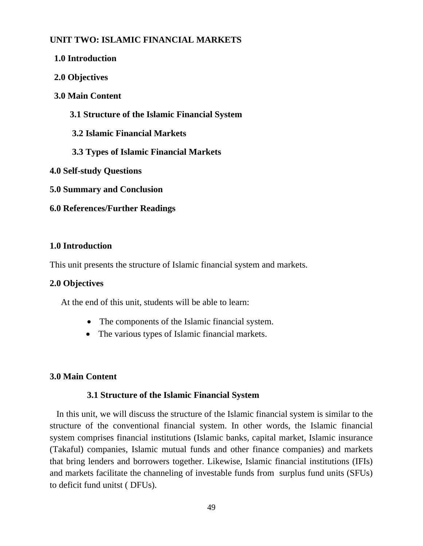### **UNIT TWO: ISLAMIC FINANCIAL MARKETS**

#### **1.0 Introduction**

- **2.0 Objectives**
- **3.0 Main Content**
	- **3.1 Structure of the Islamic Financial System**
	- **3.2 Islamic Financial Markets**
	- **3.3 Types of Islamic Financial Markets**
- **4.0 Self-study Questions**
- **5.0 Summary and Conclusion**
- **6.0 References/Further Readings**

### **1.0 Introduction**

This unit presents the structure of Islamic financial system and markets.

#### **2.0 Objectives**

At the end of this unit, students will be able to learn:

- The components of the Islamic financial system.
- The various types of Islamic financial markets.

## **3.0 Main Content**

#### **3.1 Structure of the Islamic Financial System**

 In this unit, we will discuss the structure of the Islamic financial system is similar to the structure of the conventional financial system. In other words, the Islamic financial system comprises financial institutions (Islamic banks, capital market, Islamic insurance (Takaful) companies, Islamic mutual funds and other finance companies) and markets that bring lenders and borrowers together. Likewise, Islamic financial institutions (IFIs) and markets facilitate the channeling of investable funds from surplus fund units (SFUs) to deficit fund unitst ( DFUs).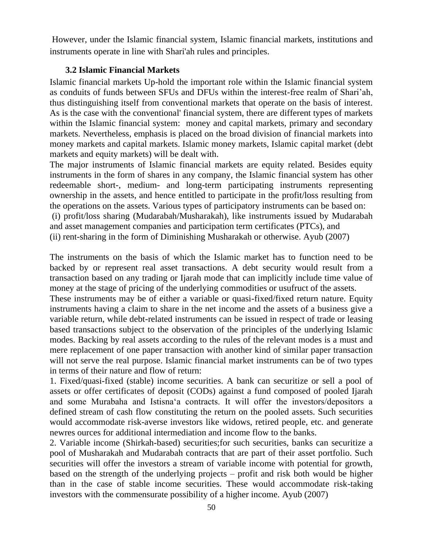However, under the Islamic financial system, Islamic financial markets, institutions and instruments operate in line with Shari'ah rules and principles.

# **3.2 Islamic Financial Markets**

Islamic financial markets Up-hold the important role within the Islamic financial system as conduits of funds between SFUs and DFUs within the interest-free realm of Shari'ah, thus distinguishing itself from conventional markets that operate on the basis of interest. As is the case with the conventional' financial system, there are different types of markets within the Islamic financial system: money and capital markets, primary and secondary markets. Nevertheless, emphasis is placed on the broad division of financial markets into money markets and capital markets. Islamic money markets, Islamic capital market (debt markets and equity markets) will be dealt with.

The major instruments of Islamic financial markets are equity related. Besides equity instruments in the form of shares in any company, the Islamic financial system has other redeemable short-, medium- and long-term participating instruments representing ownership in the assets, and hence entitled to participate in the profit/loss resulting from the operations on the assets. Various types of participatory instruments can be based on: (i) profit/loss sharing (Mudarabah/Musharakah), like instruments issued by Mudarabah and asset management companies and participation term certificates (PTCs), and

(ii) rent-sharing in the form of Diminishing Musharakah or otherwise. Ayub (2007)

The instruments on the basis of which the Islamic market has to function need to be backed by or represent real asset transactions. A debt security would result from a transaction based on any trading or Ijarah mode that can implicitly include time value of money at the stage of pricing of the underlying commodities or usufruct of the assets.

These instruments may be of either a variable or quasi-fixed/fixed return nature. Equity instruments having a claim to share in the net income and the assets of a business give a variable return, while debt-related instruments can be issued in respect of trade or leasing based transactions subject to the observation of the principles of the underlying Islamic modes. Backing by real assets according to the rules of the relevant modes is a must and mere replacement of one paper transaction with another kind of similar paper transaction will not serve the real purpose. Islamic financial market instruments can be of two types in terms of their nature and flow of return:

1. Fixed/quasi-fixed (stable) income securities. A bank can securitize or sell a pool of assets or offer certificates of deposit (CODs) against a fund composed of pooled Ijarah and some Murabaha and Istisna'a contracts. It will offer the investors/depositors a defined stream of cash flow constituting the return on the pooled assets. Such securities would accommodate risk-averse investors like widows, retired people, etc. and generate newres ources for additional intermediation and income flow to the banks.

2. Variable income (Shirkah-based) securities;for such securities, banks can securitize a pool of Musharakah and Mudarabah contracts that are part of their asset portfolio. Such securities will offer the investors a stream of variable income with potential for growth, based on the strength of the underlying projects – profit and risk both would be higher than in the case of stable income securities. These would accommodate risk-taking investors with the commensurate possibility of a higher income. Ayub (2007)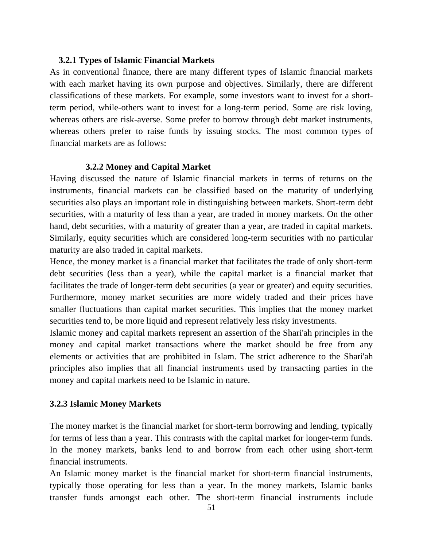### **3.2.1 Types of Islamic Financial Markets**

As in conventional finance, there are many different types of Islamic financial markets with each market having its own purpose and objectives. Similarly, there are different classifications of these markets. For example, some investors want to invest for a shortterm period, while-others want to invest for a long-term period. Some are risk loving, whereas others are risk-averse. Some prefer to borrow through debt market instruments, whereas others prefer to raise funds by issuing stocks. The most common types of financial markets are as follows:

### **3.2.2 Money and Capital Market**

Having discussed the nature of Islamic financial markets in terms of returns on the instruments, financial markets can be classified based on the maturity of underlying securities also plays an important role in distinguishing between markets. Short-term debt securities, with a maturity of less than a year, are traded in money markets. On the other hand, debt securities, with a maturity of greater than a year, are traded in capital markets. Similarly, equity securities which are considered long-term securities with no particular maturity are also traded in capital markets.

Hence, the money market is a financial market that facilitates the trade of only short-term debt securities (less than a year), while the capital market is a financial market that facilitates the trade of longer-term debt securities (a year or greater) and equity securities. Furthermore, money market securities are more widely traded and their prices have smaller fluctuations than capital market securities. This implies that the money market securities tend to, be more liquid and represent relatively less risky investments.

Islamic money and capital markets represent an assertion of the Shari'ah principles in the money and capital market transactions where the market should be free from any elements or activities that are prohibited in Islam. The strict adherence to the Shari'ah principles also implies that all financial instruments used by transacting parties in the money and capital markets need to be Islamic in nature.

## **3.2.3 Islamic Money Markets**

The money market is the financial market for short-term borrowing and lending, typically for terms of less than a year. This contrasts with the capital market for longer-term funds. In the money markets, banks lend to and borrow from each other using short-term financial instruments.

An Islamic money market is the financial market for short-term financial instruments, typically those operating for less than a year. In the money markets, Islamic banks transfer funds amongst each other. The short-term financial instruments include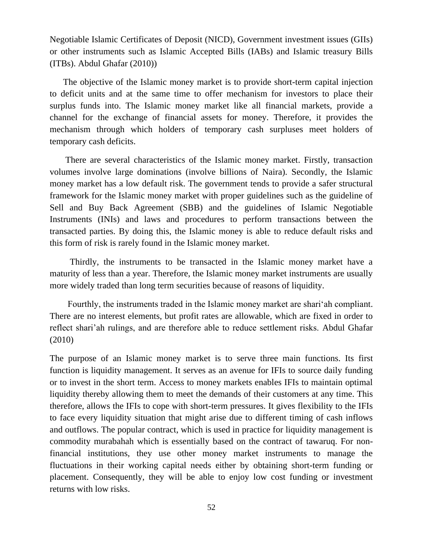Negotiable Islamic Certificates of Deposit (NICD), Government investment issues (GIIs) or other instruments such as Islamic Accepted Bills (IABs) and Islamic treasury Bills (ITBs). Abdul Ghafar (2010))

 The objective of the Islamic money market is to provide short-term capital injection to deficit units and at the same time to offer mechanism for investors to place their surplus funds into. The Islamic money market like all financial markets, provide a channel for the exchange of financial assets for money. Therefore, it provides the mechanism through which holders of temporary cash surpluses meet holders of temporary cash deficits.

 There are several characteristics of the Islamic money market. Firstly, transaction volumes involve large dominations (involve billions of Naira). Secondly, the Islamic money market has a low default risk. The government tends to provide a safer structural framework for the Islamic money market with proper guidelines such as the guideline of Sell and Buy Back Agreement (SBB) and the guidelines of Islamic Negotiable Instruments (INIs) and laws and procedures to perform transactions between the transacted parties. By doing this, the Islamic money is able to reduce default risks and this form of risk is rarely found in the Islamic money market.

 Thirdly, the instruments to be transacted in the Islamic money market have a maturity of less than a year. Therefore, the Islamic money market instruments are usually more widely traded than long term securities because of reasons of liquidity.

 Fourthly, the instruments traded in the Islamic money market are shari'ah compliant. There are no interest elements, but profit rates are allowable, which are fixed in order to reflect shari'ah rulings, and are therefore able to reduce settlement risks. Abdul Ghafar (2010)

The purpose of an Islamic money market is to serve three main functions. Its first function is liquidity management. It serves as an avenue for IFIs to source daily funding or to invest in the short term. Access to money markets enables IFIs to maintain optimal liquidity thereby allowing them to meet the demands of their customers at any time. This therefore, allows the IFIs to cope with short-term pressures. It gives flexibility to the IFIs to face every liquidity situation that might arise due to different timing of cash inflows and outflows. The popular contract, which is used in practice for liquidity management is commodity murabahah which is essentially based on the contract of tawaruq. For nonfinancial institutions, they use other money market instruments to manage the fluctuations in their working capital needs either by obtaining short-term funding or placement. Consequently, they will be able to enjoy low cost funding or investment returns with low risks.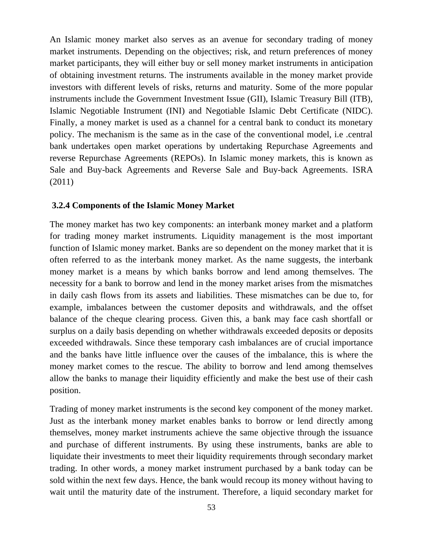An Islamic money market also serves as an avenue for secondary trading of money market instruments. Depending on the objectives; risk, and return preferences of money market participants, they will either buy or sell money market instruments in anticipation of obtaining investment returns. The instruments available in the money market provide investors with different levels of risks, returns and maturity. Some of the more popular instruments include the Government Investment Issue (GII), Islamic Treasury Bill (ITB), Islamic Negotiable Instrument (INI) and Negotiable Islamic Debt Certificate (NIDC). Finally, a money market is used as a channel for a central bank to conduct its monetary policy. The mechanism is the same as in the case of the conventional model, i.e .central bank undertakes open market operations by undertaking Repurchase Agreements and reverse Repurchase Agreements (REPOs). In Islamic money markets, this is known as Sale and Buy-back Agreements and Reverse Sale and Buy-back Agreements. ISRA (2011)

#### **3.2.4 Components of the Islamic Money Market**

The money market has two key components: an interbank money market and a platform for trading money market instruments. Liquidity management is the most important function of Islamic money market. Banks are so dependent on the money market that it is often referred to as the interbank money market. As the name suggests, the interbank money market is a means by which banks borrow and lend among themselves. The necessity for a bank to borrow and lend in the money market arises from the mismatches in daily cash flows from its assets and liabilities. These mismatches can be due to, for example, imbalances between the customer deposits and withdrawals, and the offset balance of the cheque clearing process. Given this, a bank may face cash shortfall or surplus on a daily basis depending on whether withdrawals exceeded deposits or deposits exceeded withdrawals. Since these temporary cash imbalances are of crucial importance and the banks have little influence over the causes of the imbalance, this is where the money market comes to the rescue. The ability to borrow and lend among themselves allow the banks to manage their liquidity efficiently and make the best use of their cash position.

Trading of money market instruments is the second key component of the money market. Just as the interbank money market enables banks to borrow or lend directly among themselves, money market instruments achieve the same objective through the issuance and purchase of different instruments. By using these instruments, banks are able to liquidate their investments to meet their liquidity requirements through secondary market trading. In other words, a money market instrument purchased by a bank today can be sold within the next few days. Hence, the bank would recoup its money without having to wait until the maturity date of the instrument. Therefore, a liquid secondary market for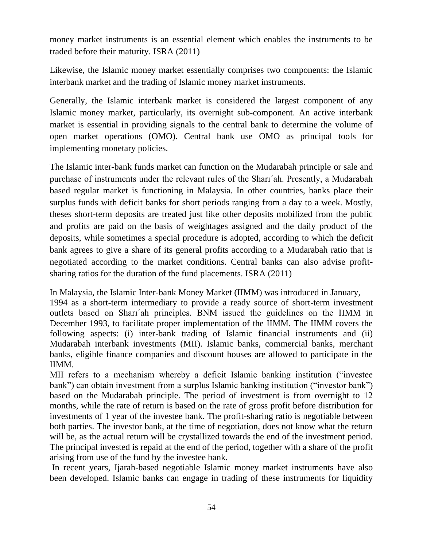money market instruments is an essential element which enables the instruments to be traded before their maturity. ISRA (2011)

Likewise, the Islamic money market essentially comprises two components: the Islamic interbank market and the trading of Islamic money market instruments.

Generally, the Islamic interbank market is considered the largest component of any Islamic money market, particularly, its overnight sub-component. An active interbank market is essential in providing signals to the central bank to determine the volume of open market operations (OMO). Central bank use OMO as principal tools for implementing monetary policies.

The Islamic inter-bank funds market can function on the Mudarabah principle or sale and purchase of instruments under the relevant rules of the Sharı´ah. Presently, a Mudarabah based regular market is functioning in Malaysia. In other countries, banks place their surplus funds with deficit banks for short periods ranging from a day to a week. Mostly, theses short-term deposits are treated just like other deposits mobilized from the public and profits are paid on the basis of weightages assigned and the daily product of the deposits, while sometimes a special procedure is adopted, according to which the deficit bank agrees to give a share of its general profits according to a Mudarabah ratio that is negotiated according to the market conditions. Central banks can also advise profitsharing ratios for the duration of the fund placements. ISRA (2011)

In Malaysia, the Islamic Inter-bank Money Market (IIMM) was introduced in January,

1994 as a short-term intermediary to provide a ready source of short-term investment outlets based on Sharı´ah principles. BNM issued the guidelines on the IIMM in December 1993, to facilitate proper implementation of the IIMM. The IIMM covers the following aspects: (i) inter-bank trading of Islamic financial instruments and (ii) Mudarabah interbank investments (MII). Islamic banks, commercial banks, merchant banks, eligible finance companies and discount houses are allowed to participate in the IIMM.

MII refers to a mechanism whereby a deficit Islamic banking institution ("investee bank") can obtain investment from a surplus Islamic banking institution ("investor bank") based on the Mudarabah principle. The period of investment is from overnight to 12 months, while the rate of return is based on the rate of gross profit before distribution for investments of 1 year of the investee bank. The profit-sharing ratio is negotiable between both parties. The investor bank, at the time of negotiation, does not know what the return will be, as the actual return will be crystallized towards the end of the investment period. The principal invested is repaid at the end of the period, together with a share of the profit arising from use of the fund by the investee bank.

In recent years, Ijarah-based negotiable Islamic money market instruments have also been developed. Islamic banks can engage in trading of these instruments for liquidity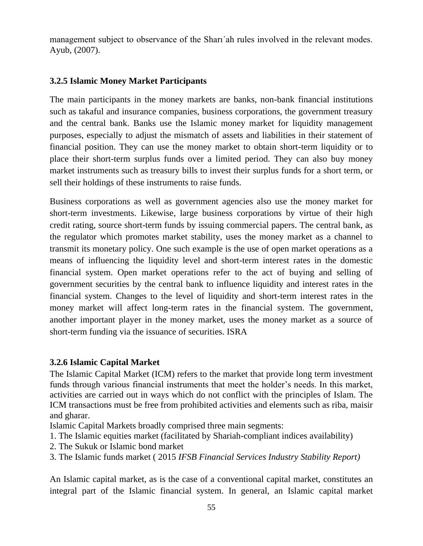management subject to observance of the Sharı´ah rules involved in the relevant modes. Ayub, (2007).

# **3.2.5 Islamic Money Market Participants**

The main participants in the money markets are banks, non-bank financial institutions such as takaful and insurance companies, business corporations, the government treasury and the central bank. Banks use the Islamic money market for liquidity management purposes, especially to adjust the mismatch of assets and liabilities in their statement of financial position. They can use the money market to obtain short-term liquidity or to place their short-term surplus funds over a limited period. They can also buy money market instruments such as treasury bills to invest their surplus funds for a short term, or sell their holdings of these instruments to raise funds.

Business corporations as well as government agencies also use the money market for short-term investments. Likewise, large business corporations by virtue of their high credit rating, source short-term funds by issuing commercial papers. The central bank, as the regulator which promotes market stability, uses the money market as a channel to transmit its monetary policy. One such example is the use of open market operations as a means of influencing the liquidity level and short-term interest rates in the domestic financial system. Open market operations refer to the act of buying and selling of government securities by the central bank to influence liquidity and interest rates in the financial system. Changes to the level of liquidity and short-term interest rates in the money market will affect long-term rates in the financial system. The government, another important player in the money market, uses the money market as a source of short-term funding via the issuance of securities. ISRA

# **3.2.6 Islamic Capital Market**

The Islamic Capital Market (ICM) refers to the market that provide long term investment funds through various financial instruments that meet the holder's needs. In this market, activities are carried out in ways which do not conflict with the principles of Islam. The ICM transactions must be free from prohibited activities and elements such as riba, maisir and gharar.

Islamic Capital Markets broadly comprised three main segments:

- 1. The Islamic equities market (facilitated by Shariah-compliant indices availability)
- 2. The Sukuk or Islamic bond market
- 3. The Islamic funds market ( 2015 *IFSB Financial Services Industry Stability Report)*

An Islamic capital market, as is the case of a conventional capital market, constitutes an integral part of the Islamic financial system. In general, an Islamic capital market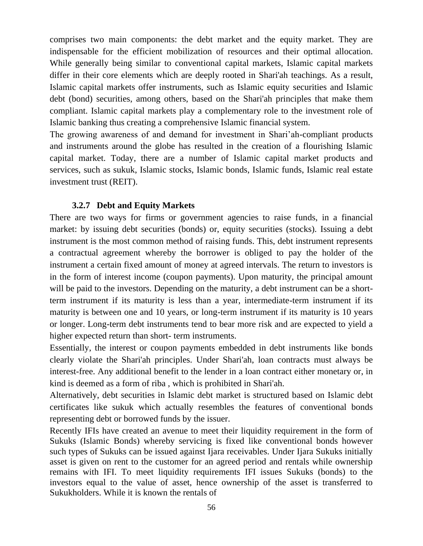comprises two main components: the debt market and the equity market. They are indispensable for the efficient mobilization of resources and their optimal allocation. While generally being similar to conventional capital markets, Islamic capital markets differ in their core elements which are deeply rooted in Shari'ah teachings. As a result, Islamic capital markets offer instruments, such as Islamic equity securities and Islamic debt (bond) securities, among others, based on the Shari'ah principles that make them compliant. Islamic capital markets play a complementary role to the investment role of Islamic banking thus creating a comprehensive Islamic financial system.

The growing awareness of and demand for investment in Shari'ah-compliant products and instruments around the globe has resulted in the creation of a flourishing Islamic capital market. Today, there are a number of Islamic capital market products and services, such as sukuk, Islamic stocks, Islamic bonds, Islamic funds, Islamic real estate investment trust (REIT).

# **3.2.7 Debt and Equity Markets**

There are two ways for firms or government agencies to raise funds, in a financial market: by issuing debt securities (bonds) or, equity securities (stocks). Issuing a debt instrument is the most common method of raising funds. This, debt instrument represents a contractual agreement whereby the borrower is obliged to pay the holder of the instrument a certain fixed amount of money at agreed intervals. The return to investors is in the form of interest income (coupon payments). Upon maturity, the principal amount will be paid to the investors. Depending on the maturity, a debt instrument can be a shortterm instrument if its maturity is less than a year, intermediate-term instrument if its maturity is between one and 10 years, or long-term instrument if its maturity is 10 years or longer. Long-term debt instruments tend to bear more risk and are expected to yield a higher expected return than short- term instruments.

Essentially, the interest or coupon payments embedded in debt instruments like bonds clearly violate the Shari'ah principles. Under Shari'ah, loan contracts must always be interest-free. Any additional benefit to the lender in a loan contract either monetary or, in kind is deemed as a form of riba , which is prohibited in Shari'ah.

Alternatively, debt securities in Islamic debt market is structured based on Islamic debt certificates like sukuk which actually resembles the features of conventional bonds representing debt or borrowed funds by the issuer.

Recently IFIs have created an avenue to meet their liquidity requirement in the form of Sukuks (Islamic Bonds) whereby servicing is fixed like conventional bonds however such types of Sukuks can be issued against Ijara receivables. Under Ijara Sukuks initially asset is given on rent to the customer for an agreed period and rentals while ownership remains with IFI. To meet liquidity requirements IFI issues Sukuks (bonds) to the investors equal to the value of asset, hence ownership of the asset is transferred to Sukukholders. While it is known the rentals of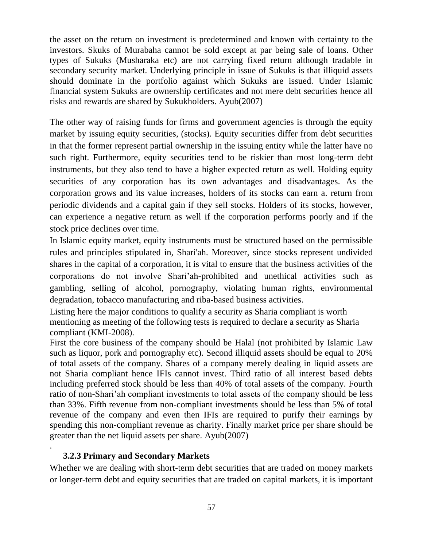the asset on the return on investment is predetermined and known with certainty to the investors. Skuks of Murabaha cannot be sold except at par being sale of loans. Other types of Sukuks (Musharaka etc) are not carrying fixed return although tradable in secondary security market. Underlying principle in issue of Sukuks is that illiquid assets should dominate in the portfolio against which Sukuks are issued. Under Islamic financial system Sukuks are ownership certificates and not mere debt securities hence all risks and rewards are shared by Sukukholders. Ayub(2007)

The other way of raising funds for firms and government agencies is through the equity market by issuing equity securities, (stocks). Equity securities differ from debt securities in that the former represent partial ownership in the issuing entity while the latter have no such right. Furthermore, equity securities tend to be riskier than most long-term debt instruments, but they also tend to have a higher expected return as well. Holding equity securities of any corporation has its own advantages and disadvantages. As the corporation grows and its value increases, holders of its stocks can earn a. return from periodic dividends and a capital gain if they sell stocks. Holders of its stocks, however, can experience a negative return as well if the corporation performs poorly and if the stock price declines over time.

In Islamic equity market, equity instruments must be structured based on the permissible rules and principles stipulated in, Shari'ah. Moreover, since stocks represent undivided shares in the capital of a corporation, it is vital to ensure that the business activities of the corporations do not involve Shari'ah-prohibited and unethical activities such as gambling, selling of alcohol, pornography, violating human rights, environmental degradation, tobacco manufacturing and riba-based business activities.

Listing here the major conditions to qualify a security as Sharia compliant is worth mentioning as meeting of the following tests is required to declare a security as Sharia compliant (KMI-2008).

First the core business of the company should be Halal (not prohibited by Islamic Law such as liquor, pork and pornography etc). Second illiquid assets should be equal to 20% of total assets of the company. Shares of a company merely dealing in liquid assets are not Sharia compliant hence IFIs cannot invest. Third ratio of all interest based debts including preferred stock should be less than 40% of total assets of the company. Fourth ratio of non-Shari'ah compliant investments to total assets of the company should be less than 33%. Fifth revenue from non-compliant investments should be less than 5% of total revenue of the company and even then IFIs are required to purify their earnings by spending this non-compliant revenue as charity. Finally market price per share should be greater than the net liquid assets per share. Ayub(2007)

### **3.2.3 Primary and Secondary Markets**

.

Whether we are dealing with short-term debt securities that are traded on money markets or longer-term debt and equity securities that are traded on capital markets, it is important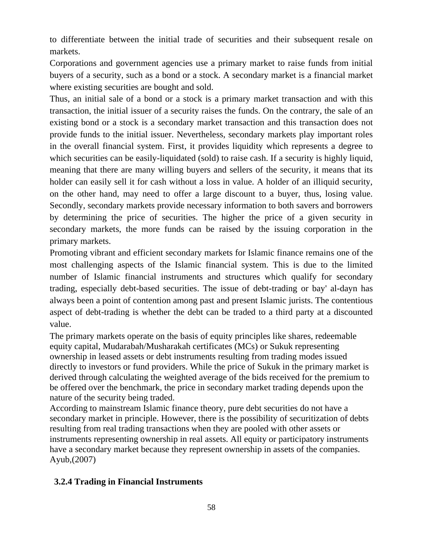to differentiate between the initial trade of securities and their subsequent resale on markets.

Corporations and government agencies use a primary market to raise funds from initial buyers of a security, such as a bond or a stock. A secondary market is a financial market where existing securities are bought and sold.

Thus, an initial sale of a bond or a stock is a primary market transaction and with this transaction, the initial issuer of a security raises the funds. On the contrary, the sale of an existing bond or a stock is a secondary market transaction and this transaction does not provide funds to the initial issuer. Nevertheless, secondary markets play important roles in the overall financial system. First, it provides liquidity which represents a degree to which securities can be easily-liquidated (sold) to raise cash. If a security is highly liquid, meaning that there are many willing buyers and sellers of the security, it means that its holder can easily sell it for cash without a loss in value. A holder of an illiquid security, on the other hand, may need to offer a large discount to a buyer, thus, losing value. Secondly, secondary markets provide necessary information to both savers and borrowers by determining the price of securities. The higher the price of a given security in secondary markets, the more funds can be raised by the issuing corporation in the primary markets.

Promoting vibrant and efficient secondary markets for Islamic finance remains one of the most challenging aspects of the Islamic financial system. This is due to the limited number of Islamic financial instruments and structures which qualify for secondary trading, especially debt-based securities. The issue of debt-trading or bay' al-dayn has always been a point of contention among past and present Islamic jurists. The contentious aspect of debt-trading is whether the debt can be traded to a third party at a discounted value.

The primary markets operate on the basis of equity principles like shares, redeemable equity capital, Mudarabah/Musharakah certificates (MCs) or Sukuk representing ownership in leased assets or debt instruments resulting from trading modes issued directly to investors or fund providers. While the price of Sukuk in the primary market is derived through calculating the weighted average of the bids received for the premium to be offered over the benchmark, the price in secondary market trading depends upon the nature of the security being traded.

According to mainstream Islamic finance theory, pure debt securities do not have a secondary market in principle. However, there is the possibility of securitization of debts resulting from real trading transactions when they are pooled with other assets or instruments representing ownership in real assets. All equity or participatory instruments have a secondary market because they represent ownership in assets of the companies. Ayub,(2007)

# **3.2.4 Trading in Financial Instruments**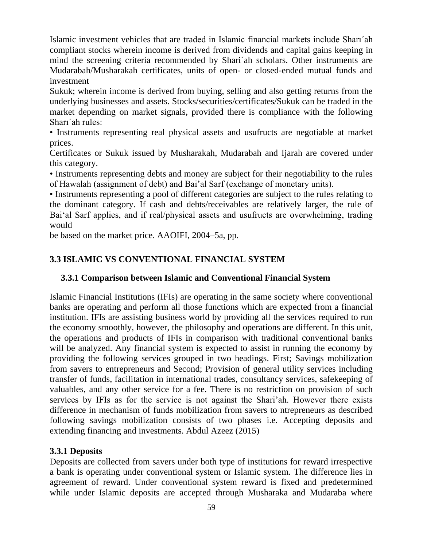Islamic investment vehicles that are traded in Islamic financial markets include Sharı´ah compliant stocks wherein income is derived from dividends and capital gains keeping in mind the screening criteria recommended by Shari´ah scholars. Other instruments are Mudarabah/Musharakah certificates, units of open- or closed-ended mutual funds and investment

Sukuk; wherein income is derived from buying, selling and also getting returns from the underlying businesses and assets. Stocks/securities/certificates/Sukuk can be traded in the market depending on market signals, provided there is compliance with the following Sharı´ah rules:

• Instruments representing real physical assets and usufructs are negotiable at market prices.

Certificates or Sukuk issued by Musharakah, Mudarabah and Ijarah are covered under this category.

• Instruments representing debts and money are subject for their negotiability to the rules of Hawalah (assignment of debt) and Bai'al Sarf (exchange of monetary units).

• Instruments representing a pool of different categories are subject to the rules relating to the dominant category. If cash and debts/receivables are relatively larger, the rule of Bai'al Sarf applies, and if real/physical assets and usufructs are overwhelming, trading would

be based on the market price. AAOIFI, 2004–5a, pp.

# **3.3 ISLAMIC VS CONVENTIONAL FINANCIAL SYSTEM**

# **3.3.1 Comparison between Islamic and Conventional Financial System**

Islamic Financial Institutions (IFIs) are operating in the same society where conventional banks are operating and perform all those functions which are expected from a financial institution. IFIs are assisting business world by providing all the services required to run the economy smoothly, however, the philosophy and operations are different. In this unit, the operations and products of IFIs in comparison with traditional conventional banks will be analyzed. Any financial system is expected to assist in running the economy by providing the following services grouped in two headings. First; Savings mobilization from savers to entrepreneurs and Second; Provision of general utility services including transfer of funds, facilitation in international trades, consultancy services, safekeeping of valuables, and any other service for a fee. There is no restriction on provision of such services by IFIs as for the service is not against the Shari'ah. However there exists difference in mechanism of funds mobilization from savers to ntrepreneurs as described following savings mobilization consists of two phases i.e. Accepting deposits and extending financing and investments. Abdul Azeez (2015)

# **3.3.1 Deposits**

Deposits are collected from savers under both type of institutions for reward irrespective a bank is operating under conventional system or Islamic system. The difference lies in agreement of reward. Under conventional system reward is fixed and predetermined while under Islamic deposits are accepted through Musharaka and Mudaraba where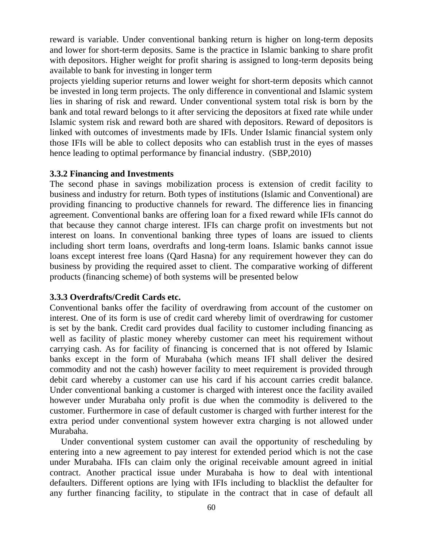reward is variable. Under conventional banking return is higher on long-term deposits and lower for short-term deposits. Same is the practice in Islamic banking to share profit with depositors. Higher weight for profit sharing is assigned to long-term deposits being available to bank for investing in longer term

projects yielding superior returns and lower weight for short-term deposits which cannot be invested in long term projects. The only difference in conventional and Islamic system lies in sharing of risk and reward. Under conventional system total risk is born by the bank and total reward belongs to it after servicing the depositors at fixed rate while under Islamic system risk and reward both are shared with depositors. Reward of depositors is linked with outcomes of investments made by IFIs. Under Islamic financial system only those IFIs will be able to collect deposits who can establish trust in the eyes of masses hence leading to optimal performance by financial industry. (SBP,2010)

#### **3.3.2 Financing and Investments**

The second phase in savings mobilization process is extension of credit facility to business and industry for return. Both types of institutions (Islamic and Conventional) are providing financing to productive channels for reward. The difference lies in financing agreement. Conventional banks are offering loan for a fixed reward while IFIs cannot do that because they cannot charge interest. IFIs can charge profit on investments but not interest on loans. In conventional banking three types of loans are issued to clients including short term loans, overdrafts and long-term loans. Islamic banks cannot issue loans except interest free loans (Qard Hasna) for any requirement however they can do business by providing the required asset to client. The comparative working of different products (financing scheme) of both systems will be presented below

### **3.3.3 Overdrafts/Credit Cards etc.**

Conventional banks offer the facility of overdrawing from account of the customer on interest. One of its form is use of credit card whereby limit of overdrawing for customer is set by the bank. Credit card provides dual facility to customer including financing as well as facility of plastic money whereby customer can meet his requirement without carrying cash. As for facility of financing is concerned that is not offered by Islamic banks except in the form of Murabaha (which means IFI shall deliver the desired commodity and not the cash) however facility to meet requirement is provided through debit card whereby a customer can use his card if his account carries credit balance. Under conventional banking a customer is charged with interest once the facility availed however under Murabaha only profit is due when the commodity is delivered to the customer. Furthermore in case of default customer is charged with further interest for the extra period under conventional system however extra charging is not allowed under Murabaha.

 Under conventional system customer can avail the opportunity of rescheduling by entering into a new agreement to pay interest for extended period which is not the case under Murabaha. IFIs can claim only the original receivable amount agreed in initial contract. Another practical issue under Murabaha is how to deal with intentional defaulters. Different options are lying with IFIs including to blacklist the defaulter for any further financing facility, to stipulate in the contract that in case of default all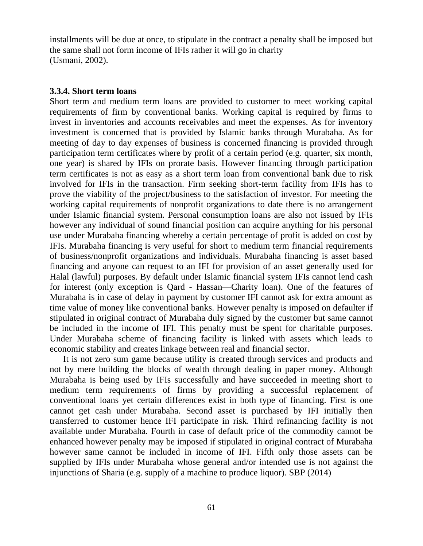installments will be due at once, to stipulate in the contract a penalty shall be imposed but the same shall not form income of IFIs rather it will go in charity (Usmani, 2002).

#### **3.3.4. Short term loans**

Short term and medium term loans are provided to customer to meet working capital requirements of firm by conventional banks. Working capital is required by firms to invest in inventories and accounts receivables and meet the expenses. As for inventory investment is concerned that is provided by Islamic banks through Murabaha. As for meeting of day to day expenses of business is concerned financing is provided through participation term certificates where by profit of a certain period (e.g. quarter, six month, one year) is shared by IFIs on prorate basis. However financing through participation term certificates is not as easy as a short term loan from conventional bank due to risk involved for IFIs in the transaction. Firm seeking short-term facility from IFIs has to prove the viability of the project/business to the satisfaction of investor. For meeting the working capital requirements of nonprofit organizations to date there is no arrangement under Islamic financial system. Personal consumption loans are also not issued by IFIs however any individual of sound financial position can acquire anything for his personal use under Murabaha financing whereby a certain percentage of profit is added on cost by IFIs. Murabaha financing is very useful for short to medium term financial requirements of business/nonprofit organizations and individuals. Murabaha financing is asset based financing and anyone can request to an IFI for provision of an asset generally used for Halal (lawful) purposes. By default under Islamic financial system IFIs cannot lend cash for interest (only exception is Qard - Hassan—Charity loan). One of the features of Murabaha is in case of delay in payment by customer IFI cannot ask for extra amount as time value of money like conventional banks. However penalty is imposed on defaulter if stipulated in original contract of Murabaha duly signed by the customer but same cannot be included in the income of IFI. This penalty must be spent for charitable purposes. Under Murabaha scheme of financing facility is linked with assets which leads to economic stability and creates linkage between real and financial sector.

 It is not zero sum game because utility is created through services and products and not by mere building the blocks of wealth through dealing in paper money. Although Murabaha is being used by IFIs successfully and have succeeded in meeting short to medium term requirements of firms by providing a successful replacement of conventional loans yet certain differences exist in both type of financing. First is one cannot get cash under Murabaha. Second asset is purchased by IFI initially then transferred to customer hence IFI participate in risk. Third refinancing facility is not available under Murabaha. Fourth in case of default price of the commodity cannot be enhanced however penalty may be imposed if stipulated in original contract of Murabaha however same cannot be included in income of IFI. Fifth only those assets can be supplied by IFIs under Murabaha whose general and/or intended use is not against the injunctions of Sharia (e.g. supply of a machine to produce liquor). SBP (2014)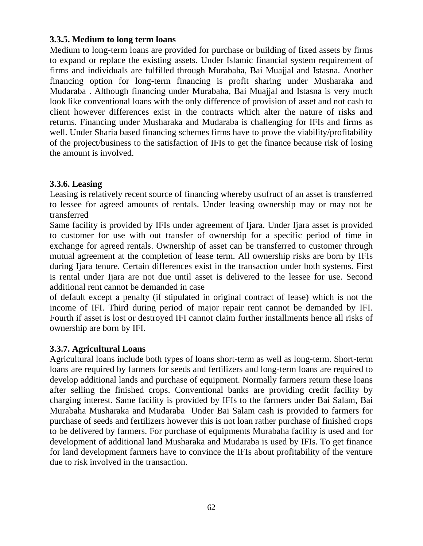#### **3.3.5. Medium to long term loans**

Medium to long-term loans are provided for purchase or building of fixed assets by firms to expand or replace the existing assets. Under Islamic financial system requirement of firms and individuals are fulfilled through Murabaha, Bai Muajjal and Istasna. Another financing option for long-term financing is profit sharing under Musharaka and Mudaraba . Although financing under Murabaha, Bai Muajjal and Istasna is very much look like conventional loans with the only difference of provision of asset and not cash to client however differences exist in the contracts which alter the nature of risks and returns. Financing under Musharaka and Mudaraba is challenging for IFIs and firms as well. Under Sharia based financing schemes firms have to prove the viability/profitability of the project/business to the satisfaction of IFIs to get the finance because risk of losing the amount is involved.

### **3.3.6. Leasing**

Leasing is relatively recent source of financing whereby usufruct of an asset is transferred to lessee for agreed amounts of rentals. Under leasing ownership may or may not be transferred

Same facility is provided by IFIs under agreement of Ijara. Under Ijara asset is provided to customer for use with out transfer of ownership for a specific period of time in exchange for agreed rentals. Ownership of asset can be transferred to customer through mutual agreement at the completion of lease term. All ownership risks are born by IFIs during Ijara tenure. Certain differences exist in the transaction under both systems. First is rental under Ijara are not due until asset is delivered to the lessee for use. Second additional rent cannot be demanded in case

of default except a penalty (if stipulated in original contract of lease) which is not the income of IFI. Third during period of major repair rent cannot be demanded by IFI. Fourth if asset is lost or destroyed IFI cannot claim further installments hence all risks of ownership are born by IFI.

### **3.3.7. Agricultural Loans**

Agricultural loans include both types of loans short-term as well as long-term. Short-term loans are required by farmers for seeds and fertilizers and long-term loans are required to develop additional lands and purchase of equipment. Normally farmers return these loans after selling the finished crops. Conventional banks are providing credit facility by charging interest. Same facility is provided by IFIs to the farmers under Bai Salam, Bai Murabaha Musharaka and Mudaraba Under Bai Salam cash is provided to farmers for purchase of seeds and fertilizers however this is not loan rather purchase of finished crops to be delivered by farmers. For purchase of equipments Murabaha facility is used and for development of additional land Musharaka and Mudaraba is used by IFIs. To get finance for land development farmers have to convince the IFIs about profitability of the venture due to risk involved in the transaction.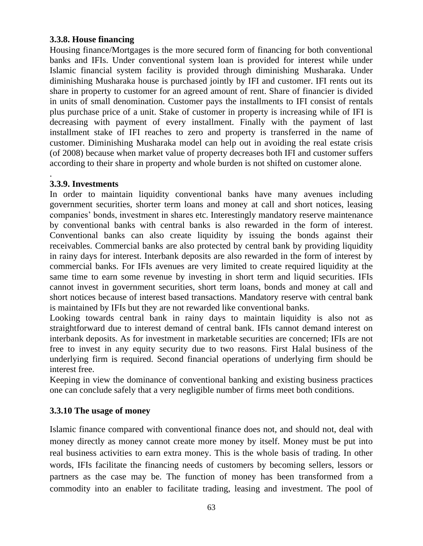### **3.3.8. House financing**

Housing finance/Mortgages is the more secured form of financing for both conventional banks and IFIs. Under conventional system loan is provided for interest while under Islamic financial system facility is provided through diminishing Musharaka. Under diminishing Musharaka house is purchased jointly by IFI and customer. IFI rents out its share in property to customer for an agreed amount of rent. Share of financier is divided in units of small denomination. Customer pays the installments to IFI consist of rentals plus purchase price of a unit. Stake of customer in property is increasing while of IFI is decreasing with payment of every installment. Finally with the payment of last installment stake of IFI reaches to zero and property is transferred in the name of customer. Diminishing Musharaka model can help out in avoiding the real estate crisis (of 2008) because when market value of property decreases both IFI and customer suffers according to their share in property and whole burden is not shifted on customer alone.

#### . **3.3.9. Investments**

In order to maintain liquidity conventional banks have many avenues including government securities, shorter term loans and money at call and short notices, leasing companies' bonds, investment in shares etc. Interestingly mandatory reserve maintenance by conventional banks with central banks is also rewarded in the form of interest. Conventional banks can also create liquidity by issuing the bonds against their receivables. Commercial banks are also protected by central bank by providing liquidity in rainy days for interest. Interbank deposits are also rewarded in the form of interest by commercial banks. For IFIs avenues are very limited to create required liquidity at the same time to earn some revenue by investing in short term and liquid securities. IFIs cannot invest in government securities, short term loans, bonds and money at call and short notices because of interest based transactions. Mandatory reserve with central bank is maintained by IFIs but they are not rewarded like conventional banks.

Looking towards central bank in rainy days to maintain liquidity is also not as straightforward due to interest demand of central bank. IFIs cannot demand interest on interbank deposits. As for investment in marketable securities are concerned; IFIs are not free to invest in any equity security due to two reasons. First Halal business of the underlying firm is required. Second financial operations of underlying firm should be interest free.

Keeping in view the dominance of conventional banking and existing business practices one can conclude safely that a very negligible number of firms meet both conditions.

### **3.3.10 The usage of money**

Islamic finance compared with conventional finance does not, and should not, deal with money directly as money cannot create more money by itself. Money must be put into real business activities to earn extra money. This is the whole basis of trading. In other words, IFIs facilitate the financing needs of customers by becoming sellers, lessors or partners as the case may be. The function of money has been transformed from a commodity into an enabler to facilitate trading, leasing and investment. The pool of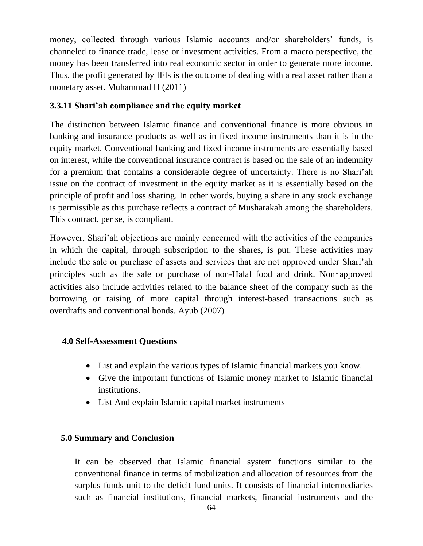money, collected through various Islamic accounts and/or shareholders' funds, is channeled to finance trade, lease or investment activities. From a macro perspective, the money has been transferred into real economic sector in order to generate more income. Thus, the profit generated by IFIs is the outcome of dealing with a real asset rather than a monetary asset. Muhammad H (2011)

### **3.3.11 Shari'ah compliance and the equity market**

The distinction between Islamic finance and conventional finance is more obvious in banking and insurance products as well as in fixed income instruments than it is in the equity market. Conventional banking and fixed income instruments are essentially based on interest, while the conventional insurance contract is based on the sale of an indemnity for a premium that contains a considerable degree of uncertainty. There is no Shari'ah issue on the contract of investment in the equity market as it is essentially based on the principle of profit and loss sharing. In other words, buying a share in any stock exchange is permissible as this purchase reflects a contract of Musharakah among the shareholders. This contract, per se, is compliant.

However, Shari'ah objections are mainly concerned with the activities of the companies in which the capital, through subscription to the shares, is put. These activities may include the sale or purchase of assets and services that are not approved under Shari'ah principles such as the sale or purchase of non-Halal food and drink. Non-approved activities also include activities related to the balance sheet of the company such as the borrowing or raising of more capital through interest-based transactions such as overdrafts and conventional bonds. Ayub (2007)

### **4.0 Self-Assessment Questions**

- List and explain the various types of Islamic financial markets you know.
- Give the important functions of Islamic money market to Islamic financial institutions.
- List And explain Islamic capital market instruments

### **5.0 Summary and Conclusion**

It can be observed that Islamic financial system functions similar to the conventional finance in terms of mobilization and allocation of resources from the surplus funds unit to the deficit fund units. It consists of financial intermediaries such as financial institutions, financial markets, financial instruments and the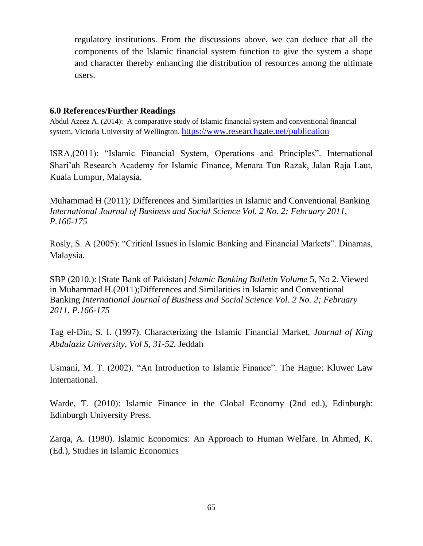regulatory institutions. From the discussions above, we can deduce that all the components of the Islamic financial system function to give the system a shape and character thereby enhancing the distribution of resources among the ultimate users.

#### **6.0 References/Further Readings**

Abdul Azeez A. (2014): A comparative study of Islamic financial system and conventional financial system, Victoria University of Wellington. <https://www.researchgate.net/publication>

ISRA,(2011): "Islamic Financial System, Operations and Principles". International Shari'ah Research Academy for Islamic Finance, Menara Tun Razak, Jalan Raja Laut, Kuala Lumpur, Malaysia.

Muhammad H (2011); Differences and Similarities in Islamic and Conventional Banking *International Journal of Business and Social Science Vol. 2 No. 2; February 2011, P.166-175*

Rosly, S. A (2005): "Critical Issues in Islamic Banking and Financial Markets". Dinamas, Malaysia.

SBP (2010.): [State Bank of Pakistan] *Islamic Banking Bulletin Volume* 5, No 2. Viewed in Muhammad H.(2011);Differences and Similarities in Islamic and Conventional Banking *International Journal of Business and Social Science Vol. 2 No. 2; February 2011, P.166-175*

Tag el-Din, S. I. (1997). Characterizing the Islamic Financial Market, *Journal of King Abdulaziz University, Vol S, 31-52.* Jeddah

Usmani, M. T. (2002). "An Introduction to Islamic Finance". The Hague: Kluwer Law International.

Warde, T. (2010): Islamic Finance in the Global Economy (2nd ed.), Edinburgh: Edinburgh University Press.

Zarqa, A. (1980). Islamic Economics: An Approach to Human Welfare. In Ahmed, K. (Ed.), Studies in Islamic Economics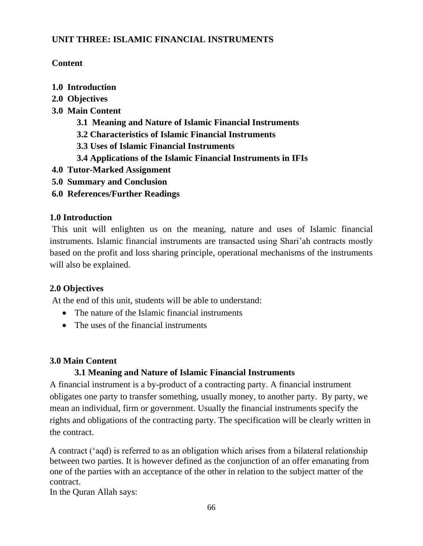# **UNIT THREE: ISLAMIC FINANCIAL INSTRUMENTS**

# **Content**

- **1.0 Introduction**
- **2.0 Objectives**
- **3.0 Main Content**
	- **3.1 Meaning and Nature of Islamic Financial Instruments**
	- **3.2 Characteristics of Islamic Financial Instruments**
	- **3.3 Uses of Islamic Financial Instruments**
	- **3.4 Applications of the Islamic Financial Instruments in IFIs**
- **4.0 Tutor-Marked Assignment**
- **5.0 Summary and Conclusion**
- **6.0 References/Further Readings**

# **1.0 Introduction**

This unit will enlighten us on the meaning, nature and uses of Islamic financial instruments. Islamic financial instruments are transacted using Shari'ah contracts mostly based on the profit and loss sharing principle, operational mechanisms of the instruments will also be explained.

# **2.0 Objectives**

At the end of this unit, students will be able to understand:

- The nature of the Islamic financial instruments
- The uses of the financial instruments

# **3.0 Main Content**

# **3.1 Meaning and Nature of Islamic Financial Instruments**

A financial instrument is a by-product of a contracting party. A financial instrument obligates one party to transfer something, usually money, to another party. By party, we mean an individual, firm or government. Usually the financial instruments specify the rights and obligations of the contracting party. The specification will be clearly written in the contract.

A contract ('aqd) is referred to as an obligation which arises from a bilateral relationship between two parties. It is however defined as the conjunction of an offer emanating from one of the parties with an acceptance of the other in relation to the subject matter of the contract.

In the Quran Allah says: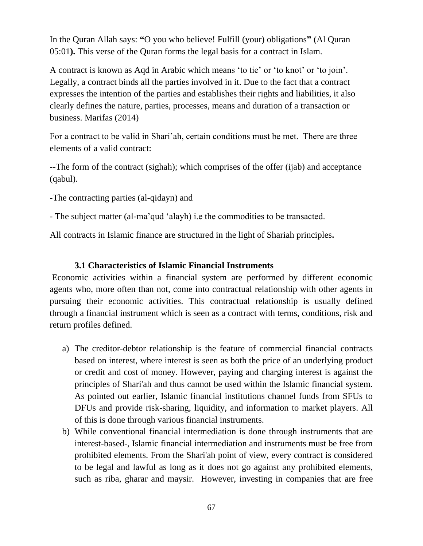In the Quran Allah says: **"**O you who believe! Fulfill (your) obligations**" (**Al Quran 05:01**).** This verse of the Quran forms the legal basis for a contract in Islam.

A contract is known as Aqd in Arabic which means 'to tie' or 'to knot' or 'to join'. Legally, a contract binds all the parties involved in it. Due to the fact that a contract expresses the intention of the parties and establishes their rights and liabilities, it also clearly defines the nature, parties, processes, means and duration of a transaction or business. Marifas (2014)

For a contract to be valid in Shari'ah, certain conditions must be met. There are three elements of a valid contract:

--The form of the contract (sighah); which comprises of the offer (ijab) and acceptance (qabul).

-The contracting parties (al-qidayn) and

- The subject matter (al-ma'qud 'alayh) i.e the commodities to be transacted.

All contracts in Islamic finance are structured in the light of Shariah principles**.** 

#### **3.1 Characteristics of Islamic Financial Instruments**

Economic activities within a financial system are performed by different economic agents who, more often than not, come into contractual relationship with other agents in pursuing their economic activities. This contractual relationship is usually defined through a financial instrument which is seen as a contract with terms, conditions, risk and return profiles defined.

- a) The creditor-debtor relationship is the feature of commercial financial contracts based on interest, where interest is seen as both the price of an underlying product or credit and cost of money. However, paying and charging interest is against the principles of Shari'ah and thus cannot be used within the Islamic financial system. As pointed out earlier, Islamic financial institutions channel funds from SFUs to DFUs and provide risk-sharing, liquidity, and information to market players. All of this is done through various financial instruments.
- b) While conventional financial intermediation is done through instruments that are interest-based-, Islamic financial intermediation and instruments must be free from prohibited elements. From the Shari'ah point of view, every contract is considered to be legal and lawful as long as it does not go against any prohibited elements, such as riba, gharar and maysir. However, investing in companies that are free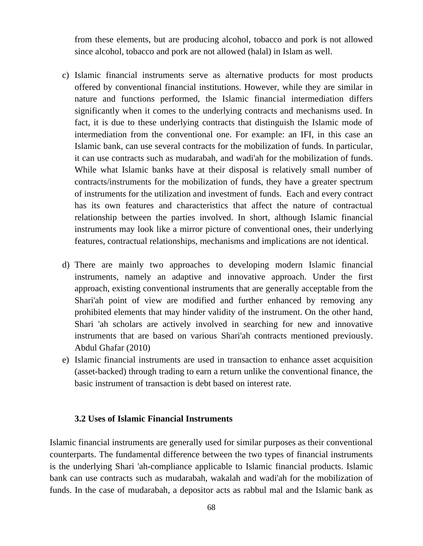from these elements, but are producing alcohol, tobacco and pork is not allowed since alcohol, tobacco and pork are not allowed (halal) in Islam as well.

- c) Islamic financial instruments serve as alternative products for most products offered by conventional financial institutions. However, while they are similar in nature and functions performed, the Islamic financial intermediation differs significantly when it comes to the underlying contracts and mechanisms used. In fact, it is due to these underlying contracts that distinguish the Islamic mode of intermediation from the conventional one. For example: an IFI, in this case an Islamic bank, can use several contracts for the mobilization of funds. In particular, it can use contracts such as mudarabah, and wadi'ah for the mobilization of funds. While what Islamic banks have at their disposal is relatively small number of contracts/instruments for the mobilization of funds, they have a greater spectrum of instruments for the utilization and investment of funds. Each and every contract has its own features and characteristics that affect the nature of contractual relationship between the parties involved. In short, although Islamic financial instruments may look like a mirror picture of conventional ones, their underlying features, contractual relationships, mechanisms and implications are not identical.
- d) There are mainly two approaches to developing modern Islamic financial instruments, namely an adaptive and innovative approach. Under the first approach, existing conventional instruments that are generally acceptable from the Shari'ah point of view are modified and further enhanced by removing any prohibited elements that may hinder validity of the instrument. On the other hand, Shari 'ah scholars are actively involved in searching for new and innovative instruments that are based on various Shari'ah contracts mentioned previously. Abdul Ghafar (2010)
- e) Islamic financial instruments are used in transaction to enhance asset acquisition (asset-backed) through trading to earn a return unlike the conventional finance, the basic instrument of transaction is debt based on interest rate.

#### **3.2 Uses of Islamic Financial Instruments**

Islamic financial instruments are generally used for similar purposes as their conventional counterparts. The fundamental difference between the two types of financial instruments is the underlying Shari 'ah-compliance applicable to Islamic financial products. Islamic bank can use contracts such as mudarabah, wakalah and wadi'ah for the mobilization of funds. In the case of mudarabah, a depositor acts as rabbul mal and the Islamic bank as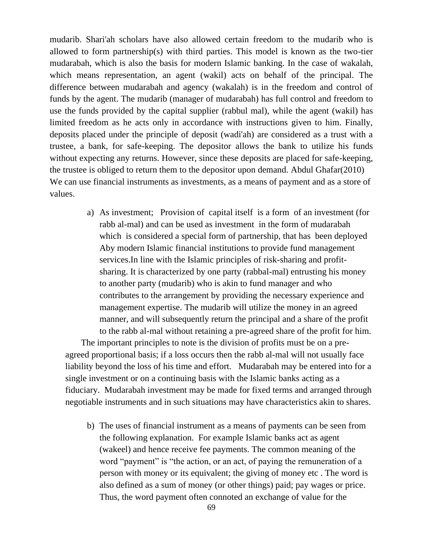mudarib. Shari'ah scholars have also allowed certain freedom to the mudarib who is allowed to form partnership(s) with third parties. This model is known as the two-tier mudarabah, which is also the basis for modern Islamic banking. In the case of wakalah, which means representation, an agent (wakil) acts on behalf of the principal. The difference between mudarabah and agency (wakalah) is in the freedom and control of funds by the agent. The mudarib (manager of mudarabah) has full control and freedom to use the funds provided by the capital supplier (rabbul mal), while the agent (wakil) has limited freedom as he acts only in accordance with instructions given to him. Finally, deposits placed under the principle of deposit (wadi'ah) are considered as a trust with a trustee, a bank, for safe-keeping. The depositor allows the bank to utilize his funds without expecting any returns. However, since these deposits are placed for safe-keeping, the trustee is obliged to return them to the depositor upon demand. Abdul Ghafar(2010) We can use financial instruments as investments, as a means of payment and as a store of values.

> a) As investment; Provision of capital itself is a form of an investment (for rabb al-mal) and can be used as investment in the form of mudarabah which is considered a special form of partnership, that has been deployed Aby modern Islamic financial institutions to provide fund management services.In line with the Islamic principles of risk-sharing and profitsharing. It is characterized by one party (rabbal-mal) entrusting his money to another party (mudarib) who is akin to fund manager and who contributes to the arrangement by providing the necessary experience and management expertise. The mudarib will utilize the money in an agreed manner, and will subsequently return the principal and a share of the profit to the rabb al-mal without retaining a pre-agreed share of the profit for him.

 The important principles to note is the division of profits must be on a preagreed proportional basis; if a loss occurs then the rabb al-mal will not usually face liability beyond the loss of his time and effort. Mudarabah may be entered into for a single investment or on a continuing basis with the Islamic banks acting as a fiduciary. Mudarabah investment may be made for fixed terms and arranged through negotiable instruments and in such situations may have characteristics akin to shares.

b) The uses of financial instrument as a means of payments can be seen from the following explanation. For example Islamic banks act as agent (wakeel) and hence receive fee payments. The common meaning of the word "payment" is "the action, or an act, of paying the remuneration of a person with money or its equivalent; the giving of money etc . The word is also defined as a sum of money (or other things) paid; pay wages or price. Thus, the word payment often connoted an exchange of value for the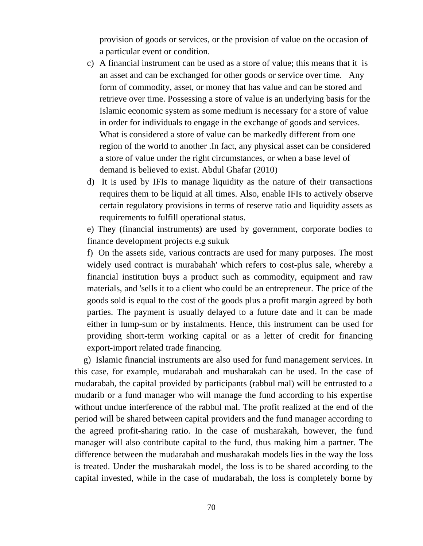provision of goods or services, or the provision of value on the occasion of a particular event or condition.

- c) A financial instrument can be used as a store of value; this means that it is an asset and can be exchanged for other goods or service over time. Any form of commodity, asset, or money that has value and can be stored and retrieve over time. Possessing a store of value is an underlying basis for the Islamic economic system as some medium is necessary for a store of value in order for individuals to engage in the exchange of goods and services. What is considered a store of value can be markedly different from one region of the world to another .In fact, any physical asset can be considered a store of value under the right circumstances, or when a base level of demand is believed to exist. Abdul Ghafar (2010)
- d) It is used by IFIs to manage liquidity as the nature of their transactions requires them to be liquid at all times. Also, enable IFIs to actively observe certain regulatory provisions in terms of reserve ratio and liquidity assets as requirements to fulfill operational status.

e) They (financial instruments) are used by government, corporate bodies to finance development projects e.g sukuk

f) On the assets side, various contracts are used for many purposes. The most widely used contract is murabahah' which refers to cost-plus sale, whereby a financial institution buys a product such as commodity, equipment and raw materials, and 'sells it to a client who could be an entrepreneur. The price of the goods sold is equal to the cost of the goods plus a profit margin agreed by both parties. The payment is usually delayed to a future date and it can be made either in lump-sum or by instalments. Hence, this instrument can be used for providing short-term working capital or as a letter of credit for financing export-import related trade financing.

 g) Islamic financial instruments are also used for fund management services. In this case, for example, mudarabah and musharakah can be used. In the case of mudarabah, the capital provided by participants (rabbul mal) will be entrusted to a mudarib or a fund manager who will manage the fund according to his expertise without undue interference of the rabbul mal. The profit realized at the end of the period will be shared between capital providers and the fund manager according to the agreed profit-sharing ratio. In the case of musharakah, however, the fund manager will also contribute capital to the fund, thus making him a partner. The difference between the mudarabah and musharakah models lies in the way the loss is treated. Under the musharakah model, the loss is to be shared according to the capital invested, while in the case of mudarabah, the loss is completely borne by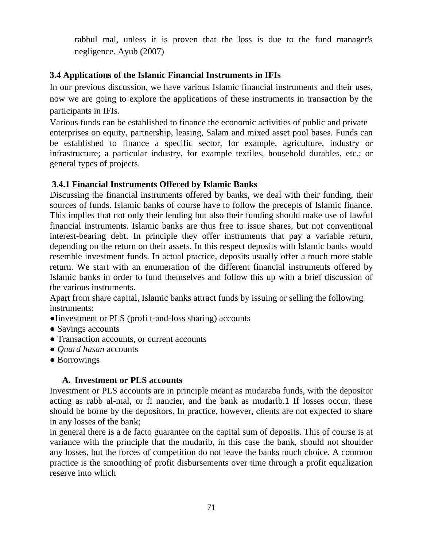rabbul mal, unless it is proven that the loss is due to the fund manager's negligence. Ayub (2007)

# **3.4 Applications of the Islamic Financial Instruments in IFIs**

In our previous discussion, we have various Islamic financial instruments and their uses, now we are going to explore the applications of these instruments in transaction by the participants in IFIs.

Various funds can be established to finance the economic activities of public and private enterprises on equity, partnership, leasing, Salam and mixed asset pool bases. Funds can be established to finance a specific sector, for example, agriculture, industry or infrastructure; a particular industry, for example textiles, household durables, etc.; or general types of projects.

# **3.4.1 Financial Instruments Offered by Islamic Banks**

Discussing the financial instruments offered by banks, we deal with their funding, their sources of funds. Islamic banks of course have to follow the precepts of Islamic finance. This implies that not only their lending but also their funding should make use of lawful financial instruments. Islamic banks are thus free to issue shares, but not conventional interest-bearing debt. In principle they offer instruments that pay a variable return, depending on the return on their assets. In this respect deposits with Islamic banks would resemble investment funds. In actual practice, deposits usually offer a much more stable return. We start with an enumeration of the different financial instruments offered by Islamic banks in order to fund themselves and follow this up with a brief discussion of the various instruments.

Apart from share capital, Islamic banks attract funds by issuing or selling the following instruments:

- ●Iinvestment or PLS (profi t-and-loss sharing) accounts
- Savings accounts
- Transaction accounts, or current accounts
- *Quard hasan* accounts
- Borrowings

### **A. Investment or PLS accounts**

Investment or PLS accounts are in principle meant as mudaraba funds, with the depositor acting as rabb al-mal, or fi nancier, and the bank as mudarib.1 If losses occur, these should be borne by the depositors. In practice, however, clients are not expected to share in any losses of the bank;

in general there is a de facto guarantee on the capital sum of deposits. This of course is at variance with the principle that the mudarib, in this case the bank, should not shoulder any losses, but the forces of competition do not leave the banks much choice. A common practice is the smoothing of profit disbursements over time through a profit equalization reserve into which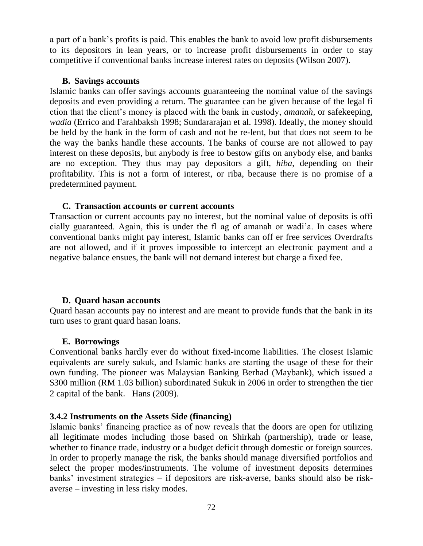a part of a bank's profits is paid. This enables the bank to avoid low profit disbursements to its depositors in lean years, or to increase profit disbursements in order to stay competitive if conventional banks increase interest rates on deposits (Wilson 2007).

#### **B. Savings accounts**

Islamic banks can offer savings accounts guaranteeing the nominal value of the savings deposits and even providing a return. The guarantee can be given because of the legal fi ction that the client's money is placed with the bank in custody, *amanah*, or safekeeping, *wadia* (Errico and Farahbaksh 1998; Sundararajan et al. 1998). Ideally, the money should be held by the bank in the form of cash and not be re-lent, but that does not seem to be the way the banks handle these accounts. The banks of course are not allowed to pay interest on these deposits, but anybody is free to bestow gifts on anybody else, and banks are no exception. They thus may pay depositors a gift, *hiba*, depending on their profitability. This is not a form of interest, or riba, because there is no promise of a predetermined payment.

### **C. Transaction accounts or current accounts**

Transaction or current accounts pay no interest, but the nominal value of deposits is offi cially guaranteed. Again, this is under the fl ag of amanah or wadi'a. In cases where conventional banks might pay interest, Islamic banks can off er free services Overdrafts are not allowed, and if it proves impossible to intercept an electronic payment and a negative balance ensues, the bank will not demand interest but charge a fixed fee.

### **D. Quard hasan accounts**

Quard hasan accounts pay no interest and are meant to provide funds that the bank in its turn uses to grant quard hasan loans.

### **E. Borrowings**

Conventional banks hardly ever do without fixed-income liabilities. The closest Islamic equivalents are surely sukuk, and Islamic banks are starting the usage of these for their own funding. The pioneer was Malaysian Banking Berhad (Maybank), which issued a \$300 million (RM 1.03 billion) subordinated Sukuk in 2006 in order to strengthen the tier 2 capital of the bank. Hans (2009).

### **3.4.2 Instruments on the Assets Side (financing)**

Islamic banks' financing practice as of now reveals that the doors are open for utilizing all legitimate modes including those based on Shirkah (partnership), trade or lease, whether to finance trade, industry or a budget deficit through domestic or foreign sources. In order to properly manage the risk, the banks should manage diversified portfolios and select the proper modes/instruments. The volume of investment deposits determines banks' investment strategies – if depositors are risk-averse, banks should also be riskaverse – investing in less risky modes.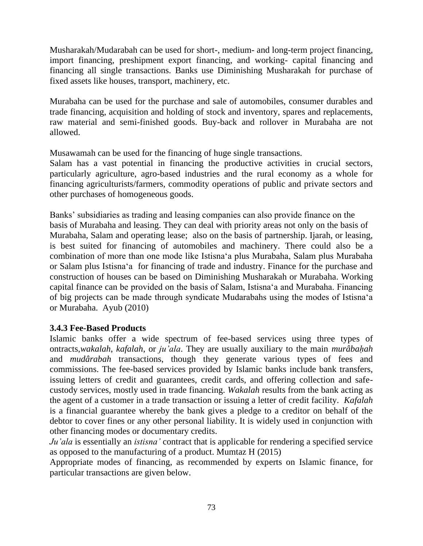Musharakah/Mudarabah can be used for short-, medium- and long-term project financing, import financing, preshipment export financing, and working- capital financing and financing all single transactions. Banks use Diminishing Musharakah for purchase of fixed assets like houses, transport, machinery, etc.

Murabaha can be used for the purchase and sale of automobiles, consumer durables and trade financing, acquisition and holding of stock and inventory, spares and replacements, raw material and semi-finished goods. Buy-back and rollover in Murabaha are not allowed.

Musawamah can be used for the financing of huge single transactions.

Salam has a vast potential in financing the productive activities in crucial sectors, particularly agriculture, agro-based industries and the rural economy as a whole for financing agriculturists/farmers, commodity operations of public and private sectors and other purchases of homogeneous goods.

Banks' subsidiaries as trading and leasing companies can also provide finance on the basis of Murabaha and leasing. They can deal with priority areas not only on the basis of Murabaha, Salam and operating lease; also on the basis of partnership. Ijarah, or leasing, is best suited for financing of automobiles and machinery. There could also be a combination of more than one mode like Istisna'a plus Murabaha, Salam plus Murabaha or Salam plus Istisna'a for financing of trade and industry. Finance for the purchase and construction of houses can be based on Diminishing Musharakah or Murabaha. Working capital finance can be provided on the basis of Salam, Istisna'a and Murabaha. Financing of big projects can be made through syndicate Mudarabahs using the modes of Istisna'a or Murabaha. Ayub (2010)

# **3.4.3 Fee-Based Products**

Islamic banks offer a wide spectrum of fee-based services using three types of ontracts,*wakalah*, *kafalah*, or *ju'ala*. They are usually auxiliary to the main *murâbaḥah*  and *mudârabah* transactions, though they generate various types of fees and commissions. The fee-based services provided by Islamic banks include bank transfers, issuing letters of credit and guarantees, credit cards, and offering collection and safecustody services, mostly used in trade financing. *Wakalah* results from the bank acting as the agent of a customer in a trade transaction or issuing a letter of credit facility. *Kafalah*  is a financial guarantee whereby the bank gives a pledge to a creditor on behalf of the debtor to cover fines or any other personal liability. It is widely used in conjunction with other financing modes or documentary credits.

*Ju'ala* is essentially an *istisna'* contract that is applicable for rendering a specified service as opposed to the manufacturing of a product. Mumtaz H (2015)

Appropriate modes of financing, as recommended by experts on Islamic finance, for particular transactions are given below.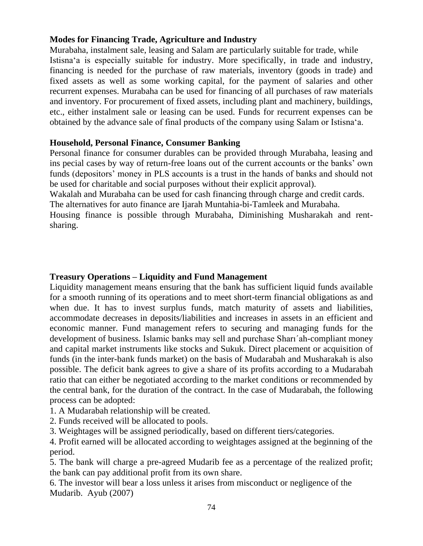### **Modes for Financing Trade, Agriculture and Industry**

Murabaha, instalment sale, leasing and Salam are particularly suitable for trade, while Istisna'a is especially suitable for industry. More specifically, in trade and industry, financing is needed for the purchase of raw materials, inventory (goods in trade) and fixed assets as well as some working capital, for the payment of salaries and other recurrent expenses. Murabaha can be used for financing of all purchases of raw materials and inventory. For procurement of fixed assets, including plant and machinery, buildings, etc., either instalment sale or leasing can be used. Funds for recurrent expenses can be obtained by the advance sale of final products of the company using Salam or Istisna'a.

### **Household, Personal Finance, Consumer Banking**

Personal finance for consumer durables can be provided through Murabaha, leasing and ins pecial cases by way of return-free loans out of the current accounts or the banks' own funds (depositors' money in PLS accounts is a trust in the hands of banks and should not be used for charitable and social purposes without their explicit approval).

Wakalah and Murabaha can be used for cash financing through charge and credit cards.

The alternatives for auto finance are Ijarah Muntahia-bi-Tamleek and Murabaha.

Housing finance is possible through Murabaha, Diminishing Musharakah and rentsharing.

### **Treasury Operations – Liquidity and Fund Management**

Liquidity management means ensuring that the bank has sufficient liquid funds available for a smooth running of its operations and to meet short-term financial obligations as and when due. It has to invest surplus funds, match maturity of assets and liabilities, accommodate decreases in deposits/liabilities and increases in assets in an efficient and economic manner. Fund management refers to securing and managing funds for the development of business. Islamic banks may sell and purchase Sharı´ah-compliant money and capital market instruments like stocks and Sukuk. Direct placement or acquisition of funds (in the inter-bank funds market) on the basis of Mudarabah and Musharakah is also possible. The deficit bank agrees to give a share of its profits according to a Mudarabah ratio that can either be negotiated according to the market conditions or recommended by the central bank, for the duration of the contract. In the case of Mudarabah, the following process can be adopted:

1. A Mudarabah relationship will be created.

2. Funds received will be allocated to pools.

3. Weightages will be assigned periodically, based on different tiers/categories.

4. Profit earned will be allocated according to weightages assigned at the beginning of the period.

5. The bank will charge a pre-agreed Mudarib fee as a percentage of the realized profit; the bank can pay additional profit from its own share.

6. The investor will bear a loss unless it arises from misconduct or negligence of the Mudarib. Ayub (2007)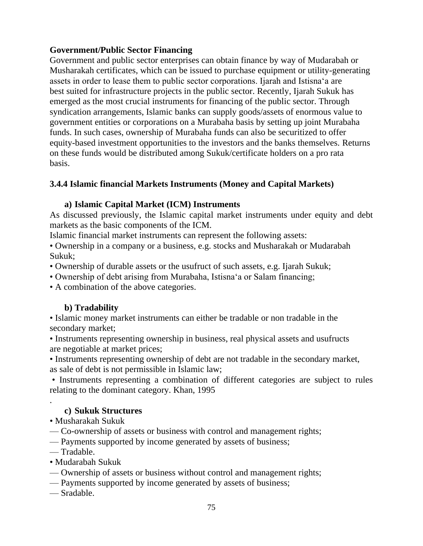### **Government/Public Sector Financing**

Government and public sector enterprises can obtain finance by way of Mudarabah or Musharakah certificates, which can be issued to purchase equipment or utility-generating assets in order to lease them to public sector corporations. Ijarah and Istisna'a are best suited for infrastructure projects in the public sector. Recently, Ijarah Sukuk has emerged as the most crucial instruments for financing of the public sector. Through syndication arrangements, Islamic banks can supply goods/assets of enormous value to government entities or corporations on a Murabaha basis by setting up joint Murabaha funds. In such cases, ownership of Murabaha funds can also be securitized to offer equity-based investment opportunities to the investors and the banks themselves. Returns on these funds would be distributed among Sukuk/certificate holders on a pro rata basis.

# **3.4.4 Islamic financial Markets Instruments (Money and Capital Markets)**

### **a) Islamic Capital Market (ICM) Instruments**

As discussed previously, the Islamic capital market instruments under equity and debt markets as the basic components of the ICM.

Islamic financial market instruments can represent the following assets:

• Ownership in a company or a business, e.g. stocks and Musharakah or Mudarabah Sukuk;

• Ownership of durable assets or the usufruct of such assets, e.g. Ijarah Sukuk;

• Ownership of debt arising from Murabaha, Istisna'a or Salam financing;

• A combination of the above categories.

### **b) Tradability**

• Islamic money market instruments can either be tradable or non tradable in the secondary market;

• Instruments representing ownership in business, real physical assets and usufructs are negotiable at market prices;

• Instruments representing ownership of debt are not tradable in the secondary market, as sale of debt is not permissible in Islamic law;

• Instruments representing a combination of different categories are subject to rules relating to the dominant category. Khan, 1995

### **c) Sukuk Structures**

- Musharakah Sukuk
- Co-ownership of assets or business with control and management rights;
- Payments supported by income generated by assets of business;
- Tradable.

.

- Mudarabah Sukuk
- Ownership of assets or business without control and management rights;
- Payments supported by income generated by assets of business;
- Sradable.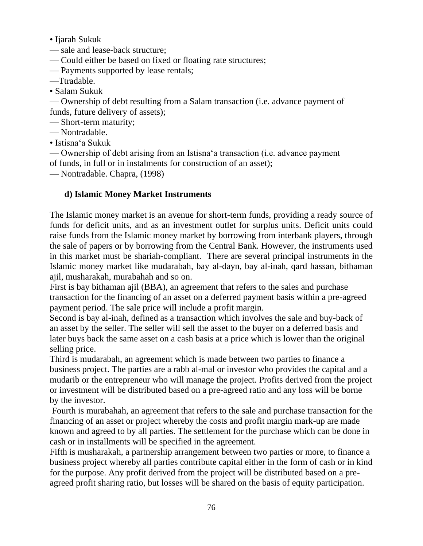• Ijarah Sukuk

- sale and lease-back structure;
- Could either be based on fixed or floating rate structures;
- Payments supported by lease rentals;

—Ttradable.

• Salam Sukuk

— Ownership of debt resulting from a Salam transaction (i.e. advance payment of funds, future delivery of assets);

— Short-term maturity;

— Nontradable.

• Istisna'a Sukuk

— Ownership of debt arising from an Istisna'a transaction (i.e. advance payment of funds, in full or in instalments for construction of an asset);

— Nontradable. Chapra, (1998)

# **d) Islamic Money Market Instruments**

The Islamic money market is an avenue for short-term funds, providing a ready source of funds for deficit units, and as an investment outlet for surplus units. Deficit units could raise funds from the Islamic money market by borrowing from interbank players, through the sale of papers or by borrowing from the Central Bank. However, the instruments used in this market must be shariah-compliant. There are several principal instruments in the Islamic money market like mudarabah, bay al-dayn, bay al-inah, qard hassan, bithaman ajil, musharakah, murabahah and so on.

First is bay bithaman ajil (BBA), an agreement that refers to the sales and purchase transaction for the financing of an asset on a deferred payment basis within a pre-agreed payment period. The sale price will include a profit margin.

Second is bay al-inah, defined as a transaction which involves the sale and buy-back of an asset by the seller. The seller will sell the asset to the buyer on a deferred basis and later buys back the same asset on a cash basis at a price which is lower than the original selling price.

Third is mudarabah, an agreement which is made between two parties to finance a business project. The parties are a rabb al-mal or investor who provides the capital and a mudarib or the entrepreneur who will manage the project. Profits derived from the project or investment will be distributed based on a pre-agreed ratio and any loss will be borne by the investor.

Fourth is murabahah, an agreement that refers to the sale and purchase transaction for the financing of an asset or project whereby the costs and profit margin mark-up are made known and agreed to by all parties. The settlement for the purchase which can be done in cash or in installments will be specified in the agreement.

Fifth is musharakah, a partnership arrangement between two parties or more, to finance a business project whereby all parties contribute capital either in the form of cash or in kind for the purpose. Any profit derived from the project will be distributed based on a preagreed profit sharing ratio, but losses will be shared on the basis of equity participation.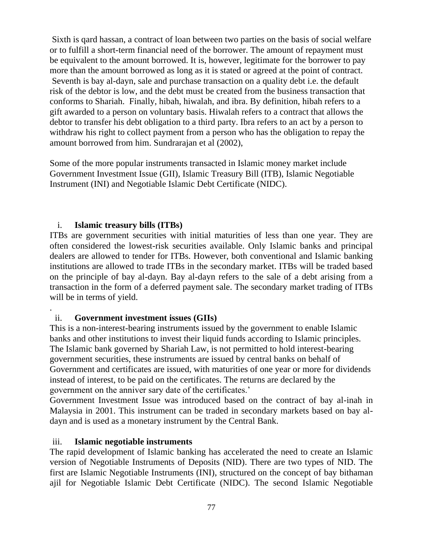Sixth is qard hassan, a contract of loan between two parties on the basis of social welfare or to fulfill a short-term financial need of the borrower. The amount of repayment must be equivalent to the amount borrowed. It is, however, legitimate for the borrower to pay more than the amount borrowed as long as it is stated or agreed at the point of contract. Seventh is bay al-dayn, sale and purchase transaction on a quality debt i.e. the default risk of the debtor is low, and the debt must be created from the business transaction that conforms to Shariah. Finally, hibah, hiwalah, and ibra. By definition, hibah refers to a gift awarded to a person on voluntary basis. Hiwalah refers to a contract that allows the debtor to transfer his debt obligation to a third party. Ibra refers to an act by a person to withdraw his right to collect payment from a person who has the obligation to repay the amount borrowed from him. Sundrarajan et al (2002),

Some of the more popular instruments transacted in Islamic money market include Government Investment Issue (GII), Islamic Treasury Bill (ITB), Islamic Negotiable Instrument (INI) and Negotiable Islamic Debt Certificate (NIDC).

### i. **Islamic treasury bills (ITBs)**

.

ITBs are government securities with initial maturities of less than one year. They are often considered the lowest-risk securities available. Only Islamic banks and principal dealers are allowed to tender for ITBs. However, both conventional and Islamic banking institutions are allowed to trade ITBs in the secondary market. ITBs will be traded based on the principle of bay al-dayn. Bay al-dayn refers to the sale of a debt arising from a transaction in the form of a deferred payment sale. The secondary market trading of ITBs will be in terms of yield.

### ii. **Government investment issues (GIIs)**

This is a non-interest-bearing instruments issued by the government to enable Islamic banks and other institutions to invest their liquid funds according to Islamic principles. The Islamic bank governed by Shariah Law, is not permitted to hold interest-bearing government securities, these instruments are issued by central banks on behalf of Government and certificates are issued, with maturities of one year or more for dividends instead of interest, to be paid on the certificates. The returns are declared by the government on the anniver sary date of the certificates.'

Government Investment Issue was introduced based on the contract of bay al-inah in Malaysia in 2001. This instrument can be traded in secondary markets based on bay aldayn and is used as a monetary instrument by the Central Bank.

#### iii. **Islamic negotiable instruments**

The rapid development of Islamic banking has accelerated the need to create an Islamic version of Negotiable Instruments of Deposits (NID). There are two types of NID. The first are Islamic Negotiable Instruments (INI), structured on the concept of bay bithaman ajil for Negotiable Islamic Debt Certificate (NIDC). The second Islamic Negotiable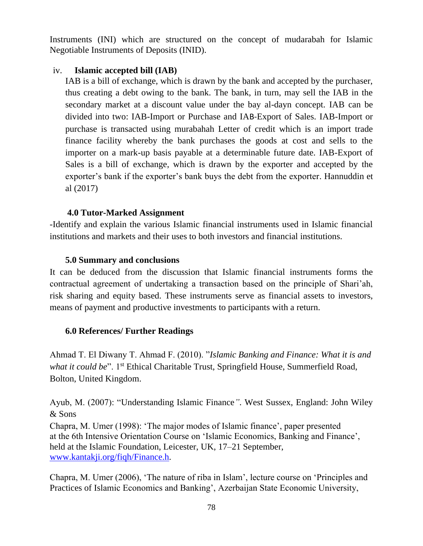Instruments (INI) which are structured on the concept of mudarabah for Islamic Negotiable Instruments of Deposits (INID).

### iv. **Islamic accepted bill (IAB)**

IAB is a bill of exchange, which is drawn by the bank and accepted by the purchaser, thus creating a debt owing to the bank. The bank, in turn, may sell the IAB in the secondary market at a discount value under the bay al-dayn concept. IAB can be divided into two: IAB-Import or Purchase and IAB-Export of Sales. IAB-Import or purchase is transacted using murabahah Letter of credit which is an import trade finance facility whereby the bank purchases the goods at cost and sells to the importer on a mark-up basis payable at a determinable future date. IAB-Export of Sales is a bill of exchange, which is drawn by the exporter and accepted by the exporter's bank if the exporter's bank buys the debt from the exporter. Hannuddin et al (2017)

### **4.0 Tutor-Marked Assignment**

-Identify and explain the various Islamic financial instruments used in Islamic financial institutions and markets and their uses to both investors and financial institutions.

### **5.0 Summary and conclusions**

It can be deduced from the discussion that Islamic financial instruments forms the contractual agreement of undertaking a transaction based on the principle of Shari'ah, risk sharing and equity based. These instruments serve as financial assets to investors, means of payment and productive investments to participants with a return.

# **6.0 References/ Further Readings**

Ahmad T. El Diwany T. Ahmad F. (2010). "*Islamic Banking and Finance: What it is and what it could be*". 1<sup>st</sup> Ethical Charitable Trust, Springfield House, Summerfield Road, Bolton, United Kingdom.

Ayub, M. (2007): "Understanding Islamic Finance*"*. West Sussex, England: John Wiley & Sons

Chapra, M. Umer (1998): 'The major modes of Islamic finance', paper presented at the 6th Intensive Orientation Course on 'Islamic Economics, Banking and Finance', held at the Islamic Foundation, Leicester, UK, 17–21 September, [www.kantakji.org/fiqh/Finance.h.](http://www.kantakji.org/fiqh/Finance.h)

Chapra, M. Umer (2006), 'The nature of riba in Islam', lecture course on 'Principles and Practices of Islamic Economics and Banking', Azerbaijan State Economic University,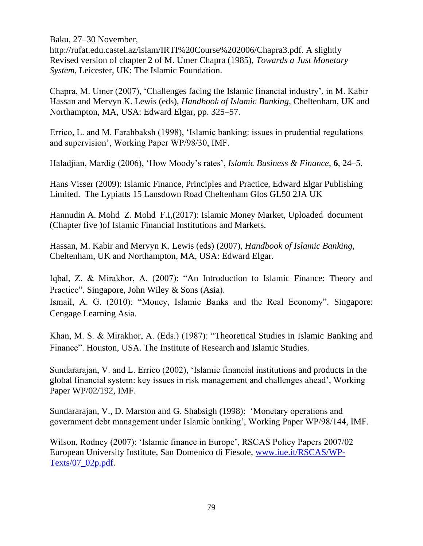Baku, 27–30 November,

http://rufat.edu.castel.az/islam/IRTI%20Course%202006/Chapra3.pdf. A slightly Revised version of chapter 2 of M. Umer Chapra (1985), *Towards a Just Monetary System*, Leicester, UK: The Islamic Foundation.

Chapra, M. Umer (2007), 'Challenges facing the Islamic financial industry', in M. Kabir Hassan and Mervyn K. Lewis (eds), *Handbook of Islamic Banking*, Cheltenham, UK and Northampton, MA, USA: Edward Elgar, pp. 325–57.

Errico, L. and M. Farahbaksh (1998), 'Islamic banking: issues in prudential regulations and supervision', Working Paper WP/98/30, IMF.

Haladjian, Mardig (2006), 'How Moody's rates', *Islamic Business & Finance*, **6**, 24–5.

Hans Visser (2009): Islamic Finance, Principles and Practice, Edward Elgar Publishing Limited. The Lypiatts 15 Lansdown Road Cheltenham Glos GL50 2JA UK

Hannudin A. Mohd Z. Mohd F.I,(2017): Islamic Money Market, Uploaded document (Chapter five )of Islamic Financial Institutions and Markets.

Hassan, M. Kabir and Mervyn K. Lewis (eds) (2007), *Handbook of Islamic Banking*, Cheltenham, UK and Northampton, MA, USA: Edward Elgar.

Iqbal, Z. & Mirakhor, A. (2007): "An Introduction to Islamic Finance: Theory and Practice". Singapore, John Wiley & Sons (Asia).

Ismail, A. G. (2010): "Money, Islamic Banks and the Real Economy". Singapore: Cengage Learning Asia.

Khan, M. S. & Mirakhor, A. (Eds.) (1987): "Theoretical Studies in Islamic Banking and Finance". Houston, USA. The Institute of Research and Islamic Studies.

Sundararajan, V. and L. Errico (2002), 'Islamic financial institutions and products in the global financial system: key issues in risk management and challenges ahead', Working Paper WP/02/192, IMF.

Sundararajan, V., D. Marston and G. Shabsigh (1998): 'Monetary operations and government debt management under Islamic banking', Working Paper WP/98/144, IMF.

Wilson, Rodney (2007): 'Islamic finance in Europe', RSCAS Policy Papers 2007/02 European University Institute, San Domenico di Fiesole, [www.iue.it/RSCAS/WP-](http://www.iue.it/RSCAS/WP-Texts/07_02p.pdf)[Texts/07\\_02p.pdf.](http://www.iue.it/RSCAS/WP-Texts/07_02p.pdf)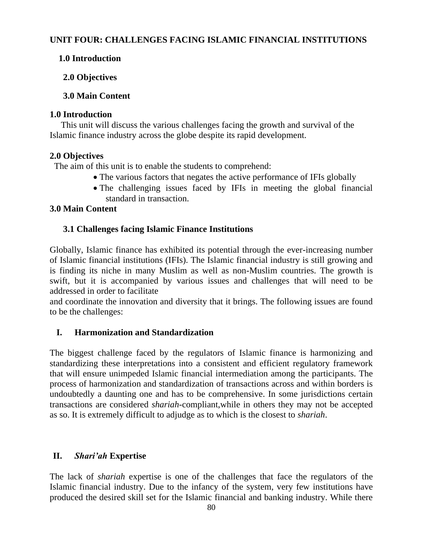### **UNIT FOUR: CHALLENGES FACING ISLAMIC FINANCIAL INSTITUTIONS**

### **1.0 Introduction**

### **2.0 Objectives**

### **3.0 Main Content**

#### **1.0 Introduction**

This unit will discuss the various challenges facing the growth and survival of the Islamic finance industry across the globe despite its rapid development.

#### **2.0 Objectives**

The aim of this unit is to enable the students to comprehend:

- The various factors that negates the active performance of IFIs globally
- The challenging issues faced by IFIs in meeting the global financial standard in transaction.

#### **3.0 Main Content**

### **3.1 Challenges facing Islamic Finance Institutions**

Globally, Islamic finance has exhibited its potential through the ever-increasing number of Islamic financial institutions (IFIs). The Islamic financial industry is still growing and is finding its niche in many Muslim as well as non-Muslim countries. The growth is swift, but it is accompanied by various issues and challenges that will need to be addressed in order to facilitate

and coordinate the innovation and diversity that it brings. The following issues are found to be the challenges:

### **I. Harmonization and Standardization**

The biggest challenge faced by the regulators of Islamic finance is harmonizing and standardizing these interpretations into a consistent and efficient regulatory framework that will ensure unimpeded Islamic financial intermediation among the participants. The process of harmonization and standardization of transactions across and within borders is undoubtedly a daunting one and has to be comprehensive. In some jurisdictions certain transactions are considered *shariah*-compliant,while in others they may not be accepted as so. It is extremely difficult to adjudge as to which is the closest to *shariah*.

### **II.** *Shari'ah* **Expertise**

The lack of *shariah* expertise is one of the challenges that face the regulators of the Islamic financial industry. Due to the infancy of the system, very few institutions have produced the desired skill set for the Islamic financial and banking industry. While there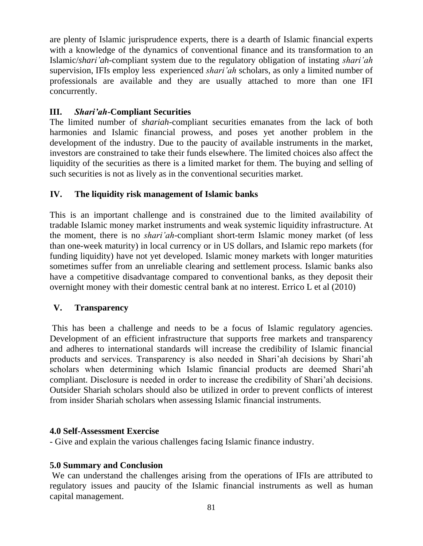are plenty of Islamic jurisprudence experts, there is a dearth of Islamic financial experts with a knowledge of the dynamics of conventional finance and its transformation to an Islamic/*shari'ah*-compliant system due to the regulatory obligation of instating *shari'ah*  supervision, IFIs employ less experienced *shari'ah* scholars, as only a limited number of professionals are available and they are usually attached to more than one IFI concurrently.

### **III.** *Shari'ah***-Compliant Securities**

The limited number of *shariah*-compliant securities emanates from the lack of both harmonies and Islamic financial prowess, and poses yet another problem in the development of the industry. Due to the paucity of available instruments in the market, investors are constrained to take their funds elsewhere. The limited choices also affect the liquidity of the securities as there is a limited market for them. The buying and selling of such securities is not as lively as in the conventional securities market.

### **IV. The liquidity risk management of Islamic banks**

This is an important challenge and is constrained due to the limited availability of tradable Islamic money market instruments and weak systemic liquidity infrastructure. At the moment, there is no *shari'ah*-compliant short-term Islamic money market (of less than one-week maturity) in local currency or in US dollars, and Islamic repo markets (for funding liquidity) have not yet developed. Islamic money markets with longer maturities sometimes suffer from an unreliable clearing and settlement process. Islamic banks also have a competitive disadvantage compared to conventional banks, as they deposit their overnight money with their domestic central bank at no interest. Errico L et al (2010)

### **V. Transparency**

This has been a challenge and needs to be a focus of Islamic regulatory agencies. Development of an efficient infrastructure that supports free markets and transparency and adheres to international standards will increase the credibility of Islamic financial products and services. Transparency is also needed in Shari'ah decisions by Shari'ah scholars when determining which Islamic financial products are deemed Shari'ah compliant. Disclosure is needed in order to increase the credibility of Shari'ah decisions. Outsider Shariah scholars should also be utilized in order to prevent conflicts of interest from insider Shariah scholars when assessing Islamic financial instruments.

### **4.0 Self-Assessment Exercise**

- Give and explain the various challenges facing Islamic finance industry.

### **5.0 Summary and Conclusion**

We can understand the challenges arising from the operations of IFIs are attributed to regulatory issues and paucity of the Islamic financial instruments as well as human capital management.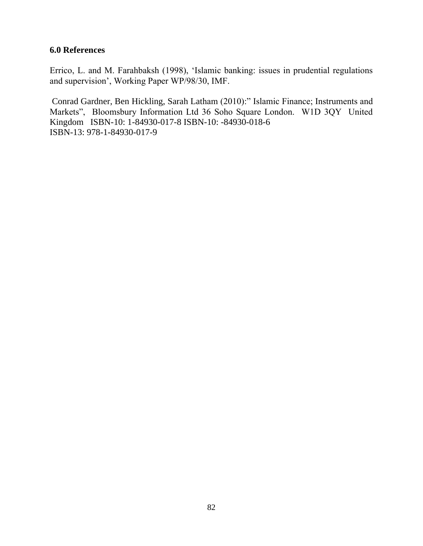#### **6.0 References**

Errico, L. and M. Farahbaksh (1998), 'Islamic banking: issues in prudential regulations and supervision', Working Paper WP/98/30, IMF.

Conrad Gardner, Ben Hickling, Sarah Latham (2010):" Islamic Finance; Instruments and Markets", Bloomsbury Information Ltd 36 Soho Square London. W1D 3QY United Kingdom ISBN-10: 1-84930-017-8 ISBN-10: -84930-018-6 ISBN-13: 978-1-84930-017-9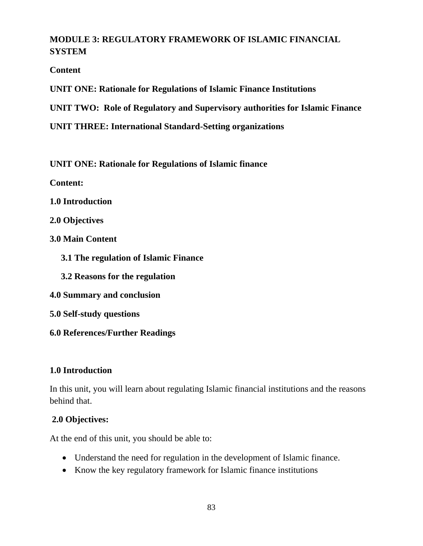# **MODULE 3: REGULATORY FRAMEWORK OF ISLAMIC FINANCIAL SYSTEM**

### **Content**

**UNIT ONE: Rationale for Regulations of Islamic Finance Institutions**

**UNIT TWO: Role of Regulatory and Supervisory authorities for Islamic Finance**

**UNIT THREE: International Standard-Setting organizations**

**UNIT ONE: Rationale for Regulations of Islamic finance**

**Content:**

- **1.0 Introduction**
- **2.0 Objectives**
- **3.0 Main Content**
	- **3.1 The regulation of Islamic Finance**
	- **3.2 Reasons for the regulation**
- **4.0 Summary and conclusion**
- **5.0 Self-study questions**
- **6.0 References/Further Readings**

### **1.0 Introduction**

In this unit, you will learn about regulating Islamic financial institutions and the reasons behind that.

# **2.0 Objectives:**

At the end of this unit, you should be able to:

- Understand the need for regulation in the development of Islamic finance.
- Know the key regulatory framework for Islamic finance institutions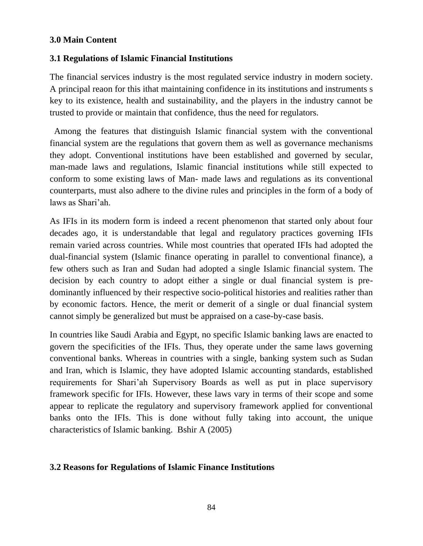#### **3.0 Main Content**

#### **3.1 Regulations of Islamic Financial Institutions**

The financial services industry is the most regulated service industry in modern society. A principal reaon for this ithat maintaining confidence in its institutions and instruments s key to its existence, health and sustainability, and the players in the industry cannot be trusted to provide or maintain that confidence, thus the need for regulators.

Among the features that distinguish Islamic financial system with the conventional financial system are the regulations that govern them as well as governance mechanisms they adopt. Conventional institutions have been established and governed by secular, man-made laws and regulations, Islamic financial institutions while still expected to conform to some existing laws of Man- made laws and regulations as its conventional counterparts, must also adhere to the divine rules and principles in the form of a body of laws as Shari'ah.

As IFIs in its modern form is indeed a recent phenomenon that started only about four decades ago, it is understandable that legal and regulatory practices governing IFIs remain varied across countries. While most countries that operated IFIs had adopted the dual-financial system (Islamic finance operating in parallel to conventional finance), a few others such as Iran and Sudan had adopted a single Islamic financial system. The decision by each country to adopt either a single or dual financial system is predominantly influenced by their respective socio-political histories and realities rather than by economic factors. Hence, the merit or demerit of a single or dual financial system cannot simply be generalized but must be appraised on a case-by-case basis.

In countries like Saudi Arabia and Egypt, no specific Islamic banking laws are enacted to govern the specificities of the IFIs. Thus, they operate under the same laws governing conventional banks. Whereas in countries with a single, banking system such as Sudan and Iran, which is Islamic, they have adopted Islamic accounting standards, established requirements for Shari'ah Supervisory Boards as well as put in place supervisory framework specific for IFIs. However, these laws vary in terms of their scope and some appear to replicate the regulatory and supervisory framework applied for conventional banks onto the IFIs. This is done without fully taking into account, the unique characteristics of Islamic banking. Bshir A (2005)

#### **3.2 Reasons for Regulations of Islamic Finance Institutions**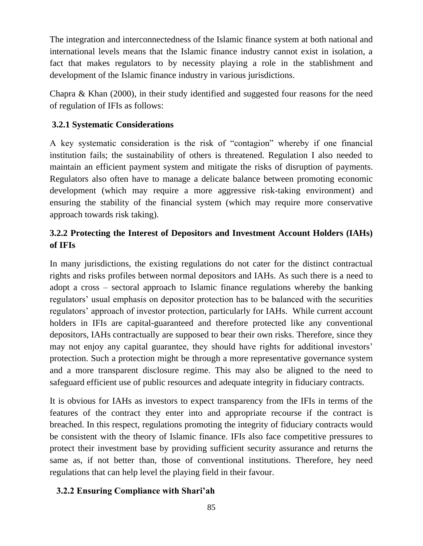The integration and interconnectedness of the Islamic finance system at both national and international levels means that the Islamic finance industry cannot exist in isolation, a fact that makes regulators to by necessity playing a role in the stablishment and development of the Islamic finance industry in various jurisdictions.

Chapra & Khan (2000), in their study identified and suggested four reasons for the need of regulation of IFIs as follows:

### **3.2.1 Systematic Considerations**

A key systematic consideration is the risk of "contagion" whereby if one financial institution fails; the sustainability of others is threatened. Regulation I also needed to maintain an efficient payment system and mitigate the risks of disruption of payments. Regulators also often have to manage a delicate balance between promoting economic development (which may require a more aggressive risk-taking environment) and ensuring the stability of the financial system (which may require more conservative approach towards risk taking).

# **3.2.2 Protecting the Interest of Depositors and Investment Account Holders (IAHs) of IFIs**

In many jurisdictions, the existing regulations do not cater for the distinct contractual rights and risks profiles between normal depositors and IAHs. As such there is a need to adopt a cross – sectoral approach to Islamic finance regulations whereby the banking regulators' usual emphasis on depositor protection has to be balanced with the securities regulators' approach of investor protection, particularly for IAHs. While current account holders in IFIs are capital-guaranteed and therefore protected like any conventional depositors, IAHs contractually are supposed to bear their own risks. Therefore, since they may not enjoy any capital guarantee, they should have rights for additional investors' protection. Such a protection might be through a more representative governance system and a more transparent disclosure regime. This may also be aligned to the need to safeguard efficient use of public resources and adequate integrity in fiduciary contracts.

It is obvious for IAHs as investors to expect transparency from the IFIs in terms of the features of the contract they enter into and appropriate recourse if the contract is breached. In this respect, regulations promoting the integrity of fiduciary contracts would be consistent with the theory of Islamic finance. IFIs also face competitive pressures to protect their investment base by providing sufficient security assurance and returns the same as, if not better than, those of conventional institutions. Therefore, hey need regulations that can help level the playing field in their favour.

### **3.2.2 Ensuring Compliance with Shari'ah**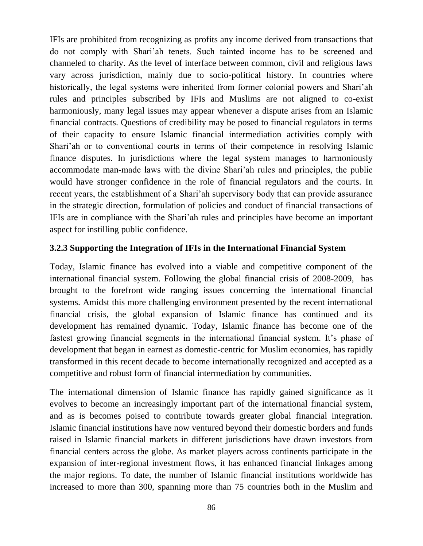IFIs are prohibited from recognizing as profits any income derived from transactions that do not comply with Shari'ah tenets. Such tainted income has to be screened and channeled to charity. As the level of interface between common, civil and religious laws vary across jurisdiction, mainly due to socio-political history. In countries where historically, the legal systems were inherited from former colonial powers and Shari'ah rules and principles subscribed by IFIs and Muslims are not aligned to co-exist harmoniously, many legal issues may appear whenever a dispute arises from an Islamic financial contracts. Questions of credibility may be posed to financial regulators in terms of their capacity to ensure Islamic financial intermediation activities comply with Shari'ah or to conventional courts in terms of their competence in resolving Islamic finance disputes. In jurisdictions where the legal system manages to harmoniously accommodate man-made laws with the divine Shari'ah rules and principles, the public would have stronger confidence in the role of financial regulators and the courts. In recent years, the establishment of a Shari'ah supervisory body that can provide assurance in the strategic direction, formulation of policies and conduct of financial transactions of IFIs are in compliance with the Shari'ah rules and principles have become an important aspect for instilling public confidence.

#### **3.2.3 Supporting the Integration of IFIs in the International Financial System**

Today, Islamic finance has evolved into a viable and competitive component of the international financial system. Following the global financial crisis of 2008-2009, has brought to the forefront wide ranging issues concerning the international financial systems. Amidst this more challenging environment presented by the recent international financial crisis, the global expansion of Islamic finance has continued and its development has remained dynamic. Today, Islamic finance has become one of the fastest growing financial segments in the international financial system. It's phase of development that began in earnest as domestic-centric for Muslim economies, has rapidly transformed in this recent decade to become internationally recognized and accepted as a competitive and robust form of financial intermediation by communities.

The international dimension of Islamic finance has rapidly gained significance as it evolves to become an increasingly important part of the international financial system, and as is becomes poised to contribute towards greater global financial integration. Islamic financial institutions have now ventured beyond their domestic borders and funds raised in Islamic financial markets in different jurisdictions have drawn investors from financial centers across the globe. As market players across continents participate in the expansion of inter-regional investment flows, it has enhanced financial linkages among the major regions. To date, the number of Islamic financial institutions worldwide has increased to more than 300, spanning more than 75 countries both in the Muslim and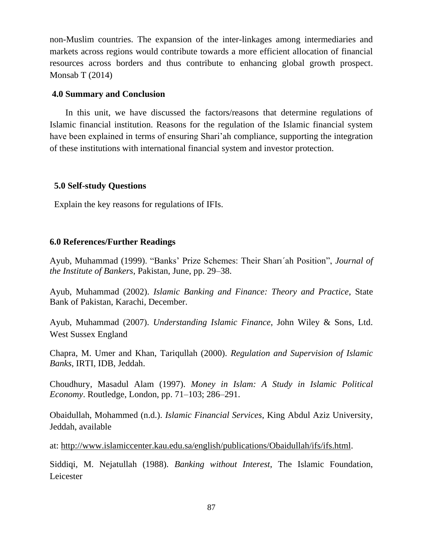non-Muslim countries. The expansion of the inter-linkages among intermediaries and markets across regions would contribute towards a more efficient allocation of financial resources across borders and thus contribute to enhancing global growth prospect. Monsab T $(2014)$ 

#### **4.0 Summary and Conclusion**

In this unit, we have discussed the factors/reasons that determine regulations of Islamic financial institution. Reasons for the regulation of the Islamic financial system have been explained in terms of ensuring Shari'ah compliance, supporting the integration of these institutions with international financial system and investor protection.

#### **5.0 Self-study Questions**

Explain the key reasons for regulations of IFIs.

#### **6.0 References/Further Readings**

Ayub, Muhammad (1999). "Banks' Prize Schemes: Their Sharı´ah Position", *Journal of the Institute of Bankers*, Pakistan, June, pp. 29–38.

Ayub, Muhammad (2002). *Islamic Banking and Finance: Theory and Practice*, State Bank of Pakistan, Karachi, December.

Ayub, Muhammad (2007). *Understanding Islamic Finance*, John Wiley & Sons, Ltd. West Sussex England

Chapra, M. Umer and Khan, Tariqullah (2000). *Regulation and Supervision of Islamic Banks*, IRTI, IDB, Jeddah.

Choudhury, Masadul Alam (1997). *Money in Islam: A Study in Islamic Political Economy*. Routledge, London, pp. 71–103; 286–291.

Obaidullah, Mohammed (n.d.). *Islamic Financial Services*, King Abdul Aziz University, Jeddah, available

at: [http://www.islamiccenter.kau.edu.sa/english/publications/Obaidullah/ifs/ifs.html.](http://www.islamiccenter.kau.edu.sa/english/publications/Obaidullah/ifs/ifs.html)

Siddiqi, M. Nejatullah (1988). *Banking without Interest*, The Islamic Foundation, Leicester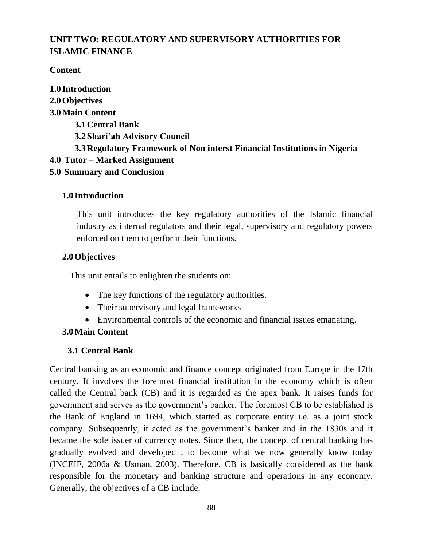# **UNIT TWO: REGULATORY AND SUPERVISORY AUTHORITIES FOR ISLAMIC FINANCE**

### **Content**

**1.0 Introduction 2.0Objectives 3.0Main Content 3.1Central Bank 3.2Shari'ah Advisory Council 3.3Regulatory Framework of Non interst Financial Institutions in Nigeria 4.0 Tutor – Marked Assignment 5.0 Summary and Conclusion**

#### **1.0 Introduction**

This unit introduces the key regulatory authorities of the Islamic financial industry as internal regulators and their legal, supervisory and regulatory powers enforced on them to perform their functions.

### **2.0Objectives**

This unit entails to enlighten the students on:

- The key functions of the regulatory authorities.
- Their supervisory and legal frameworks
- Environmental controls of the economic and financial issues emanating.

### **3.0Main Content**

### **3.1 Central Bank**

Central banking as an economic and finance concept originated from Europe in the 17th century. It involves the foremost financial institution in the economy which is often called the Central bank (CB) and it is regarded as the apex bank. It raises funds for government and serves as the government's banker. The foremost CB to be established is the Bank of England in 1694, which started as corporate entity i.e. as a joint stock company. Subsequently, it acted as the government's banker and in the 1830s and it became the sole issuer of currency notes. Since then, the concept of central banking has gradually evolved and developed , to become what we now generally know today (INCEIF, 2006a & Usman, 2003). Therefore, CB is basically considered as the bank responsible for the monetary and banking structure and operations in any economy. Generally, the objectives of a CB include: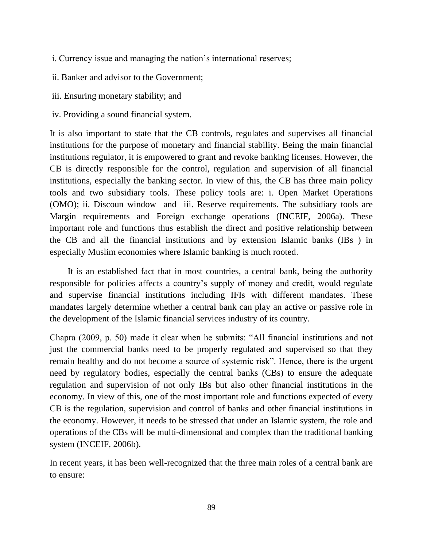- i. Currency issue and managing the nation's international reserves;
- ii. Banker and advisor to the Government;
- iii. Ensuring monetary stability; and
- iv. Providing a sound financial system.

It is also important to state that the CB controls, regulates and supervises all financial institutions for the purpose of monetary and financial stability. Being the main financial institutions regulator, it is empowered to grant and revoke banking licenses. However, the CB is directly responsible for the control, regulation and supervision of all financial institutions, especially the banking sector. In view of this, the CB has three main policy tools and two subsidiary tools. These policy tools are: i. Open Market Operations (OMO); ii. Discoun window and iii. Reserve requirements. The subsidiary tools are Margin requirements and Foreign exchange operations (INCEIF, 2006a). These important role and functions thus establish the direct and positive relationship between the CB and all the financial institutions and by extension Islamic banks (IBs ) in especially Muslim economies where Islamic banking is much rooted.

It is an established fact that in most countries, a central bank, being the authority responsible for policies affects a country's supply of money and credit, would regulate and supervise financial institutions including IFIs with different mandates. These mandates largely determine whether a central bank can play an active or passive role in the development of the Islamic financial services industry of its country.

Chapra (2009, p. 50) made it clear when he submits: "All financial institutions and not just the commercial banks need to be properly regulated and supervised so that they remain healthy and do not become a source of systemic risk". Hence, there is the urgent need by regulatory bodies, especially the central banks (CBs) to ensure the adequate regulation and supervision of not only IBs but also other financial institutions in the economy. In view of this, one of the most important role and functions expected of every CB is the regulation, supervision and control of banks and other financial institutions in the economy. However, it needs to be stressed that under an Islamic system, the role and operations of the CBs will be multi-dimensional and complex than the traditional banking system (INCEIF, 2006b).

In recent years, it has been well-recognized that the three main roles of a central bank are to ensure: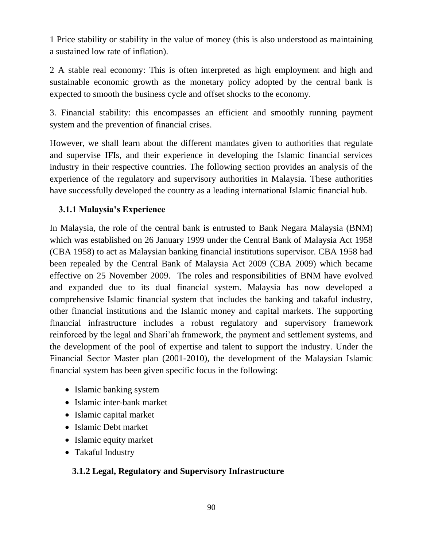1 Price stability or stability in the value of money (this is also understood as maintaining a sustained low rate of inflation).

2 A stable real economy: This is often interpreted as high employment and high and sustainable economic growth as the monetary policy adopted by the central bank is expected to smooth the business cycle and offset shocks to the economy.

3. Financial stability: this encompasses an efficient and smoothly running payment system and the prevention of financial crises.

However, we shall learn about the different mandates given to authorities that regulate and supervise IFIs, and their experience in developing the Islamic financial services industry in their respective countries. The following section provides an analysis of the experience of the regulatory and supervisory authorities in Malaysia. These authorities have successfully developed the country as a leading international Islamic financial hub.

# **3.1.1 Malaysia's Experience**

In Malaysia, the role of the central bank is entrusted to Bank Negara Malaysia (BNM) which was established on 26 January 1999 under the Central Bank of Malaysia Act 1958 (CBA 1958) to act as Malaysian banking financial institutions supervisor. CBA 1958 had been repealed by the Central Bank of Malaysia Act 2009 (CBA 2009) which became effective on 25 November 2009. The roles and responsibilities of BNM have evolved and expanded due to its dual financial system. Malaysia has now developed a comprehensive Islamic financial system that includes the banking and takaful industry, other financial institutions and the Islamic money and capital markets. The supporting financial infrastructure includes a robust regulatory and supervisory framework reinforced by the legal and Shari'ah framework, the payment and settlement systems, and the development of the pool of expertise and talent to support the industry. Under the Financial Sector Master plan (2001-2010), the development of the Malaysian Islamic financial system has been given specific focus in the following:

- Islamic banking system
- Islamic inter-bank market
- Islamic capital market
- Islamic Debt market
- Islamic equity market
- Takaful Industry

# **3.1.2 Legal, Regulatory and Supervisory Infrastructure**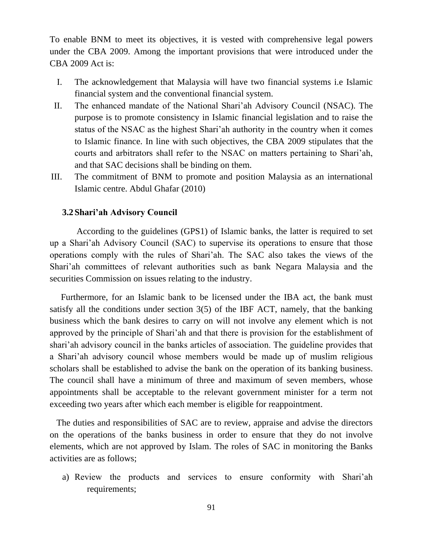To enable BNM to meet its objectives, it is vested with comprehensive legal powers under the CBA 2009. Among the important provisions that were introduced under the CBA 2009 Act is:

- I. The acknowledgement that Malaysia will have two financial systems i.e Islamic financial system and the conventional financial system.
- II. The enhanced mandate of the National Shari'ah Advisory Council (NSAC). The purpose is to promote consistency in Islamic financial legislation and to raise the status of the NSAC as the highest Shari'ah authority in the country when it comes to Islamic finance. In line with such objectives, the CBA 2009 stipulates that the courts and arbitrators shall refer to the NSAC on matters pertaining to Shari'ah, and that SAC decisions shall be binding on them.
- III. The commitment of BNM to promote and position Malaysia as an international Islamic centre. Abdul Ghafar (2010)

#### **3.2Shari'ah Advisory Council**

According to the guidelines (GPS1) of Islamic banks, the latter is required to set up a Shari'ah Advisory Council (SAC) to supervise its operations to ensure that those operations comply with the rules of Shari'ah. The SAC also takes the views of the Shari'ah committees of relevant authorities such as bank Negara Malaysia and the securities Commission on issues relating to the industry.

 Furthermore, for an Islamic bank to be licensed under the IBA act, the bank must satisfy all the conditions under section 3(5) of the IBF ACT, namely, that the banking business which the bank desires to carry on will not involve any element which is not approved by the principle of Shari'ah and that there is provision for the establishment of shari'ah advisory council in the banks articles of association. The guideline provides that a Shari'ah advisory council whose members would be made up of muslim religious scholars shall be established to advise the bank on the operation of its banking business. The council shall have a minimum of three and maximum of seven members, whose appointments shall be acceptable to the relevant government minister for a term not exceeding two years after which each member is eligible for reappointment.

 The duties and responsibilities of SAC are to review, appraise and advise the directors on the operations of the banks business in order to ensure that they do not involve elements, which are not approved by Islam. The roles of SAC in monitoring the Banks activities are as follows;

a) Review the products and services to ensure conformity with Shari'ah requirements;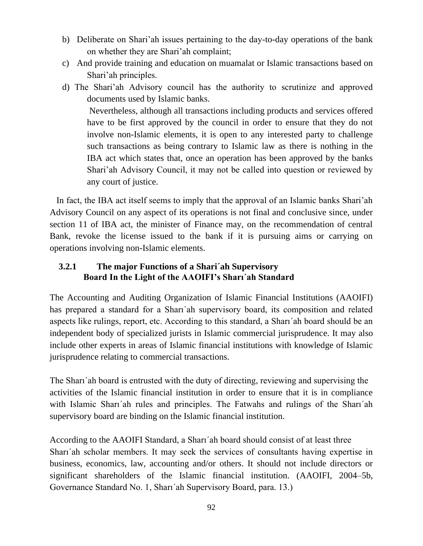- b) Deliberate on Shari'ah issues pertaining to the day-to-day operations of the bank on whether they are Shari'ah complaint;
- c) And provide training and education on muamalat or Islamic transactions based on Shari'ah principles.
- d) The Shari'ah Advisory council has the authority to scrutinize and approved documents used by Islamic banks.

Nevertheless, although all transactions including products and services offered have to be first approved by the council in order to ensure that they do not involve non-Islamic elements, it is open to any interested party to challenge such transactions as being contrary to Islamic law as there is nothing in the IBA act which states that, once an operation has been approved by the banks Shari'ah Advisory Council, it may not be called into question or reviewed by any court of justice.

 In fact, the IBA act itself seems to imply that the approval of an Islamic banks Shari'ah Advisory Council on any aspect of its operations is not final and conclusive since, under section 11 of IBA act, the minister of Finance may, on the recommendation of central Bank, revoke the license issued to the bank if it is pursuing aims or carrying on operations involving non-Islamic elements.

# **3.2.1 The major Functions of a Shari´ah Supervisory Board In the Light of the AAOIFI's Sharı´ah Standard**

The Accounting and Auditing Organization of Islamic Financial Institutions (AAOIFI) has prepared a standard for a Sharı´ah supervisory board, its composition and related aspects like rulings, report, etc. According to this standard, a Sharı´ah board should be an independent body of specialized jurists in Islamic commercial jurisprudence. It may also include other experts in areas of Islamic financial institutions with knowledge of Islamic jurisprudence relating to commercial transactions.

The Sharı´ah board is entrusted with the duty of directing, reviewing and supervising the activities of the Islamic financial institution in order to ensure that it is in compliance with Islamic Sharı´ah rules and principles. The Fatwahs and rulings of the Sharı´ah supervisory board are binding on the Islamic financial institution.

According to the AAOIFI Standard, a Sharı´ah board should consist of at least three Sharı´ah scholar members. It may seek the services of consultants having expertise in business, economics, law, accounting and/or others. It should not include directors or significant shareholders of the Islamic financial institution. (AAOIFI, 2004–5b, Governance Standard No. 1, Sharı´ah Supervisory Board, para. 13.)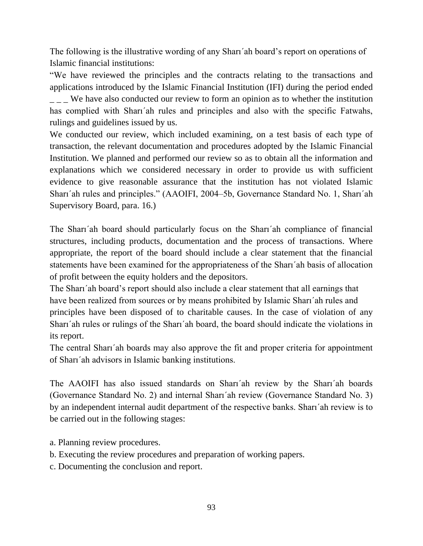The following is the illustrative wording of any Sharı´ah board's report on operations of Islamic financial institutions:

"We have reviewed the principles and the contracts relating to the transactions and applications introduced by the Islamic Financial Institution (IFI) during the period ended

We have also conducted our review to form an opinion as to whether the institution has complied with Sharı´ah rules and principles and also with the specific Fatwahs, rulings and guidelines issued by us.

We conducted our review, which included examining, on a test basis of each type of transaction, the relevant documentation and procedures adopted by the Islamic Financial Institution. We planned and performed our review so as to obtain all the information and explanations which we considered necessary in order to provide us with sufficient evidence to give reasonable assurance that the institution has not violated Islamic Sharı´ah rules and principles." (AAOIFI, 2004–5b, Governance Standard No. 1, Sharı´ah Supervisory Board, para. 16.)

The Sharı´ah board should particularly focus on the Sharı´ah compliance of financial structures, including products, documentation and the process of transactions. Where appropriate, the report of the board should include a clear statement that the financial statements have been examined for the appropriateness of the Sharı´ah basis of allocation of profit between the equity holders and the depositors.

The Sharı´ah board's report should also include a clear statement that all earnings that have been realized from sources or by means prohibited by Islamic Sharı´ah rules and principles have been disposed of to charitable causes. In the case of violation of any Sharı´ah rules or rulings of the Sharı´ah board, the board should indicate the violations in its report.

The central Sharı´ah boards may also approve the fit and proper criteria for appointment of Sharı´ah advisors in Islamic banking institutions.

The AAOIFI has also issued standards on Sharı´ah review by the Sharı´ah boards (Governance Standard No. 2) and internal Sharı´ah review (Governance Standard No. 3) by an independent internal audit department of the respective banks. Sharı´ah review is to be carried out in the following stages:

- a. Planning review procedures.
- b. Executing the review procedures and preparation of working papers.
- c. Documenting the conclusion and report.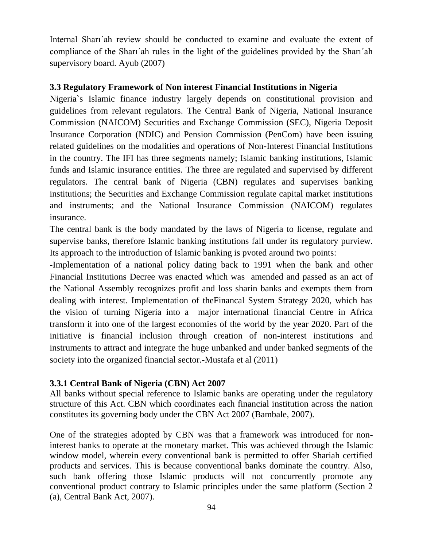Internal Sharı´ah review should be conducted to examine and evaluate the extent of compliance of the Sharı´ah rules in the light of the guidelines provided by the Sharı´ah supervisory board. Ayub (2007)

## **3.3 Regulatory Framework of Non interest Financial Institutions in Nigeria**

Nigeria`s Islamic finance industry largely depends on constitutional provision and guidelines from relevant regulators. The Central Bank of Nigeria, National Insurance Commission (NAICOM) Securities and Exchange Commission (SEC), Nigeria Deposit Insurance Corporation (NDIC) and Pension Commission (PenCom) have been issuing related guidelines on the modalities and operations of Non-Interest Financial Institutions in the country. The IFI has three segments namely; Islamic banking institutions, Islamic funds and Islamic insurance entities. The three are regulated and supervised by different regulators. The central bank of Nigeria (CBN) regulates and supervises banking institutions; the Securities and Exchange Commission regulate capital market institutions and instruments; and the National Insurance Commission (NAICOM) regulates insurance.

The central bank is the body mandated by the laws of Nigeria to license, regulate and supervise banks, therefore Islamic banking institutions fall under its regulatory purview. Its approach to the introduction of Islamic banking is pvoted around two points:

-Implementation of a national policy dating back to 1991 when the bank and other Financial Institutions Decree was enacted which was amended and passed as an act of the National Assembly recognizes profit and loss sharin banks and exempts them from dealing with interest. Implementation of theFinancal System Strategy 2020, which has the vision of turning Nigeria into a major international financial Centre in Africa transform it into one of the largest economies of the world by the year 2020. Part of the initiative is financial inclusion through creation of non-interest institutions and instruments to attract and integrate the huge unbanked and under banked segments of the society into the organized financial sector.-Mustafa et al  $(2011)$ 

#### **3.3.1 Central Bank of Nigeria (CBN) Act 2007**

All banks without special reference to Islamic banks are operating under the regulatory structure of this Act. CBN which coordinates each financial institution across the nation constitutes its governing body under the CBN Act 2007 (Bambale, 2007).

One of the strategies adopted by CBN was that a framework was introduced for noninterest banks to operate at the monetary market. This was achieved through the Islamic window model, wherein every conventional bank is permitted to offer Shariah certified products and services. This is because conventional banks dominate the country. Also, such bank offering those Islamic products will not concurrently promote any conventional product contrary to Islamic principles under the same platform (Section 2 (a), Central Bank Act, 2007).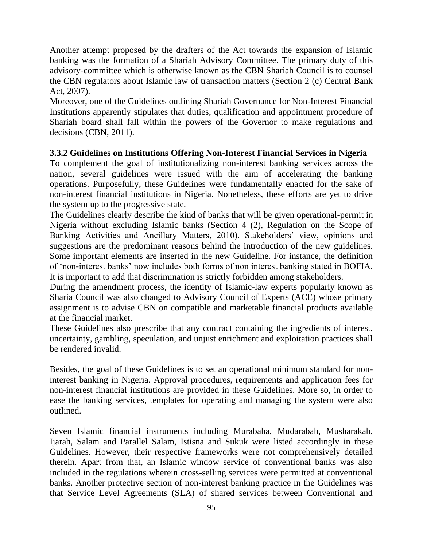Another attempt proposed by the drafters of the Act towards the expansion of Islamic banking was the formation of a Shariah Advisory Committee. The primary duty of this advisory-committee which is otherwise known as the CBN Shariah Council is to counsel the CBN regulators about Islamic law of transaction matters (Section 2 (c) Central Bank Act, 2007).

Moreover, one of the Guidelines outlining Shariah Governance for Non-Interest Financial Institutions apparently stipulates that duties, qualification and appointment procedure of Shariah board shall fall within the powers of the Governor to make regulations and decisions (CBN, 2011).

## **3.3.2 Guidelines on Institutions Offering Non-Interest Financial Services in Nigeria**

To complement the goal of institutionalizing non-interest banking services across the nation, several guidelines were issued with the aim of accelerating the banking operations. Purposefully, these Guidelines were fundamentally enacted for the sake of non-interest financial institutions in Nigeria. Nonetheless, these efforts are yet to drive the system up to the progressive state.

The Guidelines clearly describe the kind of banks that will be given operational-permit in Nigeria without excluding Islamic banks (Section 4 (2), Regulation on the Scope of Banking Activities and Ancillary Matters, 2010). Stakeholders' view, opinions and suggestions are the predominant reasons behind the introduction of the new guidelines. Some important elements are inserted in the new Guideline. For instance, the definition of 'non-interest banks' now includes both forms of non interest banking stated in BOFIA. It is important to add that discrimination is strictly forbidden among stakeholders.

During the amendment process, the identity of Islamic-law experts popularly known as Sharia Council was also changed to Advisory Council of Experts (ACE) whose primary assignment is to advise CBN on compatible and marketable financial products available at the financial market.

These Guidelines also prescribe that any contract containing the ingredients of interest, uncertainty, gambling, speculation, and unjust enrichment and exploitation practices shall be rendered invalid.

Besides, the goal of these Guidelines is to set an operational minimum standard for noninterest banking in Nigeria. Approval procedures, requirements and application fees for non-interest financial institutions are provided in these Guidelines. More so, in order to ease the banking services, templates for operating and managing the system were also outlined.

Seven Islamic financial instruments including Murabaha, Mudarabah, Musharakah, Ijarah, Salam and Parallel Salam, Istisna and Sukuk were listed accordingly in these Guidelines. However, their respective frameworks were not comprehensively detailed therein. Apart from that, an Islamic window service of conventional banks was also included in the regulations wherein cross-selling services were permitted at conventional banks. Another protective section of non-interest banking practice in the Guidelines was that Service Level Agreements (SLA) of shared services between Conventional and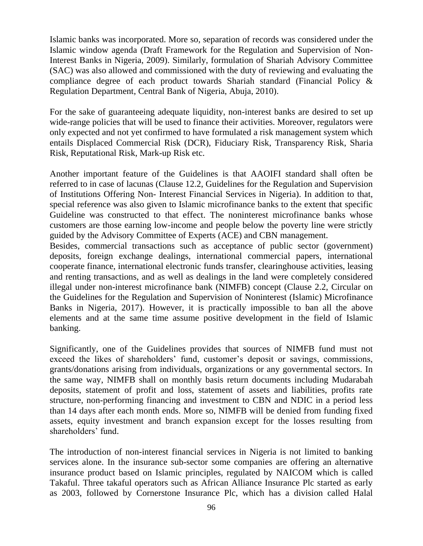Islamic banks was incorporated. More so, separation of records was considered under the Islamic window agenda (Draft Framework for the Regulation and Supervision of Non-Interest Banks in Nigeria, 2009). Similarly, formulation of Shariah Advisory Committee (SAC) was also allowed and commissioned with the duty of reviewing and evaluating the compliance degree of each product towards Shariah standard (Financial Policy & Regulation Department, Central Bank of Nigeria, Abuja, 2010).

For the sake of guaranteeing adequate liquidity, non-interest banks are desired to set up wide-range policies that will be used to finance their activities. Moreover, regulators were only expected and not yet confirmed to have formulated a risk management system which entails Displaced Commercial Risk (DCR), Fiduciary Risk, Transparency Risk, Sharia Risk, Reputational Risk, Mark-up Risk etc.

Another important feature of the Guidelines is that AAOIFI standard shall often be referred to in case of lacunas (Clause 12.2, Guidelines for the Regulation and Supervision of Institutions Offering Non- Interest Financial Services in Nigeria). In addition to that, special reference was also given to Islamic microfinance banks to the extent that specific Guideline was constructed to that effect. The noninterest microfinance banks whose customers are those earning low-income and people below the poverty line were strictly guided by the Advisory Committee of Experts (ACE) and CBN management.

Besides, commercial transactions such as acceptance of public sector (government) deposits, foreign exchange dealings, international commercial papers, international cooperate finance, international electronic funds transfer, clearinghouse activities, leasing and renting transactions, and as well as dealings in the land were completely considered illegal under non-interest microfinance bank (NIMFB) concept (Clause 2.2, Circular on the Guidelines for the Regulation and Supervision of Noninterest (Islamic) Microfinance Banks in Nigeria, 2017). However, it is practically impossible to ban all the above elements and at the same time assume positive development in the field of Islamic banking.

Significantly, one of the Guidelines provides that sources of NIMFB fund must not exceed the likes of shareholders' fund, customer's deposit or savings, commissions, grants/donations arising from individuals, organizations or any governmental sectors. In the same way, NIMFB shall on monthly basis return documents including Mudarabah deposits, statement of profit and loss, statement of assets and liabilities, profits rate structure, non-performing financing and investment to CBN and NDIC in a period less than 14 days after each month ends. More so, NIMFB will be denied from funding fixed assets, equity investment and branch expansion except for the losses resulting from shareholders' fund.

The introduction of non-interest financial services in Nigeria is not limited to banking services alone. In the insurance sub-sector some companies are offering an alternative insurance product based on Islamic principles, regulated by NAICOM which is called Takaful. Three takaful operators such as African Alliance Insurance Plc started as early as 2003, followed by Cornerstone Insurance Plc, which has a division called Halal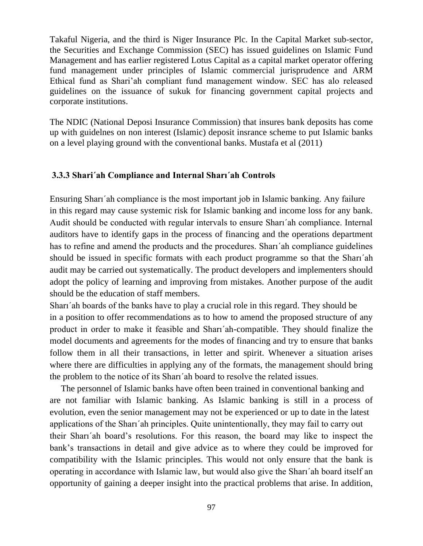Takaful Nigeria, and the third is Niger Insurance Plc. In the Capital Market sub-sector, the Securities and Exchange Commission (SEC) has issued guidelines on Islamic Fund Management and has earlier registered Lotus Capital as a capital market operator offering fund management under principles of Islamic commercial jurisprudence and ARM Ethical fund as Shari'ah compliant fund management window. SEC has alo released guidelines on the issuance of sukuk for financing government capital projects and corporate institutions.

The NDIC (National Deposi Insurance Commission) that insures bank deposits has come up with guidelnes on non interest (Islamic) deposit insrance scheme to put Islamic banks on a level playing ground with the conventional banks. Mustafa et al (2011)

#### **3.3.3 Shari´ah Compliance and Internal Sharı´ah Controls**

Ensuring Sharı´ah compliance is the most important job in Islamic banking. Any failure in this regard may cause systemic risk for Islamic banking and income loss for any bank. Audit should be conducted with regular intervals to ensure Sharı´ah compliance. Internal auditors have to identify gaps in the process of financing and the operations department has to refine and amend the products and the procedures. Shari'ah compliance guidelines should be issued in specific formats with each product programme so that the Sharı´ah audit may be carried out systematically. The product developers and implementers should adopt the policy of learning and improving from mistakes. Another purpose of the audit should be the education of staff members.

Sharı´ah boards of the banks have to play a crucial role in this regard. They should be in a position to offer recommendations as to how to amend the proposed structure of any product in order to make it feasible and Sharı´ah-compatible. They should finalize the model documents and agreements for the modes of financing and try to ensure that banks follow them in all their transactions, in letter and spirit. Whenever a situation arises where there are difficulties in applying any of the formats, the management should bring the problem to the notice of its Sharı´ah board to resolve the related issues.

 The personnel of Islamic banks have often been trained in conventional banking and are not familiar with Islamic banking. As Islamic banking is still in a process of evolution, even the senior management may not be experienced or up to date in the latest applications of the Sharı´ah principles. Quite unintentionally, they may fail to carry out their Sharı´ah board's resolutions. For this reason, the board may like to inspect the bank's transactions in detail and give advice as to where they could be improved for compatibility with the Islamic principles. This would not only ensure that the bank is operating in accordance with Islamic law, but would also give the Sharı´ah board itself an opportunity of gaining a deeper insight into the practical problems that arise. In addition,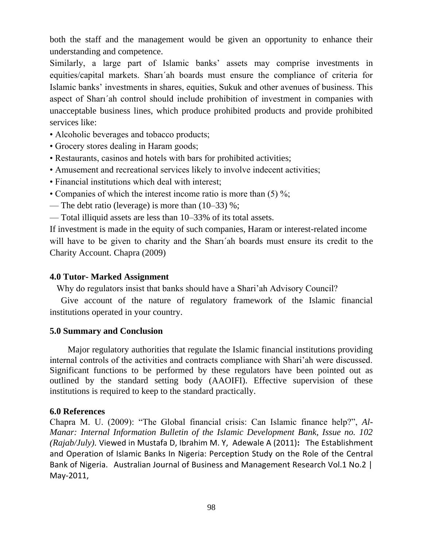both the staff and the management would be given an opportunity to enhance their understanding and competence.

Similarly, a large part of Islamic banks' assets may comprise investments in equities/capital markets. Sharı´ah boards must ensure the compliance of criteria for Islamic banks' investments in shares, equities, Sukuk and other avenues of business. This aspect of Sharı´ah control should include prohibition of investment in companies with unacceptable business lines, which produce prohibited products and provide prohibited services like:

- Alcoholic beverages and tobacco products;
- Grocery stores dealing in Haram goods;
- Restaurants, casinos and hotels with bars for prohibited activities;
- Amusement and recreational services likely to involve indecent activities;
- Financial institutions which deal with interest;
- Companies of which the interest income ratio is more than (5) %;
- The debt ratio (leverage) is more than  $(10-33)$  %;
- Total illiquid assets are less than 10–33% of its total assets.

If investment is made in the equity of such companies, Haram or interest-related income will have to be given to charity and the Sharı´ah boards must ensure its credit to the Charity Account. Chapra (2009)

#### **4.0 Tutor- Marked Assignment**

Why do regulators insist that banks should have a Shari'ah Advisory Council?

 Give account of the nature of regulatory framework of the Islamic financial institutions operated in your country.

#### **5.0 Summary and Conclusion**

Major regulatory authorities that regulate the Islamic financial institutions providing internal controls of the activities and contracts compliance with Shari'ah were discussed. Significant functions to be performed by these regulators have been pointed out as outlined by the standard setting body (AAOIFI). Effective supervision of these institutions is required to keep to the standard practically.

#### **6.0 References**

Chapra M. U. (2009): "The Global financial crisis: Can Islamic finance help?", *Al-Manar: Internal Information Bulletin of the Islamic Development Bank, Issue no. 102 (Rajab/July).* Viewed in Mustafa D, Ibrahim M. Y, Adewale A (2011)**:** The Establishment and Operation of Islamic Banks In Nigeria: Perception Study on the Role of the Central Bank of Nigeria. Australian Journal of Business and Management Research Vol.1 No.2 | May-2011,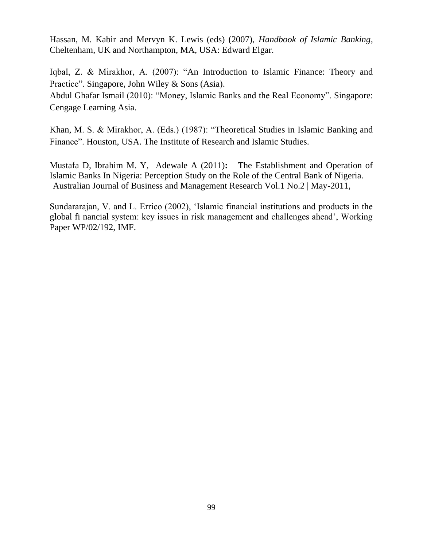Hassan, M. Kabir and Mervyn K. Lewis (eds) (2007), *Handbook of Islamic Banking*, Cheltenham, UK and Northampton, MA, USA: Edward Elgar.

Iqbal, Z. & Mirakhor, A. (2007): "An Introduction to Islamic Finance: Theory and Practice". Singapore, John Wiley & Sons (Asia).

Abdul Ghafar Ismail (2010): "Money, Islamic Banks and the Real Economy". Singapore: Cengage Learning Asia.

Khan, M. S. & Mirakhor, A. (Eds.) (1987): "Theoretical Studies in Islamic Banking and Finance". Houston, USA. The Institute of Research and Islamic Studies.

Mustafa D, Ibrahim M. Y, Adewale A (2011)**:** The Establishment and Operation of Islamic Banks In Nigeria: Perception Study on the Role of the Central Bank of Nigeria. Australian Journal of Business and Management Research Vol.1 No.2 | May-2011,

Sundararajan, V. and L. Errico (2002), 'Islamic financial institutions and products in the global fi nancial system: key issues in risk management and challenges ahead', Working Paper WP/02/192, IMF.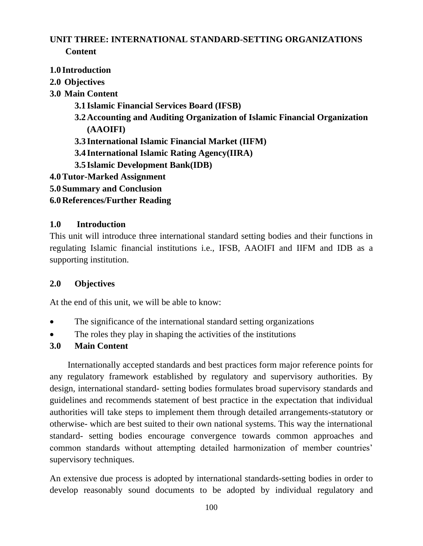# **UNIT THREE: INTERNATIONAL STANDARD-SETTING ORGANIZATIONS Content**

**1.0 Introduction 2.0 Objectives 3.0 Main Content 3.1 Islamic Financial Services Board (IFSB) 3.2Accounting and Auditing Organization of Islamic Financial Organization (AAOIFI) 3.3 International Islamic Financial Market (IIFM) 3.4 International Islamic Rating Agency(IIRA) 3.5 Islamic Development Bank(IDB) 4.0Tutor-Marked Assignment 5.0Summary and Conclusion 6.0References/Further Reading**

## **1.0 Introduction**

This unit will introduce three international standard setting bodies and their functions in regulating Islamic financial institutions i.e., IFSB, AAOIFI and IIFM and IDB as a supporting institution.

## **2.0 Objectives**

At the end of this unit, we will be able to know:

- The significance of the international standard setting organizations
- The roles they play in shaping the activities of the institutions

## **3.0 Main Content**

Internationally accepted standards and best practices form major reference points for any regulatory framework established by regulatory and supervisory authorities. By design, international standard- setting bodies formulates broad supervisory standards and guidelines and recommends statement of best practice in the expectation that individual authorities will take steps to implement them through detailed arrangements-statutory or otherwise- which are best suited to their own national systems. This way the international standard- setting bodies encourage convergence towards common approaches and common standards without attempting detailed harmonization of member countries' supervisory techniques.

An extensive due process is adopted by international standards-setting bodies in order to develop reasonably sound documents to be adopted by individual regulatory and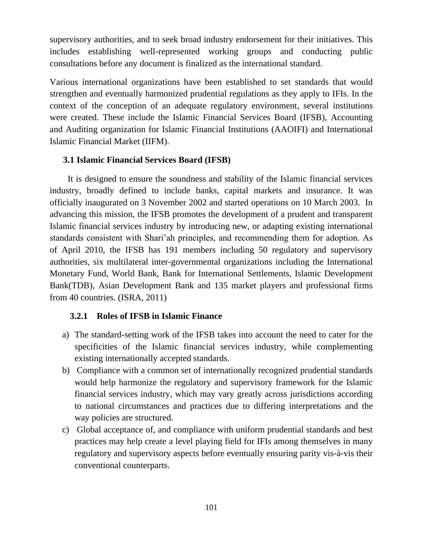supervisory authorities, and to seek broad industry endorsement for their initiatives. This includes establishing well-represented working groups and conducting public consultations before any document is finalized as the international standard.

Various international organizations have been established to set standards that would strengthen and eventually harmonized prudential regulations as they apply to IFIs. In the context of the conception of an adequate regulatory environment, several institutions were created. These include the Islamic Financial Services Board (IFSB), Accounting and Auditing organization for Islamic Financial Institutions (AAOIFI) and International Islamic Financial Market (IIFM).

#### **3.1 Islamic Financial Services Board (IFSB)**

It is designed to ensure the soundness and stability of the Islamic financial services industry, broadly defined to include banks, capital markets and insurance. It was officially inaugurated on 3 November 2002 and started operations on 10 March 2003. In advancing this mission, the IFSB promotes the development of a prudent and transparent Islamic financial services industry by introducing new, or adapting existing international standards consistent with Shari'ah principles, and recommending them for adoption. As of April 2010, the IFSB has 191 members including 50 regulatory and supervisory authorities, six multilateral inter-governmental organizations including the International Monetary Fund, World Bank, Bank for International Settlements, Islamic Development Bank(TDB), Asian Development Bank and 135 market players and professional firms from 40 countries. (ISRA, 2011)

## **3.2.1 Roles of IFSB in Islamic Finance**

- a) The standard-setting work of the IFSB takes into account the need to cater for the specificities of the Islamic financial services industry, while complementing existing internationally accepted standards.
- b) Compliance with a common set of internationally recognized prudential standards would help harmonize the regulatory and supervisory framework for the Islamic financial services industry, which may vary greatly across jurisdictions according to national circumstances and practices due to differing interpretations and the way policies are structured.
- c) Global acceptance of, and compliance with uniform prudential standards and best practices may help create a level playing field for IFIs among themselves in many regulatory and supervisory aspects before eventually ensuring parity vis-à-vis their conventional counterparts.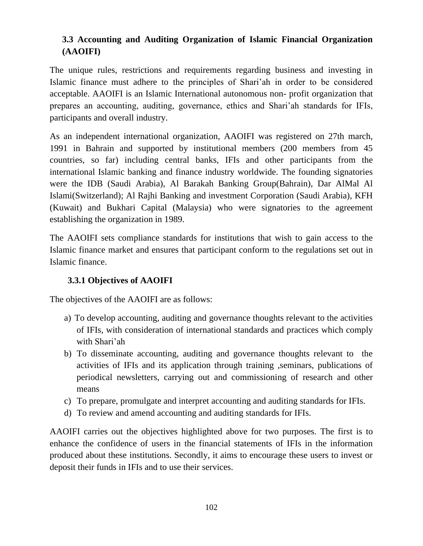# **3.3 Accounting and Auditing Organization of Islamic Financial Organization (AAOIFI)**

The unique rules, restrictions and requirements regarding business and investing in Islamic finance must adhere to the principles of Shari'ah in order to be considered acceptable. AAOIFI is an Islamic International autonomous non- profit organization that prepares an accounting, auditing, governance, ethics and Shari'ah standards for IFIs, participants and overall industry.

As an independent international organization, AAOIFI was registered on 27th march, 1991 in Bahrain and supported by institutional members (200 members from 45 countries, so far) including central banks, IFIs and other participants from the international Islamic banking and finance industry worldwide. The founding signatories were the IDB (Saudi Arabia), Al Barakah Banking Group(Bahrain), Dar AlMal Al Islami(Switzerland); Al Rajhi Banking and investment Corporation (Saudi Arabia), KFH (Kuwait) and Bukhari Capital (Malaysia) who were signatories to the agreement establishing the organization in 1989.

The AAOIFI sets compliance standards for institutions that wish to gain access to the Islamic finance market and ensures that participant conform to the regulations set out in Islamic finance.

# **3.3.1 Objectives of AAOIFI**

The objectives of the AAOIFI are as follows:

- a) To develop accounting, auditing and governance thoughts relevant to the activities of IFIs, with consideration of international standards and practices which comply with Shari'ah
- b) To disseminate accounting, auditing and governance thoughts relevant to the activities of IFIs and its application through training ,seminars, publications of periodical newsletters, carrying out and commissioning of research and other means
- c) To prepare, promulgate and interpret accounting and auditing standards for IFIs.
- d) To review and amend accounting and auditing standards for IFIs.

AAOIFI carries out the objectives highlighted above for two purposes. The first is to enhance the confidence of users in the financial statements of IFIs in the information produced about these institutions. Secondly, it aims to encourage these users to invest or deposit their funds in IFIs and to use their services.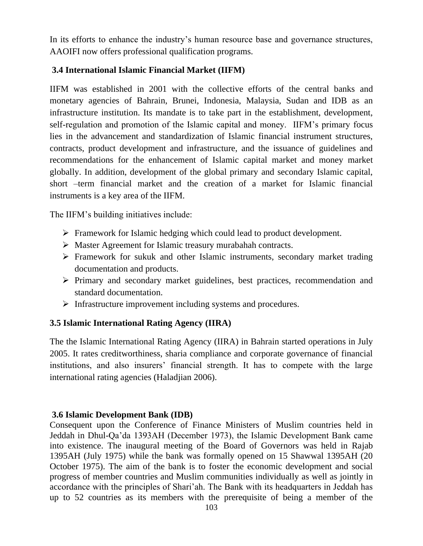In its efforts to enhance the industry's human resource base and governance structures, AAOIFI now offers professional qualification programs.

## **3.4 International Islamic Financial Market (IIFM)**

IIFM was established in 2001 with the collective efforts of the central banks and monetary agencies of Bahrain, Brunei, Indonesia, Malaysia, Sudan and IDB as an infrastructure institution. Its mandate is to take part in the establishment, development, self-regulation and promotion of the Islamic capital and money. IIFM's primary focus lies in the advancement and standardization of Islamic financial instrument structures, contracts, product development and infrastructure, and the issuance of guidelines and recommendations for the enhancement of Islamic capital market and money market globally. In addition, development of the global primary and secondary Islamic capital, short –term financial market and the creation of a market for Islamic financial instruments is a key area of the IIFM.

The IIFM's building initiatives include:

- ➢ Framework for Islamic hedging which could lead to product development.
- ➢ Master Agreement for Islamic treasury murabahah contracts.
- ➢ Framework for sukuk and other Islamic instruments, secondary market trading documentation and products.
- ➢ Primary and secondary market guidelines, best practices, recommendation and standard documentation.
- ➢ Infrastructure improvement including systems and procedures.

## **3.5 Islamic International Rating Agency (IIRA)**

The the Islamic International Rating Agency (IIRA) in Bahrain started operations in July 2005. It rates creditworthiness, sharia compliance and corporate governance of financial institutions, and also insurers' financial strength. It has to compete with the large international rating agencies (Haladjian 2006).

## **3.6 Islamic Development Bank (IDB)**

Consequent upon the Conference of Finance Ministers of Muslim countries held in Jeddah in Dhul-Qa'da 1393AH (December 1973), the Islamic Development Bank came into existence. The inaugural meeting of the Board of Governors was held in Rajab 1395AH (July 1975) while the bank was formally opened on 15 Shawwal 1395AH (20 October 1975). The aim of the bank is to foster the economic development and social progress of member countries and Muslim communities individually as well as jointly in accordance with the principles of Shari'ah. The Bank with its headquarters in Jeddah has up to 52 countries as its members with the prerequisite of being a member of the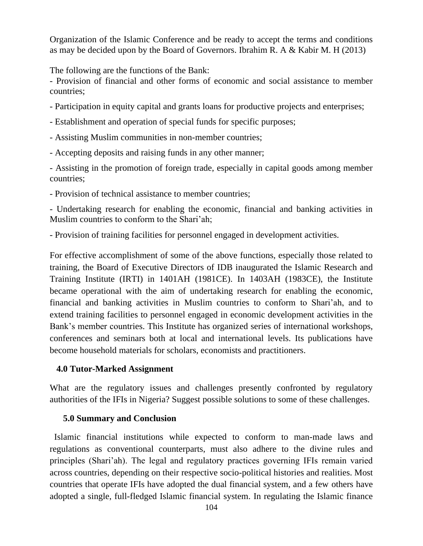Organization of the Islamic Conference and be ready to accept the terms and conditions as may be decided upon by the Board of Governors. Ibrahim R. A & Kabir M. H (2013)

The following are the functions of the Bank:

- Provision of financial and other forms of economic and social assistance to member countries;

- Participation in equity capital and grants loans for productive projects and enterprises;
- Establishment and operation of special funds for specific purposes;
- Assisting Muslim communities in non-member countries;
- Accepting deposits and raising funds in any other manner;

- Assisting in the promotion of foreign trade, especially in capital goods among member countries;

- Provision of technical assistance to member countries;

- Undertaking research for enabling the economic, financial and banking activities in Muslim countries to conform to the Shari'ah;

- Provision of training facilities for personnel engaged in development activities.

For effective accomplishment of some of the above functions, especially those related to training, the Board of Executive Directors of IDB inaugurated the Islamic Research and Training Institute (IRTI) in 1401AH (1981CE). In 1403AH (1983CE), the Institute became operational with the aim of undertaking research for enabling the economic, financial and banking activities in Muslim countries to conform to Shari'ah, and to extend training facilities to personnel engaged in economic development activities in the Bank's member countries. This Institute has organized series of international workshops, conferences and seminars both at local and international levels. Its publications have become household materials for scholars, economists and practitioners.

## **4.0 Tutor-Marked Assignment**

What are the regulatory issues and challenges presently confronted by regulatory authorities of the IFIs in Nigeria? Suggest possible solutions to some of these challenges.

## **5.0 Summary and Conclusion**

 Islamic financial institutions while expected to conform to man-made laws and regulations as conventional counterparts, must also adhere to the divine rules and principles (Shari'ah). The legal and regulatory practices governing IFIs remain varied across countries, depending on their respective socio-political histories and realities. Most countries that operate IFIs have adopted the dual financial system, and a few others have adopted a single, full-fledged Islamic financial system. In regulating the Islamic finance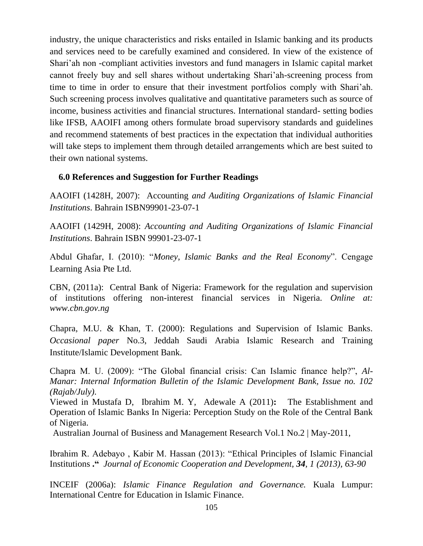industry, the unique characteristics and risks entailed in Islamic banking and its products and services need to be carefully examined and considered. In view of the existence of Shari'ah non -compliant activities investors and fund managers in Islamic capital market cannot freely buy and sell shares without undertaking Shari'ah-screening process from time to time in order to ensure that their investment portfolios comply with Shari'ah. Such screening process involves qualitative and quantitative parameters such as source of income, business activities and financial structures. International standard- setting bodies like IFSB, AAOIFI among others formulate broad supervisory standards and guidelines and recommend statements of best practices in the expectation that individual authorities will take steps to implement them through detailed arrangements which are best suited to their own national systems.

#### **6.0 References and Suggestion for Further Readings**

AAOIFI (1428H, 2007): Accounting *and Auditing Organizations of Islamic Financial Institutions*. Bahrain ISBN99901-23-07-1

AAOIFI (1429H, 2008): *Accounting and Auditing Organizations of Islamic Financial Institutions*. Bahrain ISBN 99901-23-07-1

Abdul Ghafar, I. (2010): "*Money, Islamic Banks and the Real Economy*". Cengage Learning Asia Pte Ltd.

CBN, (2011a): Central Bank of Nigeria: Framework for the regulation and supervision of institutions offering non-interest financial services in Nigeria. *Online at: www.cbn.gov.ng* 

Chapra, M.U. & Khan, T. (2000): Regulations and Supervision of Islamic Banks. *Occasional paper* No.3, Jeddah Saudi Arabia Islamic Research and Training Institute/Islamic Development Bank.

Chapra M. U. (2009): "The Global financial crisis: Can Islamic finance help?", *Al-Manar: Internal Information Bulletin of the Islamic Development Bank, Issue no. 102 (Rajab/July).* 

Viewed in Mustafa D, Ibrahim M. Y, Adewale A (2011)**:** The Establishment and Operation of Islamic Banks In Nigeria: Perception Study on the Role of the Central Bank of Nigeria.

Australian Journal of Business and Management Research Vol.1 No.2 | May-2011,

Ibrahim R. Adebayo , Kabir M. Hassan (2013): "Ethical Principles of Islamic Financial Institutions **."** *Journal of Economic Cooperation and Development, 34, 1 (2013), 63-90* 

INCEIF (2006a): *Islamic Finance Regulation and Governance.* Kuala Lumpur: International Centre for Education in Islamic Finance.